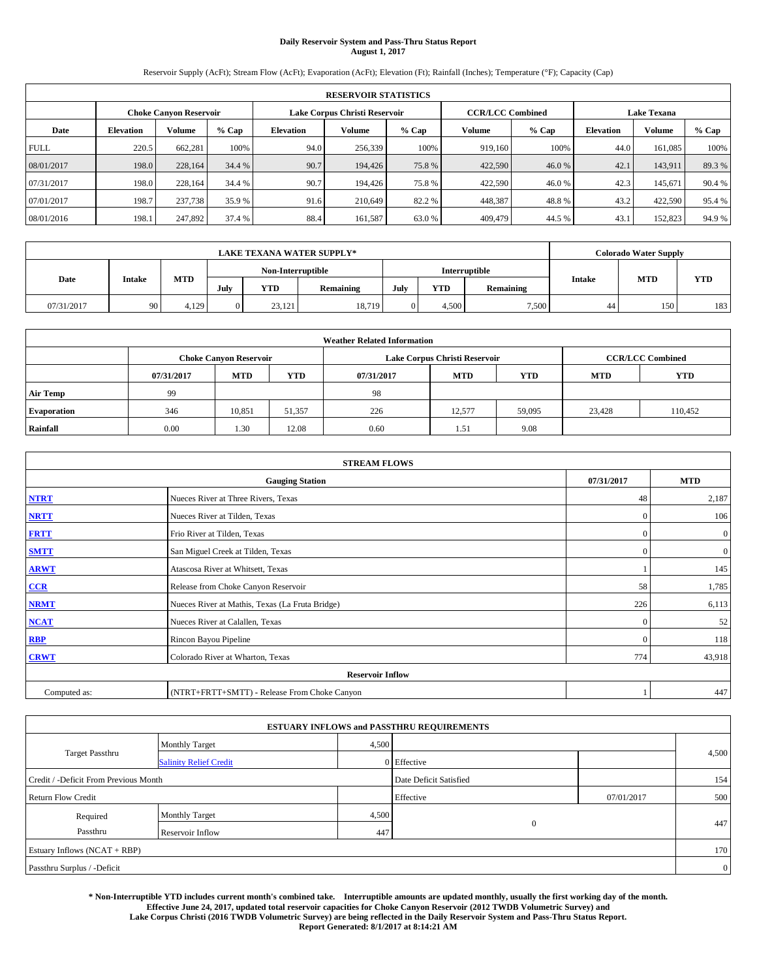# **Daily Reservoir System and Pass-Thru Status Report August 1, 2017**

Reservoir Supply (AcFt); Stream Flow (AcFt); Evaporation (AcFt); Elevation (Ft); Rainfall (Inches); Temperature (°F); Capacity (Cap)

|             | <b>RESERVOIR STATISTICS</b> |                               |        |                                                          |         |         |         |         |                    |         |       |  |
|-------------|-----------------------------|-------------------------------|--------|----------------------------------------------------------|---------|---------|---------|---------|--------------------|---------|-------|--|
|             |                             | <b>Choke Canvon Reservoir</b> |        | Lake Corpus Christi Reservoir<br><b>CCR/LCC Combined</b> |         |         |         |         | <b>Lake Texana</b> |         |       |  |
| Date        | <b>Elevation</b>            | <b>Volume</b>                 | % Cap  | <b>Elevation</b>                                         | Volume  | $%$ Cap | Volume  | $%$ Cap | <b>Elevation</b>   | Volume  | % Cap |  |
| <b>FULL</b> | 220.5                       | 662.281                       | 100%   | 94.0                                                     | 256,339 | 100%    | 919,160 | 100%    | 44.0               | 161.085 | 100%  |  |
| 08/01/2017  | 198.0                       | 228,164                       | 34.4 % | 90.7                                                     | 194,426 | 75.8%   | 422,590 | 46.0 %  | 42.1               | 143.911 | 89.3% |  |
| 07/31/2017  | 198.0                       | 228.164                       | 34.4 % | 90.7                                                     | 194,426 | 75.8%   | 422,590 | 46.0%   | 42.3               | 145.671 | 90.4% |  |
| 07/01/2017  | 198.7                       | 237,738                       | 35.9 % | 91.6                                                     | 210,649 | 82.2 %  | 448,387 | 48.8%   | 43.2               | 422,590 | 95.4% |  |
| 08/01/2016  | 198.1                       | 247.892                       | 37.4 % | 88.4                                                     | 161,587 | 63.0 %  | 409,479 | 44.5 %  | 43.1               | 152,823 | 94.9% |  |

|            | <b>LAKE TEXANA WATER SUPPLY*</b> |            |          |                   |           |      |            |               |        |            | <b>Colorado Water Supply</b> |  |  |
|------------|----------------------------------|------------|----------|-------------------|-----------|------|------------|---------------|--------|------------|------------------------------|--|--|
|            | <b>Intake</b>                    |            |          | Non-Interruptible |           |      |            | Interruptible |        |            |                              |  |  |
| Date       |                                  | <b>MTD</b> | July     | <b>YTD</b>        | Remaining | July | <b>YTD</b> | Remaining     | Intake | <b>MTD</b> | <b>YTD</b>                   |  |  |
| 07/31/2017 | 90                               | 4,129      | $\Omega$ | 23,121            | 18,719    |      | 4,500      | 7,500         | 44     | 150        | 183                          |  |  |

| <b>Weather Related Information</b>                                               |      |                               |        |      |                               |                         |            |            |  |  |
|----------------------------------------------------------------------------------|------|-------------------------------|--------|------|-------------------------------|-------------------------|------------|------------|--|--|
|                                                                                  |      | <b>Choke Canvon Reservoir</b> |        |      | Lake Corpus Christi Reservoir | <b>CCR/LCC Combined</b> |            |            |  |  |
| <b>YTD</b><br><b>YTD</b><br><b>MTD</b><br><b>MTD</b><br>07/31/2017<br>07/31/2017 |      |                               |        |      |                               |                         | <b>MTD</b> | <b>YTD</b> |  |  |
| <b>Air Temp</b>                                                                  | 99   |                               |        | 98   |                               |                         |            |            |  |  |
| <b>Evaporation</b>                                                               | 346  | 10,851                        | 51,357 | 226  | 12.577                        | 59,095                  | 23,428     | 110,452    |  |  |
| Rainfall                                                                         | 0.00 | 1.30                          | 12.08  | 0.60 | 1.51                          | 9.08                    |            |            |  |  |

| <b>STREAM FLOWS</b> |                                                 |              |                |  |  |  |  |  |  |
|---------------------|-------------------------------------------------|--------------|----------------|--|--|--|--|--|--|
|                     | <b>Gauging Station</b>                          | 07/31/2017   | <b>MTD</b>     |  |  |  |  |  |  |
| <b>NTRT</b>         | Nueces River at Three Rivers, Texas             | 48           | 2,187          |  |  |  |  |  |  |
| <b>NRTT</b>         | Nueces River at Tilden, Texas                   | $\Omega$     | 106            |  |  |  |  |  |  |
| <b>FRTT</b>         | Frio River at Tilden, Texas                     | $\mathbf{0}$ | $\mathbf{0}$   |  |  |  |  |  |  |
| <b>SMTT</b>         | San Miguel Creek at Tilden, Texas               | $\mathbf{0}$ | $\overline{0}$ |  |  |  |  |  |  |
| <b>ARWT</b>         | Atascosa River at Whitsett, Texas               |              | 145            |  |  |  |  |  |  |
| $CCR$               | Release from Choke Canyon Reservoir             | 58           | 1,785          |  |  |  |  |  |  |
| <b>NRMT</b>         | Nueces River at Mathis, Texas (La Fruta Bridge) | 226          | 6,113          |  |  |  |  |  |  |
| <b>NCAT</b>         | Nueces River at Calallen, Texas                 | $\theta$     | 52             |  |  |  |  |  |  |
| RBP                 | Rincon Bayou Pipeline                           | $\mathbf{0}$ | 118            |  |  |  |  |  |  |
| <b>CRWT</b>         | Colorado River at Wharton, Texas                | 774          | 43,918         |  |  |  |  |  |  |
|                     | <b>Reservoir Inflow</b>                         |              |                |  |  |  |  |  |  |
| Computed as:        | (NTRT+FRTT+SMTT) - Release From Choke Canyon    |              |                |  |  |  |  |  |  |

| <b>ESTUARY INFLOWS and PASSTHRU REQUIREMENTS</b> |                               |       |                        |            |                |  |  |  |  |  |
|--------------------------------------------------|-------------------------------|-------|------------------------|------------|----------------|--|--|--|--|--|
|                                                  | <b>Monthly Target</b>         | 4,500 |                        |            |                |  |  |  |  |  |
| <b>Target Passthru</b>                           | <b>Salinity Relief Credit</b> |       | 0 Effective            |            | 4,500          |  |  |  |  |  |
| Credit / -Deficit From Previous Month            |                               |       | Date Deficit Satisfied |            | 154            |  |  |  |  |  |
| <b>Return Flow Credit</b>                        |                               |       | Effective              | 07/01/2017 | 500            |  |  |  |  |  |
| Required                                         | <b>Monthly Target</b>         | 4,500 |                        |            |                |  |  |  |  |  |
| Passthru                                         | Reservoir Inflow              | 447   | $\mathbf{0}$           |            | 447            |  |  |  |  |  |
| Estuary Inflows (NCAT + RBP)                     |                               |       |                        |            | 170            |  |  |  |  |  |
| Passthru Surplus / -Deficit                      |                               |       |                        |            | $\overline{0}$ |  |  |  |  |  |

**\* Non-Interruptible YTD includes current month's combined take. Interruptible amounts are updated monthly, usually the first working day of the month. Effective June 24, 2017, updated total reservoir capacities for Choke Canyon Reservoir (2012 TWDB Volumetric Survey) and Lake Corpus Christi (2016 TWDB Volumetric Survey) are being reflected in the Daily Reservoir System and Pass-Thru Status Report. Report Generated: 8/1/2017 at 8:14:21 AM**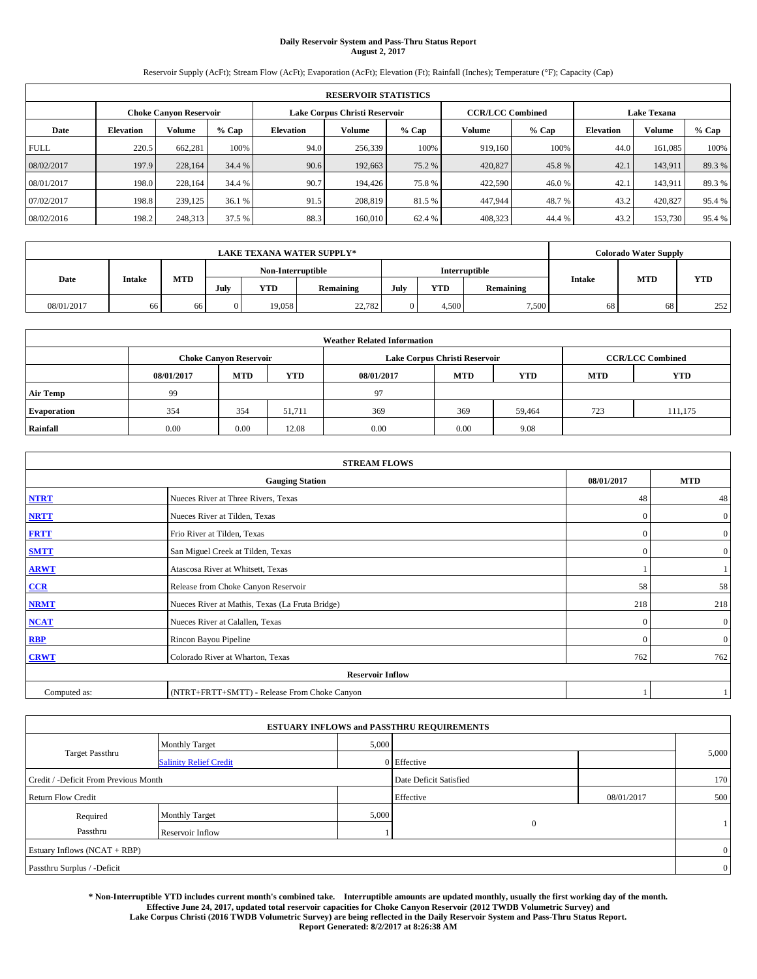# **Daily Reservoir System and Pass-Thru Status Report August 2, 2017**

Reservoir Supply (AcFt); Stream Flow (AcFt); Evaporation (AcFt); Elevation (Ft); Rainfall (Inches); Temperature (°F); Capacity (Cap)

|             | <b>RESERVOIR STATISTICS</b>   |               |        |           |                                                          |         |         |         |                  |                    |        |  |
|-------------|-------------------------------|---------------|--------|-----------|----------------------------------------------------------|---------|---------|---------|------------------|--------------------|--------|--|
|             | <b>Choke Canyon Reservoir</b> |               |        |           | Lake Corpus Christi Reservoir<br><b>CCR/LCC Combined</b> |         |         |         |                  | <b>Lake Texana</b> |        |  |
| Date        | <b>Elevation</b>              | <b>Volume</b> | % Cap  | Elevation | Volume                                                   | $%$ Cap | Volume  | $%$ Cap | <b>Elevation</b> | Volume             | % Cap  |  |
| <b>FULL</b> | 220.5                         | 662.281       | 100%   | 94.0      | 256,339                                                  | 100%    | 919.160 | 100%    | 44.0             | 161.085            | 100%   |  |
| 08/02/2017  | 197.9                         | 228,164       | 34.4 % | 90.6      | 192,663                                                  | 75.2 %  | 420,827 | 45.8%   | 42.1             | 143.911            | 89.3%  |  |
| 08/01/2017  | 198.0                         | 228.164       | 34.4 % | 90.7      | 194,426                                                  | 75.8%   | 422,590 | 46.0%   | 42.1             | 143.911            | 89.3%  |  |
| 07/02/2017  | 198.8                         | 239,125       | 36.1 % | 91.5      | 208,819                                                  | 81.5 %  | 447.944 | 48.7 %  | 43.2             | 420,827            | 95.4%  |  |
| 08/02/2016  | 198.2                         | 248,313       | 37.5 % | 88.3      | 160,010                                                  | 62.4 %  | 408,323 | 44.4 %  | 43.2             | 153,730            | 95.4 % |  |

|            | <b>LAKE TEXANA WATER SUPPLY*</b> |            |          |                   |           |     |            |                      |               |            | <b>Colorado Water Supply</b> |  |  |
|------------|----------------------------------|------------|----------|-------------------|-----------|-----|------------|----------------------|---------------|------------|------------------------------|--|--|
|            |                                  |            |          | Non-Interruptible |           |     |            | <b>Interruptible</b> |               |            |                              |  |  |
| Date       | Intake                           | <b>MTD</b> | July     | <b>YTD</b>        | Remaining | Jul | <b>YTD</b> | Remaining            | <b>Intake</b> | <b>MTD</b> | <b>YTD</b>                   |  |  |
| 08/01/2017 | 66                               | 66         | $\Omega$ | 19.058            | 22,782    |     | 4.500      | 7,500                | 68            | 68         | 252                          |  |  |

| <b>Weather Related Information</b> |                                                                                                |                               |        |      |                               |                         |     |            |  |  |
|------------------------------------|------------------------------------------------------------------------------------------------|-------------------------------|--------|------|-------------------------------|-------------------------|-----|------------|--|--|
|                                    |                                                                                                | <b>Choke Canyon Reservoir</b> |        |      | Lake Corpus Christi Reservoir | <b>CCR/LCC Combined</b> |     |            |  |  |
|                                    | <b>YTD</b><br><b>MTD</b><br><b>MTD</b><br><b>YTD</b><br>08/01/2017<br><b>MTD</b><br>08/01/2017 |                               |        |      |                               |                         |     | <b>YTD</b> |  |  |
| <b>Air Temp</b>                    | 99                                                                                             |                               |        | 97   |                               |                         |     |            |  |  |
| <b>Evaporation</b>                 | 354                                                                                            | 354                           | 51,711 | 369  | 369                           | 59,464                  | 723 | 111,175    |  |  |
| Rainfall                           | 0.00                                                                                           | 0.00                          | 12.08  | 0.00 | 0.00                          | 9.08                    |     |            |  |  |

|              | <b>STREAM FLOWS</b>                             |            |                |  |  |  |  |  |  |  |  |
|--------------|-------------------------------------------------|------------|----------------|--|--|--|--|--|--|--|--|
|              | <b>Gauging Station</b>                          | 08/01/2017 | <b>MTD</b>     |  |  |  |  |  |  |  |  |
| <b>NTRT</b>  | Nueces River at Three Rivers, Texas             | 48         | 48             |  |  |  |  |  |  |  |  |
| <b>NRTT</b>  | Nueces River at Tilden, Texas                   | $\Omega$   | $\overline{0}$ |  |  |  |  |  |  |  |  |
| <b>FRTT</b>  | Frio River at Tilden, Texas                     | $\Omega$   | $\mathbf{0}$   |  |  |  |  |  |  |  |  |
| <b>SMTT</b>  | San Miguel Creek at Tilden, Texas               | $\Omega$   | $\overline{0}$ |  |  |  |  |  |  |  |  |
| <b>ARWT</b>  | Atascosa River at Whitsett, Texas               |            |                |  |  |  |  |  |  |  |  |
| $CCR$        | Release from Choke Canyon Reservoir             | 58         | 58             |  |  |  |  |  |  |  |  |
| <b>NRMT</b>  | Nueces River at Mathis, Texas (La Fruta Bridge) | 218        | 218            |  |  |  |  |  |  |  |  |
| <b>NCAT</b>  | Nueces River at Calallen, Texas                 | $\Omega$   | $\overline{0}$ |  |  |  |  |  |  |  |  |
| RBP          | Rincon Bayou Pipeline                           | $\Omega$   | $\overline{0}$ |  |  |  |  |  |  |  |  |
| <b>CRWT</b>  | Colorado River at Wharton, Texas                | 762        | 762            |  |  |  |  |  |  |  |  |
|              | <b>Reservoir Inflow</b>                         |            |                |  |  |  |  |  |  |  |  |
| Computed as: | (NTRT+FRTT+SMTT) - Release From Choke Canyon    |            |                |  |  |  |  |  |  |  |  |

|                                       |                               | <b>ESTUARY INFLOWS and PASSTHRU REQUIREMENTS</b> |                        |            |                |
|---------------------------------------|-------------------------------|--------------------------------------------------|------------------------|------------|----------------|
|                                       | <b>Monthly Target</b>         | 5,000                                            |                        |            |                |
| <b>Target Passthru</b>                | <b>Salinity Relief Credit</b> |                                                  | 0 Effective            |            | 5,000          |
| Credit / -Deficit From Previous Month |                               |                                                  | Date Deficit Satisfied |            | 170            |
| <b>Return Flow Credit</b>             |                               |                                                  | Effective              | 08/01/2017 | 500            |
| Required                              | Monthly Target                | 5,000                                            |                        |            |                |
| Passthru                              | <b>Reservoir Inflow</b>       |                                                  | $\mathbf{0}$           |            |                |
| Estuary Inflows $(NCAT + RBP)$        |                               |                                                  |                        |            | $\overline{0}$ |
| Passthru Surplus / -Deficit           |                               |                                                  |                        |            | $\overline{0}$ |

**\* Non-Interruptible YTD includes current month's combined take. Interruptible amounts are updated monthly, usually the first working day of the month. Effective June 24, 2017, updated total reservoir capacities for Choke Canyon Reservoir (2012 TWDB Volumetric Survey) and Lake Corpus Christi (2016 TWDB Volumetric Survey) are being reflected in the Daily Reservoir System and Pass-Thru Status Report. Report Generated: 8/2/2017 at 8:26:38 AM**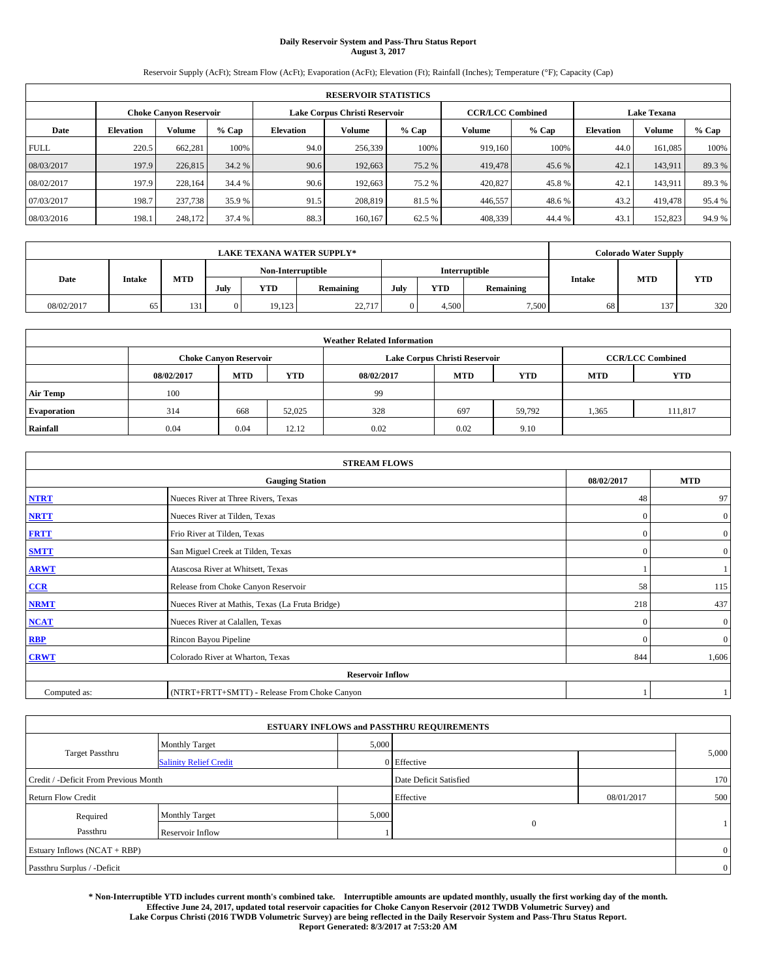# **Daily Reservoir System and Pass-Thru Status Report August 3, 2017**

Reservoir Supply (AcFt); Stream Flow (AcFt); Evaporation (AcFt); Elevation (Ft); Rainfall (Inches); Temperature (°F); Capacity (Cap)

|             | <b>RESERVOIR STATISTICS</b>   |               |        |           |                                                          |         |         |         |                    |         |       |
|-------------|-------------------------------|---------------|--------|-----------|----------------------------------------------------------|---------|---------|---------|--------------------|---------|-------|
|             | <b>Choke Canvon Reservoir</b> |               |        |           | Lake Corpus Christi Reservoir<br><b>CCR/LCC Combined</b> |         |         |         | <b>Lake Texana</b> |         |       |
| Date        | <b>Elevation</b>              | <b>Volume</b> | % Cap  | Elevation | Volume                                                   | $%$ Cap | Volume  | $%$ Cap | <b>Elevation</b>   | Volume  | % Cap |
| <b>FULL</b> | 220.5                         | 662.281       | 100%   | 94.0      | 256,339                                                  | 100%    | 919.160 | 100%    | 44.0               | 161.085 | 100%  |
| 08/03/2017  | 197.9                         | 226,815       | 34.2 % | 90.6      | 192,663                                                  | 75.2 %  | 419,478 | 45.6 %  | 42.1               | 143.911 | 89.3% |
| 08/02/2017  | 197.9                         | 228.164       | 34.4 % | 90.6      | 192,663                                                  | 75.2 %  | 420,827 | 45.8%   | 42.1               | 143.911 | 89.3% |
| 07/03/2017  | 198.7                         | 237,738       | 35.9 % | 91.5      | 208,819                                                  | 81.5 %  | 446,557 | 48.6 %  | 43.2               | 419,478 | 95.4% |
| 08/03/2016  | 198.1                         | 248,172       | 37.4 % | 88.3      | 160,167                                                  | 62.5 %  | 408,339 | 44.4 %  | 43.1               | 152,823 | 94.9% |

|            | <b>LAKE TEXANA WATER SUPPLY*</b> |            |                                           |            |           |      |            |           |               |            | <b>Colorado Water Supply</b> |  |  |
|------------|----------------------------------|------------|-------------------------------------------|------------|-----------|------|------------|-----------|---------------|------------|------------------------------|--|--|
|            | Intake                           |            | Non-Interruptible<br><b>Interruptible</b> |            |           |      |            |           |               |            |                              |  |  |
| Date       |                                  | <b>MTD</b> | July                                      | <b>YTD</b> | Remaining | July | <b>YTD</b> | Remaining | <b>Intake</b> | <b>MTD</b> | <b>YTD</b>                   |  |  |
| 08/02/2017 |                                  | 131        |                                           | 19.123     | 22,717    |      | 4,500      | 7,500     | 68            | 137        | 320                          |  |  |

| <b>Weather Related Information</b> |            |                               |            |            |                               |                         |            |            |  |
|------------------------------------|------------|-------------------------------|------------|------------|-------------------------------|-------------------------|------------|------------|--|
|                                    |            | <b>Choke Canyon Reservoir</b> |            |            | Lake Corpus Christi Reservoir | <b>CCR/LCC Combined</b> |            |            |  |
|                                    | 08/02/2017 | <b>MTD</b>                    | <b>YTD</b> | 08/02/2017 | <b>MTD</b>                    | <b>YTD</b>              | <b>MTD</b> | <b>YTD</b> |  |
| <b>Air Temp</b>                    | 100        |                               |            | 99         |                               |                         |            |            |  |
| <b>Evaporation</b>                 | 314        | 668                           | 52,025     | 328        | 697                           | 59.792                  | 1,365      | 111,817    |  |
| Rainfall                           | 0.04       | 0.04                          | 12.12      | 0.02       | 0.02                          | 9.10                    |            |            |  |

| <b>STREAM FLOWS</b> |                                                 |            |                |  |  |  |  |  |  |
|---------------------|-------------------------------------------------|------------|----------------|--|--|--|--|--|--|
|                     | 08/02/2017                                      | <b>MTD</b> |                |  |  |  |  |  |  |
| <b>NTRT</b>         | Nueces River at Three Rivers, Texas             | 48         | 97             |  |  |  |  |  |  |
| <b>NRTT</b>         | Nueces River at Tilden, Texas                   | $\Omega$   | $\overline{0}$ |  |  |  |  |  |  |
| <b>FRTT</b>         | Frio River at Tilden, Texas                     | $\Omega$   | $\mathbf{0}$   |  |  |  |  |  |  |
| <b>SMTT</b>         | San Miguel Creek at Tilden, Texas               | $\Omega$   | $\overline{0}$ |  |  |  |  |  |  |
| <b>ARWT</b>         | Atascosa River at Whitsett, Texas               |            |                |  |  |  |  |  |  |
| $CCR$               | Release from Choke Canyon Reservoir             | 58         | 115            |  |  |  |  |  |  |
| <b>NRMT</b>         | Nueces River at Mathis, Texas (La Fruta Bridge) | 218        | 437            |  |  |  |  |  |  |
| <b>NCAT</b>         | Nueces River at Calallen, Texas                 | $\Omega$   | $\overline{0}$ |  |  |  |  |  |  |
| RBP                 | Rincon Bayou Pipeline                           | $\Omega$   | $\overline{0}$ |  |  |  |  |  |  |
| <b>CRWT</b>         | Colorado River at Wharton, Texas                | 844        | 1,606          |  |  |  |  |  |  |
|                     | <b>Reservoir Inflow</b>                         |            |                |  |  |  |  |  |  |
| Computed as:        | (NTRT+FRTT+SMTT) - Release From Choke Canyon    |            |                |  |  |  |  |  |  |

|                                       |                               | <b>ESTUARY INFLOWS and PASSTHRU REQUIREMENTS</b> |                        |            |                |
|---------------------------------------|-------------------------------|--------------------------------------------------|------------------------|------------|----------------|
|                                       | <b>Monthly Target</b>         | 5,000                                            |                        |            |                |
| <b>Target Passthru</b>                | <b>Salinity Relief Credit</b> |                                                  | 0 Effective            |            | 5,000          |
| Credit / -Deficit From Previous Month |                               |                                                  | Date Deficit Satisfied |            | 170            |
| <b>Return Flow Credit</b>             |                               |                                                  | Effective              | 08/01/2017 | 500            |
| Required                              | <b>Monthly Target</b>         | 5,000                                            |                        |            |                |
| Passthru                              | <b>Reservoir Inflow</b>       |                                                  | $\mathbf{0}$           |            |                |
| Estuary Inflows (NCAT + RBP)          |                               |                                                  |                        |            | $\overline{0}$ |
| Passthru Surplus / -Deficit           |                               |                                                  |                        |            | $\overline{0}$ |

**\* Non-Interruptible YTD includes current month's combined take. Interruptible amounts are updated monthly, usually the first working day of the month. Effective June 24, 2017, updated total reservoir capacities for Choke Canyon Reservoir (2012 TWDB Volumetric Survey) and Lake Corpus Christi (2016 TWDB Volumetric Survey) are being reflected in the Daily Reservoir System and Pass-Thru Status Report. Report Generated: 8/3/2017 at 7:53:20 AM**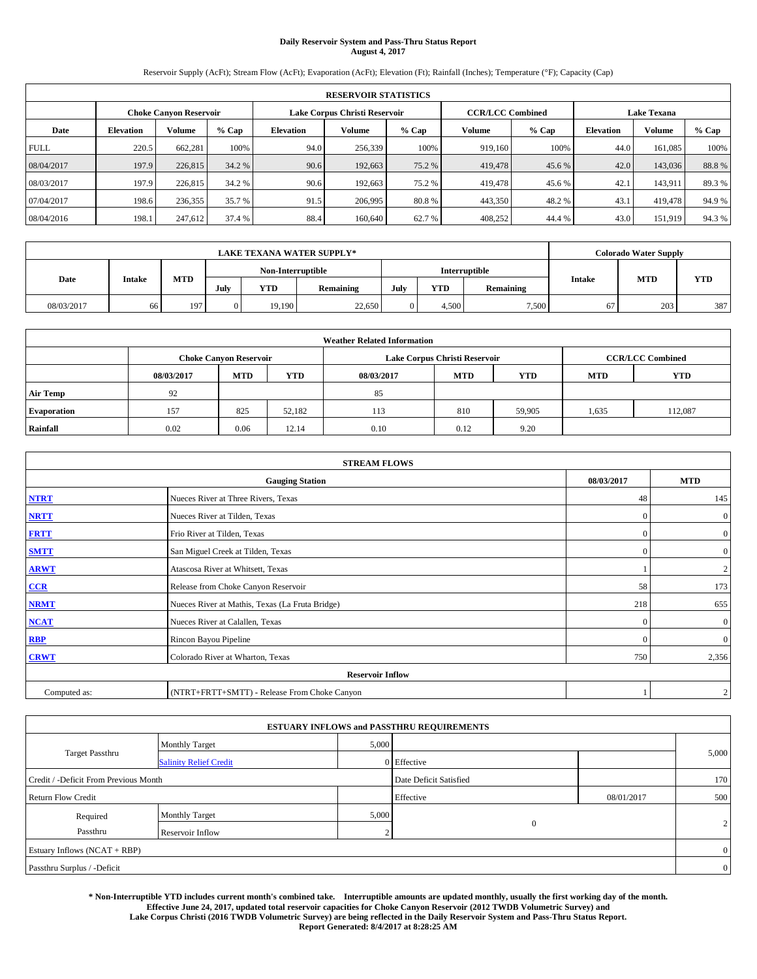# **Daily Reservoir System and Pass-Thru Status Report August 4, 2017**

Reservoir Supply (AcFt); Stream Flow (AcFt); Evaporation (AcFt); Elevation (Ft); Rainfall (Inches); Temperature (°F); Capacity (Cap)

| <b>RESERVOIR STATISTICS</b> |                  |                               |        |           |                               |         |                         |         |                    |         |       |
|-----------------------------|------------------|-------------------------------|--------|-----------|-------------------------------|---------|-------------------------|---------|--------------------|---------|-------|
|                             |                  | <b>Choke Canyon Reservoir</b> |        |           | Lake Corpus Christi Reservoir |         | <b>CCR/LCC Combined</b> |         | <b>Lake Texana</b> |         |       |
| Date                        | <b>Elevation</b> | Volume                        | % Cap  | Elevation | Volume                        | $%$ Cap | Volume                  | $%$ Cap | <b>Elevation</b>   | Volume  | % Cap |
| <b>FULL</b>                 | 220.5            | 662.281                       | 100%   | 94.0      | 256,339                       | 100%    | 919.160                 | 100%    | 44.0               | 161.085 | 100%  |
| 08/04/2017                  | 197.9            | 226,815                       | 34.2 % | 90.6      | 192,663                       | 75.2 %  | 419,478                 | 45.6 %  | 42.0               | 143,036 | 88.8% |
| 08/03/2017                  | 197.9            | 226,815                       | 34.2 % | 90.6      | 192,663                       | 75.2 %  | 419,478                 | 45.6 %  | 42.1               | 143.911 | 89.3% |
| 07/04/2017                  | 198.6            | 236,355                       | 35.7 % | 91.5      | 206,995                       | 80.8%   | 443,350                 | 48.2 %  | 43.1               | 419,478 | 94.9% |
| 08/04/2016                  | 198.1            | 247,612                       | 37.4 % | 88.4      | 160,640                       | 62.7%   | 408,252                 | 44.4 %  | 43.0               | 151,919 | 94.3% |

| <b>LAKE TEXANA WATER SUPPLY*</b> |        |            |          |                   |           |     |            |                      |               | <b>Colorado Water Supply</b> |            |
|----------------------------------|--------|------------|----------|-------------------|-----------|-----|------------|----------------------|---------------|------------------------------|------------|
|                                  |        |            |          | Non-Interruptible |           |     |            | <b>Interruptible</b> |               |                              |            |
| Date                             | Intake | <b>MTD</b> | July     | <b>YTD</b>        | Remaining | Jul | <b>YTD</b> | Remaining            | <b>Intake</b> | <b>MTD</b>                   | <b>YTD</b> |
| 08/03/2017                       | 66     | 197        | $\Omega$ | 19,190            | 22,650    |     | 4.500      | 7,500                | 67            | 203                          | 387        |

| <b>Weather Related Information</b> |            |                               |            |            |                               |                         |            |            |  |
|------------------------------------|------------|-------------------------------|------------|------------|-------------------------------|-------------------------|------------|------------|--|
|                                    |            | <b>Choke Canyon Reservoir</b> |            |            | Lake Corpus Christi Reservoir | <b>CCR/LCC Combined</b> |            |            |  |
|                                    | 08/03/2017 | <b>MTD</b>                    | <b>YTD</b> | 08/03/2017 | <b>MTD</b>                    | <b>YTD</b>              | <b>MTD</b> | <b>YTD</b> |  |
| <b>Air Temp</b>                    | 92         |                               |            | 85         |                               |                         |            |            |  |
| <b>Evaporation</b>                 | 157        | 825                           | 52.182     | 113        | 810                           | 59,905                  | 1,635      | 112.087    |  |
| Rainfall                           | 0.02       | 0.06                          | 12.14      | 0.10       | 0.12                          | 9.20                    |            |            |  |

| <b>STREAM FLOWS</b> |                                                 |              |                  |  |  |  |  |  |  |
|---------------------|-------------------------------------------------|--------------|------------------|--|--|--|--|--|--|
|                     | 08/03/2017                                      | <b>MTD</b>   |                  |  |  |  |  |  |  |
| <b>NTRT</b>         | Nueces River at Three Rivers, Texas             | 48           | 145              |  |  |  |  |  |  |
| <b>NRTT</b>         | Nueces River at Tilden, Texas                   | $\mathbf{0}$ | $\mathbf{0}$     |  |  |  |  |  |  |
| <b>FRTT</b>         | Frio River at Tilden, Texas                     | $\mathbf{0}$ | $\boldsymbol{0}$ |  |  |  |  |  |  |
| <b>SMTT</b>         | San Miguel Creek at Tilden, Texas               | $\mathbf{0}$ | $\overline{0}$   |  |  |  |  |  |  |
| <b>ARWT</b>         | Atascosa River at Whitsett, Texas               |              | 2                |  |  |  |  |  |  |
| $CCR$               | Release from Choke Canyon Reservoir             | 58           | 173              |  |  |  |  |  |  |
| <b>NRMT</b>         | Nueces River at Mathis, Texas (La Fruta Bridge) | 218          | 655              |  |  |  |  |  |  |
| <b>NCAT</b>         | Nueces River at Calallen, Texas                 | $\mathbf{0}$ | $\mathbf{0}$     |  |  |  |  |  |  |
| RBP                 | Rincon Bayou Pipeline                           | $\Omega$     | $\mathbf{0}$     |  |  |  |  |  |  |
| <b>CRWT</b>         | Colorado River at Wharton, Texas                | 750          | 2,356            |  |  |  |  |  |  |
|                     | <b>Reservoir Inflow</b>                         |              |                  |  |  |  |  |  |  |
| Computed as:        | (NTRT+FRTT+SMTT) - Release From Choke Canyon    |              | $\boldsymbol{2}$ |  |  |  |  |  |  |

|                                       |                               | <b>ESTUARY INFLOWS and PASSTHRU REQUIREMENTS</b> |                        |            |                |
|---------------------------------------|-------------------------------|--------------------------------------------------|------------------------|------------|----------------|
|                                       | <b>Monthly Target</b>         | 5,000                                            |                        |            |                |
| <b>Target Passthru</b>                | <b>Salinity Relief Credit</b> |                                                  | 0 Effective            |            | 5,000          |
| Credit / -Deficit From Previous Month |                               |                                                  | Date Deficit Satisfied |            | 170            |
| <b>Return Flow Credit</b>             |                               |                                                  | Effective              | 08/01/2017 | 500            |
| Required                              | Monthly Target                | 5,000                                            |                        |            |                |
| Passthru                              | <b>Reservoir Inflow</b>       | $\sim$                                           | $\mathbf{0}$           |            | 2              |
| Estuary Inflows $(NCAT + RBP)$        |                               |                                                  |                        |            | $\overline{0}$ |
| Passthru Surplus / -Deficit           |                               |                                                  |                        |            | $\overline{0}$ |

**\* Non-Interruptible YTD includes current month's combined take. Interruptible amounts are updated monthly, usually the first working day of the month. Effective June 24, 2017, updated total reservoir capacities for Choke Canyon Reservoir (2012 TWDB Volumetric Survey) and Lake Corpus Christi (2016 TWDB Volumetric Survey) are being reflected in the Daily Reservoir System and Pass-Thru Status Report. Report Generated: 8/4/2017 at 8:28:25 AM**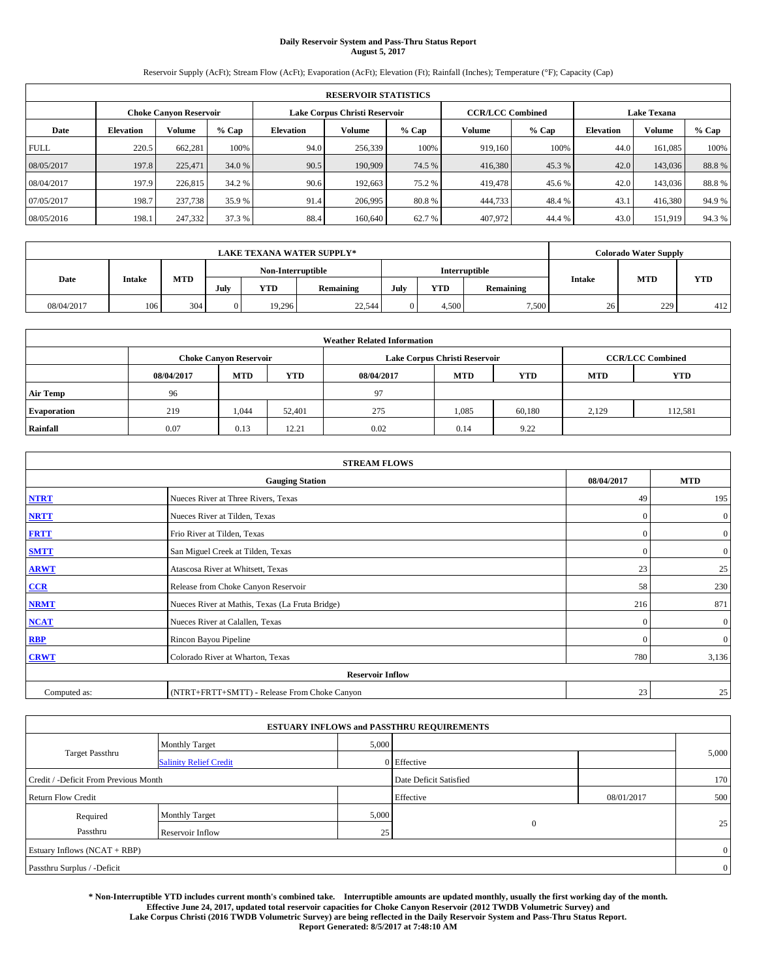# **Daily Reservoir System and Pass-Thru Status Report August 5, 2017**

Reservoir Supply (AcFt); Stream Flow (AcFt); Evaporation (AcFt); Elevation (Ft); Rainfall (Inches); Temperature (°F); Capacity (Cap)

| <b>RESERVOIR STATISTICS</b> |                  |                               |        |           |                               |         |                         |         |                    |         |       |
|-----------------------------|------------------|-------------------------------|--------|-----------|-------------------------------|---------|-------------------------|---------|--------------------|---------|-------|
|                             |                  | <b>Choke Canyon Reservoir</b> |        |           | Lake Corpus Christi Reservoir |         | <b>CCR/LCC Combined</b> |         | <b>Lake Texana</b> |         |       |
| Date                        | <b>Elevation</b> | Volume                        | % Cap  | Elevation | Volume                        | $%$ Cap | Volume                  | $%$ Cap | <b>Elevation</b>   | Volume  | % Cap |
| <b>FULL</b>                 | 220.5            | 662,281                       | 100%   | 94.0      | 256,339                       | 100%    | 919.160                 | 100%    | 44.0               | 161.085 | 100%  |
| 08/05/2017                  | 197.8            | 225,471                       | 34.0 % | 90.5      | 190,909                       | 74.5 %  | 416,380                 | 45.3 %  | 42.0               | 143,036 | 88.8% |
| 08/04/2017                  | 197.9            | 226,815                       | 34.2 % | 90.6      | 192,663                       | 75.2 %  | 419,478                 | 45.6 %  | 42.0               | 143,036 | 88.8% |
| 07/05/2017                  | 198.7            | 237,738                       | 35.9 % | 91.4      | 206,995                       | 80.8%   | 444,733                 | 48.4 %  | 43.1               | 416.380 | 94.9% |
| 08/05/2016                  | 198.1            | 247,332                       | 37.3 % | 88.4      | 160,640                       | 62.7%   | 407,972                 | 44.4 %  | 43.0               | 151,919 | 94.3% |

| <b>LAKE TEXANA WATER SUPPLY*</b> |        |            |          |                   |           |     |            |                      |               | <b>Colorado Water Supply</b> |            |
|----------------------------------|--------|------------|----------|-------------------|-----------|-----|------------|----------------------|---------------|------------------------------|------------|
|                                  |        |            |          | Non-Interruptible |           |     |            | <b>Interruptible</b> |               |                              |            |
| Date                             | Intake | <b>MTD</b> | July     | <b>YTD</b>        | Remaining | Jul | <b>YTD</b> | Remaining            | <b>Intake</b> | <b>MTD</b>                   | <b>YTD</b> |
| 08/04/2017                       | 106    | 304        | $\Omega$ | 19,296            | 22,544    |     | 4.500      | 7,500                | 26            | 229                          | 412        |

| <b>Weather Related Information</b> |            |                               |            |            |                               |                         |            |            |  |
|------------------------------------|------------|-------------------------------|------------|------------|-------------------------------|-------------------------|------------|------------|--|
|                                    |            | <b>Choke Canyon Reservoir</b> |            |            | Lake Corpus Christi Reservoir | <b>CCR/LCC Combined</b> |            |            |  |
|                                    | 08/04/2017 | <b>MTD</b>                    | <b>YTD</b> | 08/04/2017 | <b>MTD</b>                    | <b>YTD</b>              | <b>MTD</b> | <b>YTD</b> |  |
| <b>Air Temp</b>                    | 96         |                               |            | 97         |                               |                         |            |            |  |
| <b>Evaporation</b>                 | 219        | 1,044                         | 52,401     | 275        | 1,085                         | 60.180                  | 2,129      | 112,581    |  |
| Rainfall                           | 0.07       | 0.13                          | 12.21      | 0.02       | 0.14                          | 9.22                    |            |            |  |

| <b>STREAM FLOWS</b> |                                                 |              |                  |  |  |  |  |  |  |
|---------------------|-------------------------------------------------|--------------|------------------|--|--|--|--|--|--|
|                     | <b>Gauging Station</b>                          | 08/04/2017   | <b>MTD</b>       |  |  |  |  |  |  |
| <b>NTRT</b>         | Nueces River at Three Rivers, Texas             | 49           | 195              |  |  |  |  |  |  |
| <b>NRTT</b>         | Nueces River at Tilden, Texas                   | $\Omega$     | $\boldsymbol{0}$ |  |  |  |  |  |  |
| <b>FRTT</b>         | Frio River at Tilden, Texas                     | $\mathbf{0}$ | $\boldsymbol{0}$ |  |  |  |  |  |  |
| <b>SMTT</b>         | San Miguel Creek at Tilden, Texas               | $\mathbf{0}$ | $\mathbf{0}$     |  |  |  |  |  |  |
| <b>ARWT</b>         | Atascosa River at Whitsett, Texas               | 23           | 25               |  |  |  |  |  |  |
| CCR                 | Release from Choke Canyon Reservoir             | 58           | 230              |  |  |  |  |  |  |
| <b>NRMT</b>         | Nueces River at Mathis, Texas (La Fruta Bridge) | 216          | 871              |  |  |  |  |  |  |
| <b>NCAT</b>         | Nueces River at Calallen, Texas                 | $\Omega$     | $\boldsymbol{0}$ |  |  |  |  |  |  |
| RBP                 | Rincon Bayou Pipeline                           | $\Omega$     | $\mathbf{0}$     |  |  |  |  |  |  |
| <b>CRWT</b>         | Colorado River at Wharton, Texas                | 780          | 3,136            |  |  |  |  |  |  |
|                     | <b>Reservoir Inflow</b>                         |              |                  |  |  |  |  |  |  |
| Computed as:        | (NTRT+FRTT+SMTT) - Release From Choke Canyon    | 23           | 25               |  |  |  |  |  |  |

| <b>ESTUARY INFLOWS and PASSTHRU REQUIREMENTS</b> |                               |           |                        |     |                |  |  |  |  |  |
|--------------------------------------------------|-------------------------------|-----------|------------------------|-----|----------------|--|--|--|--|--|
|                                                  | <b>Monthly Target</b>         | 5,000     |                        |     |                |  |  |  |  |  |
| <b>Target Passthru</b>                           | <b>Salinity Relief Credit</b> |           | 0 Effective            |     | 5,000          |  |  |  |  |  |
| Credit / -Deficit From Previous Month            |                               |           | Date Deficit Satisfied |     | 170            |  |  |  |  |  |
| <b>Return Flow Credit</b>                        |                               | Effective | 08/01/2017             | 500 |                |  |  |  |  |  |
| Required                                         | Monthly Target                | 5,000     |                        |     |                |  |  |  |  |  |
| Passthru                                         | Reservoir Inflow              | 25        | $\overline{0}$         |     | 25             |  |  |  |  |  |
| Estuary Inflows (NCAT + RBP)                     |                               |           |                        |     |                |  |  |  |  |  |
| Passthru Surplus / -Deficit                      |                               |           |                        |     | $\overline{0}$ |  |  |  |  |  |

**\* Non-Interruptible YTD includes current month's combined take. Interruptible amounts are updated monthly, usually the first working day of the month. Effective June 24, 2017, updated total reservoir capacities for Choke Canyon Reservoir (2012 TWDB Volumetric Survey) and Lake Corpus Christi (2016 TWDB Volumetric Survey) are being reflected in the Daily Reservoir System and Pass-Thru Status Report. Report Generated: 8/5/2017 at 7:48:10 AM**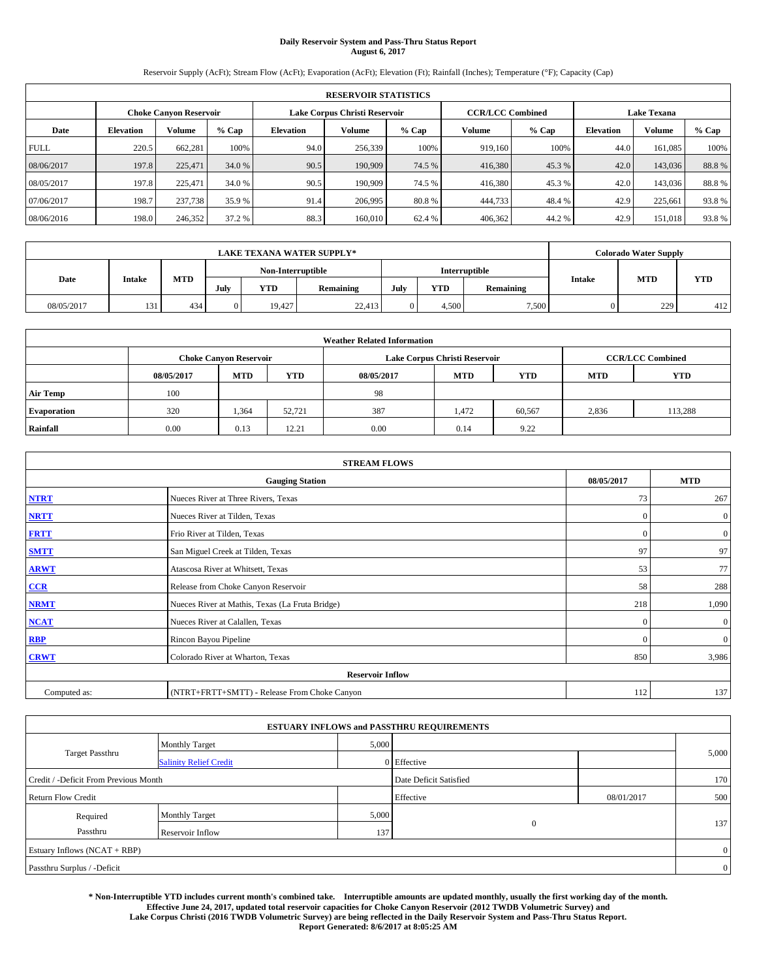# **Daily Reservoir System and Pass-Thru Status Report August 6, 2017**

Reservoir Supply (AcFt); Stream Flow (AcFt); Evaporation (AcFt); Elevation (Ft); Rainfall (Inches); Temperature (°F); Capacity (Cap)

| <b>RESERVOIR STATISTICS</b> |                  |                               |        |           |                               |         |                                               |         |                  |         |       |
|-----------------------------|------------------|-------------------------------|--------|-----------|-------------------------------|---------|-----------------------------------------------|---------|------------------|---------|-------|
|                             |                  | <b>Choke Canyon Reservoir</b> |        |           | Lake Corpus Christi Reservoir |         | <b>Lake Texana</b><br><b>CCR/LCC Combined</b> |         |                  |         |       |
| Date                        | <b>Elevation</b> | Volume                        | % Cap  | Elevation | Volume                        | $%$ Cap | Volume                                        | $%$ Cap | <b>Elevation</b> | Volume  | % Cap |
| <b>FULL</b>                 | 220.5            | 662.281                       | 100%   | 94.0      | 256,339                       | 100%    | 919.160                                       | 100%    | 44.0             | 161.085 | 100%  |
| 08/06/2017                  | 197.8            | 225,471                       | 34.0 % | 90.5      | 190,909                       | 74.5 %  | 416,380                                       | 45.3 %  | 42.0             | 143,036 | 88.8% |
| 08/05/2017                  | 197.8            | 225,471                       | 34.0 % | 90.5      | 190,909                       | 74.5 %  | 416,380                                       | 45.3 %  | 42.0             | 143,036 | 88.8% |
| 07/06/2017                  | 198.7            | 237,738                       | 35.9 % | 91.4      | 206,995                       | 80.8%   | 444,733                                       | 48.4 %  | 42.9             | 225.661 | 93.8% |
| 08/06/2016                  | 198.0            | 246,352                       | 37.2 % | 88.3      | 160,010                       | 62.4 %  | 406,362                                       | 44.2 %  | 42.9             | 151.018 | 93.8% |

|            | <b>LAKE TEXANA WATER SUPPLY*</b> |            |          |                                           |           |      |            |           |               | <b>Colorado Water Supply</b> |            |  |
|------------|----------------------------------|------------|----------|-------------------------------------------|-----------|------|------------|-----------|---------------|------------------------------|------------|--|
| Date       |                                  |            |          | Non-Interruptible<br><b>Interruptible</b> |           |      |            |           |               |                              |            |  |
|            | Intake                           | <b>MTD</b> | July     | <b>YTD</b>                                | Remaining | July | <b>YTD</b> | Remaining | <b>Intake</b> | <b>MTD</b>                   | <b>YTD</b> |  |
| 08/05/2017 | 131                              | 434        | $\Omega$ | 19.427                                    | 22,413    |      | 4,500      | 7,500     |               | 229                          | 412        |  |

| <b>Weather Related Information</b> |            |                               |            |            |                               |        |                         |         |  |  |
|------------------------------------|------------|-------------------------------|------------|------------|-------------------------------|--------|-------------------------|---------|--|--|
|                                    |            | <b>Choke Canyon Reservoir</b> |            |            | Lake Corpus Christi Reservoir |        | <b>CCR/LCC Combined</b> |         |  |  |
|                                    | 08/05/2017 | <b>MTD</b>                    | <b>MTD</b> | <b>YTD</b> |                               |        |                         |         |  |  |
| <b>Air Temp</b>                    | 100        |                               |            | 98         |                               |        |                         |         |  |  |
| <b>Evaporation</b>                 | 320        | 1,364                         | 52.721     | 387        | 1.472                         | 60,567 | 2,836                   | 113,288 |  |  |
| Rainfall                           | 0.00       | 0.13                          | 12.21      | 0.00       | 0.14                          | 9.22   |                         |         |  |  |

| <b>STREAM FLOWS</b> |                                                 |              |              |  |  |  |  |  |  |
|---------------------|-------------------------------------------------|--------------|--------------|--|--|--|--|--|--|
|                     | <b>Gauging Station</b>                          | 08/05/2017   | <b>MTD</b>   |  |  |  |  |  |  |
| <b>NTRT</b>         | Nueces River at Three Rivers, Texas             | 73           | 267          |  |  |  |  |  |  |
| <b>NRTT</b>         | Nueces River at Tilden, Texas                   | $\mathbf{0}$ | $\mathbf{0}$ |  |  |  |  |  |  |
| <b>FRTT</b>         | Frio River at Tilden, Texas                     | $\mathbf{0}$ | $\mathbf{0}$ |  |  |  |  |  |  |
| <b>SMTT</b>         | San Miguel Creek at Tilden, Texas               | 97           | 97           |  |  |  |  |  |  |
| <b>ARWT</b>         | Atascosa River at Whitsett, Texas               |              |              |  |  |  |  |  |  |
| $CCR$               | 58                                              | 288          |              |  |  |  |  |  |  |
| <b>NRMT</b>         | Nueces River at Mathis, Texas (La Fruta Bridge) | 218          | 1,090        |  |  |  |  |  |  |
| <b>NCAT</b>         | Nueces River at Calallen, Texas                 | $\theta$     | $\mathbf{0}$ |  |  |  |  |  |  |
| RBP                 | Rincon Bayou Pipeline                           | $\mathbf{0}$ | $\mathbf{0}$ |  |  |  |  |  |  |
| <b>CRWT</b>         | Colorado River at Wharton, Texas                | 850          | 3,986        |  |  |  |  |  |  |
|                     | <b>Reservoir Inflow</b>                         |              |              |  |  |  |  |  |  |
| Computed as:        | (NTRT+FRTT+SMTT) - Release From Choke Canyon    | 112          | 137          |  |  |  |  |  |  |

| <b>ESTUARY INFLOWS and PASSTHRU REQUIREMENTS</b> |                               |       |                        |            |                |  |  |  |  |  |
|--------------------------------------------------|-------------------------------|-------|------------------------|------------|----------------|--|--|--|--|--|
|                                                  | <b>Monthly Target</b>         | 5,000 |                        |            |                |  |  |  |  |  |
| <b>Target Passthru</b>                           | <b>Salinity Relief Credit</b> |       | $0$ Effective          |            | 5,000          |  |  |  |  |  |
| Credit / -Deficit From Previous Month            |                               |       | Date Deficit Satisfied |            | 170            |  |  |  |  |  |
| <b>Return Flow Credit</b>                        |                               |       | Effective              | 08/01/2017 | 500            |  |  |  |  |  |
| Required                                         | <b>Monthly Target</b>         | 5,000 |                        |            |                |  |  |  |  |  |
| Passthru                                         | Reservoir Inflow              | 137   | $\mathbf{0}$           |            | 137            |  |  |  |  |  |
| Estuary Inflows (NCAT + RBP)                     |                               |       |                        |            |                |  |  |  |  |  |
| Passthru Surplus / -Deficit                      |                               |       |                        |            | $\overline{0}$ |  |  |  |  |  |

**\* Non-Interruptible YTD includes current month's combined take. Interruptible amounts are updated monthly, usually the first working day of the month. Effective June 24, 2017, updated total reservoir capacities for Choke Canyon Reservoir (2012 TWDB Volumetric Survey) and Lake Corpus Christi (2016 TWDB Volumetric Survey) are being reflected in the Daily Reservoir System and Pass-Thru Status Report. Report Generated: 8/6/2017 at 8:05:25 AM**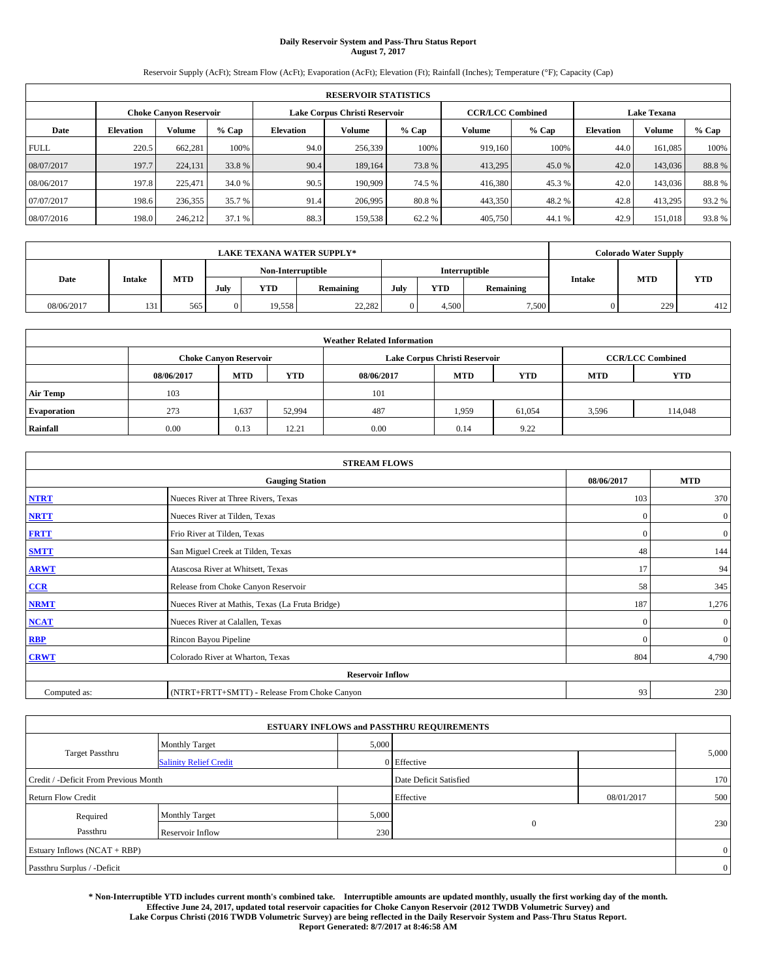# **Daily Reservoir System and Pass-Thru Status Report August 7, 2017**

Reservoir Supply (AcFt); Stream Flow (AcFt); Evaporation (AcFt); Elevation (Ft); Rainfall (Inches); Temperature (°F); Capacity (Cap)

| <b>RESERVOIR STATISTICS</b> |                  |                               |        |           |                               |         |                                               |         |                  |         |       |
|-----------------------------|------------------|-------------------------------|--------|-----------|-------------------------------|---------|-----------------------------------------------|---------|------------------|---------|-------|
|                             |                  | <b>Choke Canyon Reservoir</b> |        |           | Lake Corpus Christi Reservoir |         | <b>Lake Texana</b><br><b>CCR/LCC Combined</b> |         |                  |         |       |
| Date                        | <b>Elevation</b> | Volume                        | % Cap  | Elevation | Volume                        | $%$ Cap | Volume                                        | $%$ Cap | <b>Elevation</b> | Volume  | % Cap |
| <b>FULL</b>                 | 220.5            | 662.281                       | 100%   | 94.0      | 256,339                       | 100%    | 919.160                                       | 100%    | 44.0             | 161.085 | 100%  |
| 08/07/2017                  | 197.7            | 224,131                       | 33.8%  | 90.4      | 189,164                       | 73.8%   | 413,295                                       | 45.0 %  | 42.0             | 143,036 | 88.8% |
| 08/06/2017                  | 197.8            | 225,471                       | 34.0 % | 90.5      | 190,909                       | 74.5 %  | 416,380                                       | 45.3 %  | 42.0             | 143,036 | 88.8% |
| 07/07/2017                  | 198.6            | 236,355                       | 35.7 % | 91.4      | 206,995                       | 80.8%   | 443,350                                       | 48.2 %  | 42.8             | 413.295 | 93.2% |
| 08/07/2016                  | 198.0            | 246,212                       | 37.1 % | 88.3      | 159,538                       | 62.2 %  | 405,750                                       | 44.1 %  | 42.9             | 151.018 | 93.8% |

|            | <b>LAKE TEXANA WATER SUPPLY*</b> |            |                   |            |           |                      |            |           |               | <b>Colorado Water Supply</b> |            |  |
|------------|----------------------------------|------------|-------------------|------------|-----------|----------------------|------------|-----------|---------------|------------------------------|------------|--|
| Date       |                                  |            | Non-Interruptible |            |           | <b>Interruptible</b> |            |           |               |                              |            |  |
|            | Intake                           | <b>MTD</b> | July              | <b>YTD</b> | Remaining | July                 | <b>YTD</b> | Remaining | <b>Intake</b> | <b>MTD</b>                   | <b>YTD</b> |  |
| 08/06/2017 | 131                              | 565        | $\Omega$          | 19.558     | 22,282    |                      | 4,500      | 7,500     |               | 229                          | 412        |  |

| <b>Weather Related Information</b> |            |                               |            |            |                               |            |                         |         |  |  |
|------------------------------------|------------|-------------------------------|------------|------------|-------------------------------|------------|-------------------------|---------|--|--|
|                                    |            | <b>Choke Canyon Reservoir</b> |            |            | Lake Corpus Christi Reservoir |            | <b>CCR/LCC Combined</b> |         |  |  |
|                                    | 08/06/2017 | <b>MTD</b>                    | <b>YTD</b> | 08/06/2017 | <b>MTD</b>                    | <b>YTD</b> |                         |         |  |  |
| <b>Air Temp</b>                    | 103        |                               |            | 101        |                               |            |                         |         |  |  |
| <b>Evaporation</b>                 | 273        | 1,637                         | 52,994     | 487        | 1,959                         | 61,054     | 3,596                   | 114,048 |  |  |
| Rainfall                           | 0.00       | 0.13                          | 12.21      | 0.00       | 0.14                          | 9.22       |                         |         |  |  |

| <b>STREAM FLOWS</b> |                                                 |              |                  |  |  |  |  |  |  |
|---------------------|-------------------------------------------------|--------------|------------------|--|--|--|--|--|--|
|                     | <b>Gauging Station</b>                          | 08/06/2017   | <b>MTD</b>       |  |  |  |  |  |  |
| <b>NTRT</b>         | Nueces River at Three Rivers, Texas             | 103          | 370              |  |  |  |  |  |  |
| <b>NRTT</b>         | Nueces River at Tilden, Texas                   | $\mathbf{0}$ | $\boldsymbol{0}$ |  |  |  |  |  |  |
| <b>FRTT</b>         | Frio River at Tilden, Texas                     | $\mathbf{0}$ | $\mathbf{0}$     |  |  |  |  |  |  |
| <b>SMTT</b>         | San Miguel Creek at Tilden, Texas               | 48           | 144              |  |  |  |  |  |  |
| <b>ARWT</b>         | Atascosa River at Whitsett, Texas               |              |                  |  |  |  |  |  |  |
| $CCR$               | Release from Choke Canyon Reservoir             | 58           | 345              |  |  |  |  |  |  |
| <b>NRMT</b>         | Nueces River at Mathis, Texas (La Fruta Bridge) | 187          | 1,276            |  |  |  |  |  |  |
| <b>NCAT</b>         | Nueces River at Calallen, Texas                 | $\mathbf{0}$ | $\mathbf{0}$     |  |  |  |  |  |  |
| RBP                 | Rincon Bayou Pipeline                           | $\Omega$     | $\mathbf{0}$     |  |  |  |  |  |  |
| <b>CRWT</b>         | Colorado River at Wharton, Texas                | 804          | 4,790            |  |  |  |  |  |  |
|                     | <b>Reservoir Inflow</b>                         |              |                  |  |  |  |  |  |  |
| Computed as:        | (NTRT+FRTT+SMTT) - Release From Choke Canyon    | 93           | 230              |  |  |  |  |  |  |

| <b>ESTUARY INFLOWS and PASSTHRU REQUIREMENTS</b> |                               |       |                        |            |                |  |  |  |  |  |
|--------------------------------------------------|-------------------------------|-------|------------------------|------------|----------------|--|--|--|--|--|
|                                                  | <b>Monthly Target</b>         | 5,000 |                        |            |                |  |  |  |  |  |
| Target Passthru                                  | <b>Salinity Relief Credit</b> |       | 0 Effective            |            | 5,000          |  |  |  |  |  |
| Credit / -Deficit From Previous Month            |                               |       | Date Deficit Satisfied |            | 170            |  |  |  |  |  |
| <b>Return Flow Credit</b>                        |                               |       | Effective              | 08/01/2017 | 500            |  |  |  |  |  |
| Required                                         | <b>Monthly Target</b>         | 5,000 |                        |            |                |  |  |  |  |  |
| Passthru                                         | Reservoir Inflow              | 230   | $\overline{0}$         |            | 230            |  |  |  |  |  |
| Estuary Inflows (NCAT + RBP)                     |                               |       |                        |            | $\overline{0}$ |  |  |  |  |  |
| Passthru Surplus / -Deficit                      |                               |       |                        |            | $\overline{0}$ |  |  |  |  |  |

**\* Non-Interruptible YTD includes current month's combined take. Interruptible amounts are updated monthly, usually the first working day of the month. Effective June 24, 2017, updated total reservoir capacities for Choke Canyon Reservoir (2012 TWDB Volumetric Survey) and Lake Corpus Christi (2016 TWDB Volumetric Survey) are being reflected in the Daily Reservoir System and Pass-Thru Status Report. Report Generated: 8/7/2017 at 8:46:58 AM**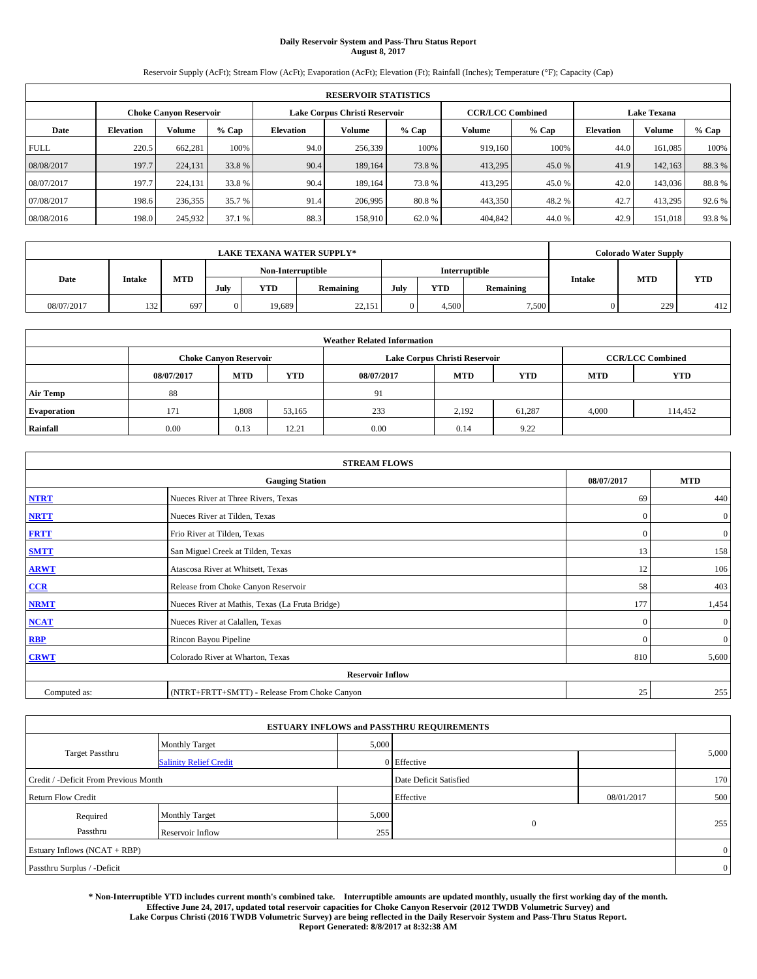# **Daily Reservoir System and Pass-Thru Status Report August 8, 2017**

Reservoir Supply (AcFt); Stream Flow (AcFt); Evaporation (AcFt); Elevation (Ft); Rainfall (Inches); Temperature (°F); Capacity (Cap)

| <b>RESERVOIR STATISTICS</b> |                  |                               |        |           |                               |         |                                               |         |                  |         |       |
|-----------------------------|------------------|-------------------------------|--------|-----------|-------------------------------|---------|-----------------------------------------------|---------|------------------|---------|-------|
|                             |                  | <b>Choke Canyon Reservoir</b> |        |           | Lake Corpus Christi Reservoir |         | <b>Lake Texana</b><br><b>CCR/LCC Combined</b> |         |                  |         |       |
| Date                        | <b>Elevation</b> | Volume                        | % Cap  | Elevation | Volume                        | $%$ Cap | Volume                                        | $%$ Cap | <b>Elevation</b> | Volume  | % Cap |
| <b>FULL</b>                 | 220.5            | 662.281                       | 100%   | 94.0      | 256,339                       | 100%    | 919.160                                       | 100%    | 44.0             | 161.085 | 100%  |
| 08/08/2017                  | 197.7            | 224,131                       | 33.8%  | 90.4      | 189,164                       | 73.8%   | 413,295                                       | 45.0 %  | 41.9             | 142,163 | 88.3% |
| 08/07/2017                  | 197.7            | 224,131                       | 33.8 % | 90.4      | 189.164                       | 73.8%   | 413,295                                       | 45.0 %  | 42.0             | 143,036 | 88.8% |
| 07/08/2017                  | 198.6            | 236,355                       | 35.7 % | 91.4      | 206,995                       | 80.8%   | 443,350                                       | 48.2 %  | 42.7             | 413.295 | 92.6% |
| 08/08/2016                  | 198.0            | 245,932                       | 37.1 % | 88.3      | 158,910                       | 62.0%   | 404,842                                       | 44.0 %  | 42.9             | 151.018 | 93.8% |

|            | <b>LAKE TEXANA WATER SUPPLY*</b> |            |                   |            |           |      |            |                      |               | <b>Colorado Water Supply</b> |            |
|------------|----------------------------------|------------|-------------------|------------|-----------|------|------------|----------------------|---------------|------------------------------|------------|
|            |                                  |            | Non-Interruptible |            |           |      |            | <b>Interruptible</b> |               |                              |            |
| Date       | Intake                           | <b>MTD</b> | July              | <b>YTD</b> | Remaining | July | <b>YTD</b> | Remaining            | <b>Intake</b> | <b>MTD</b>                   | <b>YTD</b> |
| 08/07/2017 | 132<br>ا سال د                   | 697        |                   | 19.689     | 22,151    |      | 4,500      | 7,500                |               | 229                          | 412        |

|                    | <b>Weather Related Information</b> |                               |            |            |                               |                         |            |            |  |  |  |  |
|--------------------|------------------------------------|-------------------------------|------------|------------|-------------------------------|-------------------------|------------|------------|--|--|--|--|
|                    |                                    | <b>Choke Canyon Reservoir</b> |            |            | Lake Corpus Christi Reservoir | <b>CCR/LCC Combined</b> |            |            |  |  |  |  |
|                    | 08/07/2017                         | <b>MTD</b>                    | <b>YTD</b> | 08/07/2017 | <b>MTD</b>                    | <b>YTD</b>              | <b>MTD</b> | <b>YTD</b> |  |  |  |  |
| <b>Air Temp</b>    | 88                                 |                               |            | 91         |                               |                         |            |            |  |  |  |  |
| <b>Evaporation</b> | 171                                | 1,808                         | 53,165     | 233        | 2,192                         | 61.287                  | 4,000      | 114,452    |  |  |  |  |
| Rainfall           | 0.00                               | 0.13                          | 12.21      | 0.00       | 0.14                          | 9.22                    |            |            |  |  |  |  |

| <b>STREAM FLOWS</b> |                                                 |              |                  |  |  |  |  |  |
|---------------------|-------------------------------------------------|--------------|------------------|--|--|--|--|--|
|                     | <b>Gauging Station</b>                          | 08/07/2017   | <b>MTD</b>       |  |  |  |  |  |
| <b>NTRT</b>         | Nueces River at Three Rivers, Texas             | -69          | 440              |  |  |  |  |  |
| <b>NRTT</b>         | Nueces River at Tilden, Texas                   | $\mathbf{0}$ | $\boldsymbol{0}$ |  |  |  |  |  |
| <b>FRTT</b>         | Frio River at Tilden, Texas                     | $\mathbf{0}$ | $\mathbf{0}$     |  |  |  |  |  |
| <b>SMTT</b>         | San Miguel Creek at Tilden, Texas               | 13           | 158              |  |  |  |  |  |
| <b>ARWT</b>         | Atascosa River at Whitsett, Texas               | 12           | 106              |  |  |  |  |  |
| $CCR$               | Release from Choke Canyon Reservoir             | 58           | 403              |  |  |  |  |  |
| <b>NRMT</b>         | Nueces River at Mathis, Texas (La Fruta Bridge) | 177          | 1,454            |  |  |  |  |  |
| <b>NCAT</b>         | Nueces River at Calallen, Texas                 | $\mathbf{0}$ | $\mathbf{0}$     |  |  |  |  |  |
| RBP                 | Rincon Bayou Pipeline                           | $\Omega$     | $\mathbf{0}$     |  |  |  |  |  |
| <b>CRWT</b>         | Colorado River at Wharton, Texas                | 810          | 5,600            |  |  |  |  |  |
|                     | <b>Reservoir Inflow</b>                         |              |                  |  |  |  |  |  |
| Computed as:        | (NTRT+FRTT+SMTT) - Release From Choke Canyon    | 25           | 255              |  |  |  |  |  |

|                                       |                               |       | <b>ESTUARY INFLOWS and PASSTHRU REQUIREMENTS</b> |            |                |
|---------------------------------------|-------------------------------|-------|--------------------------------------------------|------------|----------------|
|                                       | <b>Monthly Target</b>         | 5,000 |                                                  |            |                |
| <b>Target Passthru</b>                | <b>Salinity Relief Credit</b> |       | 0 Effective                                      |            | 5,000          |
| Credit / -Deficit From Previous Month |                               |       | Date Deficit Satisfied                           |            | 170            |
| <b>Return Flow Credit</b>             |                               |       | Effective                                        | 08/01/2017 | 500            |
| Required                              | <b>Monthly Target</b>         | 5,000 |                                                  |            |                |
| Passthru                              | Reservoir Inflow              | 255   | $\mathbf{0}$                                     |            | 255            |
| Estuary Inflows (NCAT + RBP)          |                               |       |                                                  |            | $\overline{0}$ |
| Passthru Surplus / -Deficit           |                               |       |                                                  |            | $\overline{0}$ |

**\* Non-Interruptible YTD includes current month's combined take. Interruptible amounts are updated monthly, usually the first working day of the month. Effective June 24, 2017, updated total reservoir capacities for Choke Canyon Reservoir (2012 TWDB Volumetric Survey) and Lake Corpus Christi (2016 TWDB Volumetric Survey) are being reflected in the Daily Reservoir System and Pass-Thru Status Report. Report Generated: 8/8/2017 at 8:32:38 AM**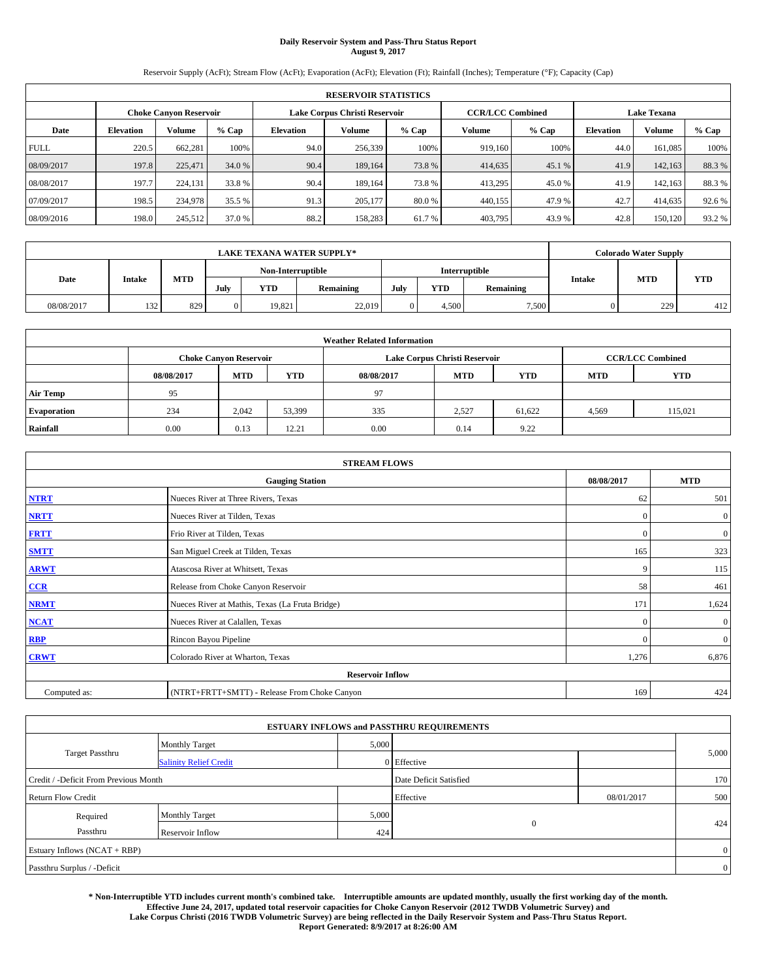# **Daily Reservoir System and Pass-Thru Status Report August 9, 2017**

Reservoir Supply (AcFt); Stream Flow (AcFt); Evaporation (AcFt); Elevation (Ft); Rainfall (Inches); Temperature (°F); Capacity (Cap)

| <b>RESERVOIR STATISTICS</b> |                  |                               |        |                               |                             |       |                         |                  |                    |         |       |  |
|-----------------------------|------------------|-------------------------------|--------|-------------------------------|-----------------------------|-------|-------------------------|------------------|--------------------|---------|-------|--|
|                             |                  | <b>Choke Canyon Reservoir</b> |        | Lake Corpus Christi Reservoir |                             |       | <b>CCR/LCC Combined</b> |                  | <b>Lake Texana</b> |         |       |  |
| Date                        | <b>Elevation</b> | Volume                        | % Cap  | Elevation                     | Volume<br>$%$ Cap<br>Volume |       | $%$ Cap                 | <b>Elevation</b> | Volume             | % Cap   |       |  |
| <b>FULL</b>                 | 220.5            | 662.281                       | 100%   | 94.0                          | 256,339                     | 100%  | 919.160                 | 100%             | 44.0               | 161.085 | 100%  |  |
| 08/09/2017                  | 197.8            | 225,471                       | 34.0 % | 90.4                          | 189,164                     | 73.8% | 414,635                 | 45.1 %           | 41.9               | 142,163 | 88.3% |  |
| 08/08/2017                  | 197.7            | 224,131                       | 33.8 % | 90.4                          | 189.164                     | 73.8% | 413,295                 | 45.0 %           | 41.9               | 142.163 | 88.3% |  |
| 07/09/2017                  | 198.5            | 234,978                       | 35.5 % | 91.3                          | 205,177                     | 80.0% | 440,155                 | 47.9 %           | 42.7               | 414,635 | 92.6% |  |
| 08/09/2016                  | 198.0            | 245,512                       | 37.0 % | 88.2                          | 158,283                     | 61.7% | 403,795                 | 43.9 %           | 42.8               | 150,120 | 93.2% |  |

|            | <b>LAKE TEXANA WATER SUPPLY*</b> |            |                                                                                                   |        |            |  |       |       |  |     | <b>Colorado Water Supply</b> |
|------------|----------------------------------|------------|---------------------------------------------------------------------------------------------------|--------|------------|--|-------|-------|--|-----|------------------------------|
|            |                                  |            | Non-Interruptible<br><b>Interruptible</b>                                                         |        |            |  |       |       |  |     |                              |
| Date       | Intake                           | <b>MTD</b> | <b>MTD</b><br><b>Intake</b><br><b>YTD</b><br><b>YTD</b><br>July<br>July<br>Remaining<br>Remaining |        | <b>YTD</b> |  |       |       |  |     |                              |
| 08/08/2017 | 132<br>194                       | 829        | 0                                                                                                 | 19,821 | 22,019     |  | 4,500 | 7,500 |  | 229 | 412                          |

|                    | <b>Weather Related Information</b> |                               |            |            |                               |                         |            |         |  |  |  |  |
|--------------------|------------------------------------|-------------------------------|------------|------------|-------------------------------|-------------------------|------------|---------|--|--|--|--|
|                    |                                    | <b>Choke Canyon Reservoir</b> |            |            | Lake Corpus Christi Reservoir | <b>CCR/LCC Combined</b> |            |         |  |  |  |  |
|                    | 08/08/2017                         | <b>MTD</b>                    | <b>YTD</b> | 08/08/2017 | <b>MTD</b>                    | <b>MTD</b>              | <b>YTD</b> |         |  |  |  |  |
| <b>Air Temp</b>    | 95                                 |                               |            | 97         |                               |                         |            |         |  |  |  |  |
| <b>Evaporation</b> | 234                                | 2,042                         | 53,399     | 335        | 2,527                         | 61,622                  | 4,569      | 115.021 |  |  |  |  |
| Rainfall           | 0.00                               | 0.13                          | 12.21      | 0.00       | 0.14                          | 9.22                    |            |         |  |  |  |  |

| <b>STREAM FLOWS</b> |                                                 |              |                  |  |  |  |  |  |
|---------------------|-------------------------------------------------|--------------|------------------|--|--|--|--|--|
|                     | <b>Gauging Station</b>                          | 08/08/2017   | <b>MTD</b>       |  |  |  |  |  |
| <b>NTRT</b>         | Nueces River at Three Rivers, Texas             | 62           | 501              |  |  |  |  |  |
| <b>NRTT</b>         | Nueces River at Tilden, Texas                   | $\mathbf{0}$ | $\boldsymbol{0}$ |  |  |  |  |  |
| <b>FRTT</b>         | Frio River at Tilden, Texas                     | $\mathbf{0}$ | $\mathbf{0}$     |  |  |  |  |  |
| <b>SMTT</b>         | San Miguel Creek at Tilden, Texas               | 165          | 323              |  |  |  |  |  |
| <b>ARWT</b>         | Atascosa River at Whitsett, Texas               | 9            | 115              |  |  |  |  |  |
| $CCR$               | Release from Choke Canyon Reservoir             | 58           | 461              |  |  |  |  |  |
| <b>NRMT</b>         | Nueces River at Mathis, Texas (La Fruta Bridge) | 171          | 1,624            |  |  |  |  |  |
| <b>NCAT</b>         | Nueces River at Calallen, Texas                 | $\mathbf{0}$ | $\mathbf{0}$     |  |  |  |  |  |
| RBP                 | Rincon Bayou Pipeline                           | $\Omega$     | $\mathbf{0}$     |  |  |  |  |  |
| <b>CRWT</b>         | Colorado River at Wharton, Texas                | 1,276        | 6,876            |  |  |  |  |  |
|                     | <b>Reservoir Inflow</b>                         |              |                  |  |  |  |  |  |
| Computed as:        | (NTRT+FRTT+SMTT) - Release From Choke Canyon    | 169          | 424              |  |  |  |  |  |

|                                       |                               |       | <b>ESTUARY INFLOWS and PASSTHRU REQUIREMENTS</b> |            |                |
|---------------------------------------|-------------------------------|-------|--------------------------------------------------|------------|----------------|
|                                       | <b>Monthly Target</b>         | 5,000 |                                                  |            |                |
| <b>Target Passthru</b>                | <b>Salinity Relief Credit</b> |       | 0 Effective                                      |            | 5,000          |
| Credit / -Deficit From Previous Month |                               |       | Date Deficit Satisfied                           |            | 170            |
| <b>Return Flow Credit</b>             |                               |       | Effective                                        | 08/01/2017 | 500            |
| Required                              | <b>Monthly Target</b>         | 5,000 |                                                  |            |                |
| Passthru                              | Reservoir Inflow              | 424   | $\mathbf{0}$                                     |            | 424            |
| Estuary Inflows (NCAT + RBP)          |                               |       |                                                  |            | $\overline{0}$ |
| Passthru Surplus / -Deficit           |                               |       |                                                  |            | $\overline{0}$ |

**\* Non-Interruptible YTD includes current month's combined take. Interruptible amounts are updated monthly, usually the first working day of the month. Effective June 24, 2017, updated total reservoir capacities for Choke Canyon Reservoir (2012 TWDB Volumetric Survey) and Lake Corpus Christi (2016 TWDB Volumetric Survey) are being reflected in the Daily Reservoir System and Pass-Thru Status Report. Report Generated: 8/9/2017 at 8:26:00 AM**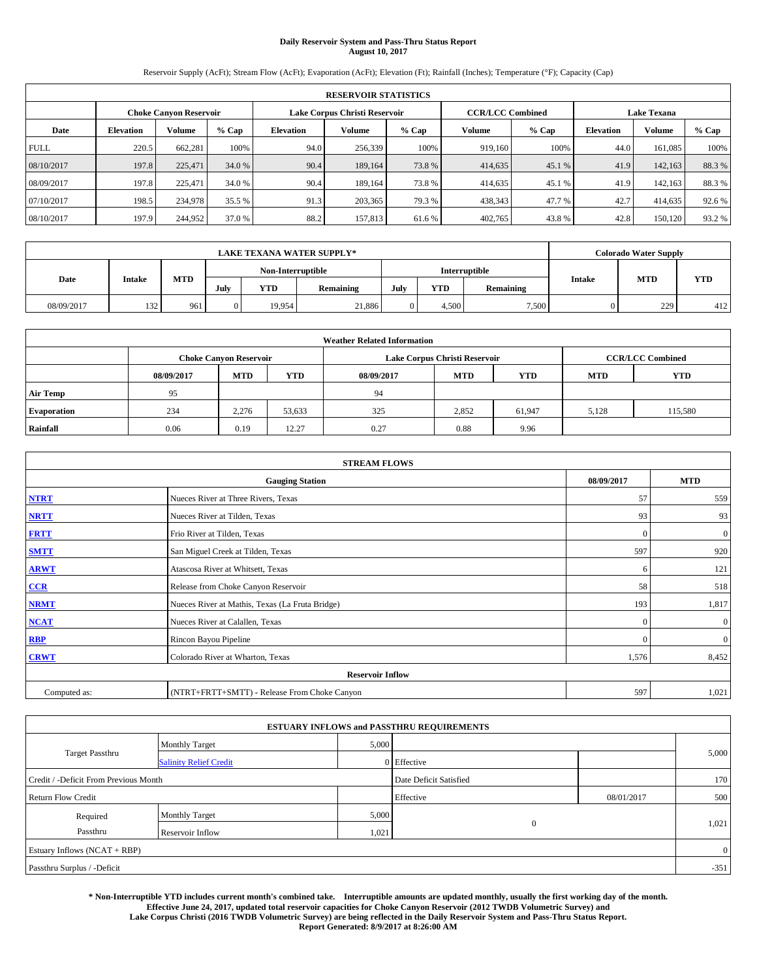# **Daily Reservoir System and Pass-Thru Status Report August 10, 2017**

Reservoir Supply (AcFt); Stream Flow (AcFt); Evaporation (AcFt); Elevation (Ft); Rainfall (Inches); Temperature (°F); Capacity (Cap)

|             | <b>RESERVOIR STATISTICS</b> |                               |         |                               |         |         |                         |         |                    |         |       |  |  |
|-------------|-----------------------------|-------------------------------|---------|-------------------------------|---------|---------|-------------------------|---------|--------------------|---------|-------|--|--|
|             |                             | <b>Choke Canvon Reservoir</b> |         | Lake Corpus Christi Reservoir |         |         | <b>CCR/LCC Combined</b> |         | <b>Lake Texana</b> |         |       |  |  |
| Date        | <b>Elevation</b>            | <b>Volume</b>                 | $%$ Cap | <b>Elevation</b>              | Volume  | $%$ Cap | Volume                  | $%$ Cap | <b>Elevation</b>   | Volume  | % Cap |  |  |
| <b>FULL</b> | 220.5                       | 662.281                       | 100%    | 94.0                          | 256,339 | 100%    | 919,160                 | 100%    | 44.0               | 161.085 | 100%  |  |  |
| 08/10/2017  | 197.8                       | 225,471                       | 34.0 %  | 90.4                          | 189,164 | 73.8%   | 414,635                 | 45.1 %  | 41.9               | 142,163 | 88.3% |  |  |
| 08/09/2017  | 197.8                       | 225,471                       | 34.0 %  | 90.4                          | 189.164 | 73.8%   | 414,635                 | 45.1 %  | 41.9               | 142.163 | 88.3% |  |  |
| 07/10/2017  | 198.5                       | 234,978                       | 35.5 %  | 91.3                          | 203,365 | 79.3 %  | 438,343                 | 47.7 %  | 42.7               | 414,635 | 92.6% |  |  |
| 08/10/2017  | 197.9                       | 244,952                       | 37.0 %  | 88.2                          | 157,813 | 61.6 %  | 402,765                 | 43.8%   | 42.8               | 150,120 | 93.2% |  |  |

|            | <b>LAKE TEXANA WATER SUPPLY*</b> |     |                                           |            |           |      |            |           |               | <b>Colorado Water Supply</b> |            |
|------------|----------------------------------|-----|-------------------------------------------|------------|-----------|------|------------|-----------|---------------|------------------------------|------------|
|            |                                  |     | <b>Interruptible</b><br>Non-Interruptible |            |           |      |            |           |               |                              |            |
| Date       | Intake                           | MTD | July                                      | <b>YTD</b> | Remaining | July | <b>YTD</b> | Remaining | <b>Intake</b> | <b>MTD</b>                   | <b>YTD</b> |
| 08/09/2017 | 132<br>1 J 4                     | 961 | $\Omega$                                  | 19.954     | 21,886    |      | 4.500      | 7,500     |               | 229                          | 412        |

|                    | <b>Weather Related Information</b> |                               |            |            |                               |                         |            |            |  |  |  |  |
|--------------------|------------------------------------|-------------------------------|------------|------------|-------------------------------|-------------------------|------------|------------|--|--|--|--|
|                    |                                    | <b>Choke Canyon Reservoir</b> |            |            | Lake Corpus Christi Reservoir | <b>CCR/LCC Combined</b> |            |            |  |  |  |  |
|                    | 08/09/2017                         | <b>MTD</b>                    | <b>YTD</b> | 08/09/2017 | <b>MTD</b>                    | <b>YTD</b>              | <b>MTD</b> | <b>YTD</b> |  |  |  |  |
| <b>Air Temp</b>    | 95                                 |                               |            | 94         |                               |                         |            |            |  |  |  |  |
| <b>Evaporation</b> | 234                                | 2,276                         | 53,633     | 325        | 2,852                         | 61,947                  | 5.128      | 115,580    |  |  |  |  |
| Rainfall           | 0.06                               | 0.19                          | 12.27      | 0.27       | 0.88                          | 9.96                    |            |            |  |  |  |  |

| <b>STREAM FLOWS</b> |                                                 |              |                |  |  |  |  |  |  |
|---------------------|-------------------------------------------------|--------------|----------------|--|--|--|--|--|--|
|                     | <b>Gauging Station</b>                          |              |                |  |  |  |  |  |  |
| <b>NTRT</b>         | Nueces River at Three Rivers, Texas             | 57           | 559            |  |  |  |  |  |  |
| <b>NRTT</b>         | Nueces River at Tilden, Texas                   | 93           | 93             |  |  |  |  |  |  |
| <b>FRTT</b>         | Frio River at Tilden, Texas                     | $\mathbf{0}$ | $\mathbf{0}$   |  |  |  |  |  |  |
| <b>SMTT</b>         | San Miguel Creek at Tilden, Texas               | 597          | 920            |  |  |  |  |  |  |
| <b>ARWT</b>         | Atascosa River at Whitsett, Texas               | 6            | 121            |  |  |  |  |  |  |
| $CCR$               | Release from Choke Canyon Reservoir             | 58           | 518            |  |  |  |  |  |  |
| <b>NRMT</b>         | Nueces River at Mathis, Texas (La Fruta Bridge) | 193          | 1,817          |  |  |  |  |  |  |
| <b>NCAT</b>         | Nueces River at Calallen, Texas                 | $\mathbf{0}$ | $\overline{0}$ |  |  |  |  |  |  |
| RBP                 | Rincon Bayou Pipeline                           | $\Omega$     | $\mathbf{0}$   |  |  |  |  |  |  |
| <b>CRWT</b>         | Colorado River at Wharton, Texas                | 1,576        | 8,452          |  |  |  |  |  |  |
|                     |                                                 |              |                |  |  |  |  |  |  |
| Computed as:        | (NTRT+FRTT+SMTT) - Release From Choke Canyon    | 597          | 1,021          |  |  |  |  |  |  |

| <b>ESTUARY INFLOWS and PASSTHRU REQUIREMENTS</b> |                               |                        |                |            |        |  |  |  |  |  |
|--------------------------------------------------|-------------------------------|------------------------|----------------|------------|--------|--|--|--|--|--|
|                                                  | <b>Monthly Target</b>         | 5,000                  |                |            |        |  |  |  |  |  |
| <b>Target Passthru</b>                           | <b>Salinity Relief Credit</b> |                        | 0 Effective    |            | 5,000  |  |  |  |  |  |
| Credit / -Deficit From Previous Month            |                               | Date Deficit Satisfied |                | 170        |        |  |  |  |  |  |
| <b>Return Flow Credit</b>                        |                               |                        | Effective      | 08/01/2017 | 500    |  |  |  |  |  |
| Required                                         | Monthly Target                | 5,000                  |                |            |        |  |  |  |  |  |
| Passthru                                         | Reservoir Inflow              | 1,021                  | $\overline{0}$ |            | 1,021  |  |  |  |  |  |
| Estuary Inflows (NCAT + RBP)                     |                               |                        |                |            |        |  |  |  |  |  |
| Passthru Surplus / -Deficit                      |                               |                        |                |            | $-351$ |  |  |  |  |  |

**\* Non-Interruptible YTD includes current month's combined take. Interruptible amounts are updated monthly, usually the first working day of the month. Effective June 24, 2017, updated total reservoir capacities for Choke Canyon Reservoir (2012 TWDB Volumetric Survey) and Lake Corpus Christi (2016 TWDB Volumetric Survey) are being reflected in the Daily Reservoir System and Pass-Thru Status Report. Report Generated: 8/9/2017 at 8:26:00 AM**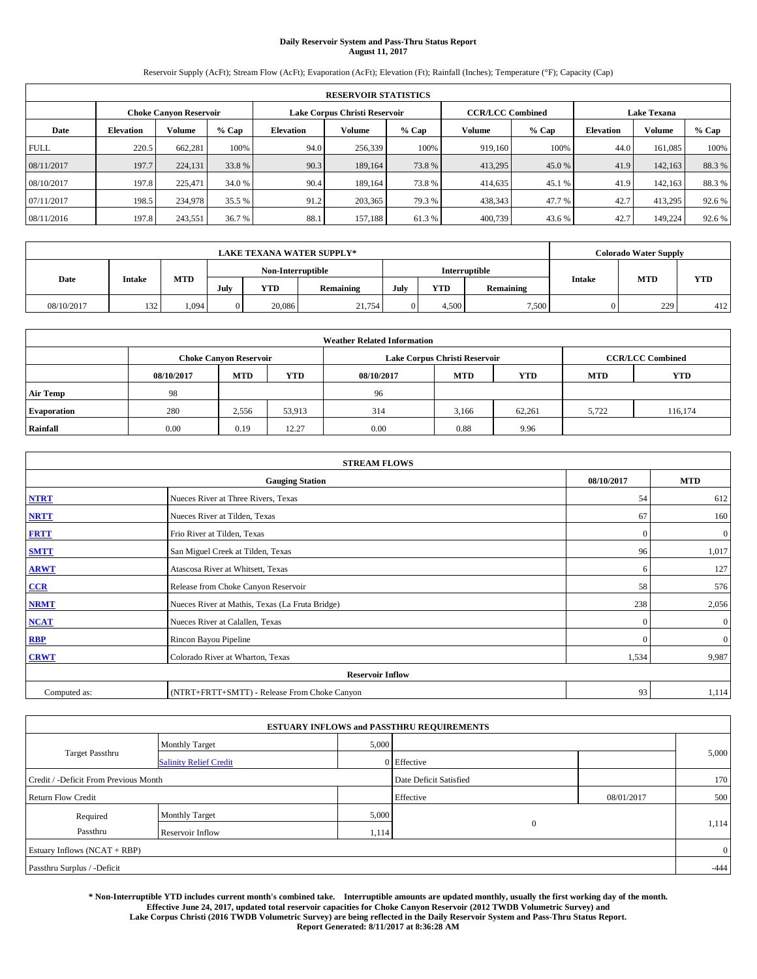# **Daily Reservoir System and Pass-Thru Status Report August 11, 2017**

Reservoir Supply (AcFt); Stream Flow (AcFt); Evaporation (AcFt); Elevation (Ft); Rainfall (Inches); Temperature (°F); Capacity (Cap)

|             | <b>RESERVOIR STATISTICS</b> |                               |        |                  |                               |         |                         |         |                  |                    |        |  |
|-------------|-----------------------------|-------------------------------|--------|------------------|-------------------------------|---------|-------------------------|---------|------------------|--------------------|--------|--|
|             |                             | <b>Choke Canvon Reservoir</b> |        |                  | Lake Corpus Christi Reservoir |         | <b>CCR/LCC Combined</b> |         |                  | <b>Lake Texana</b> |        |  |
| Date        | <b>Elevation</b>            | <b>Volume</b>                 | % Cap  | <b>Elevation</b> | Volume                        | $%$ Cap | Volume                  | $%$ Cap | <b>Elevation</b> | Volume             | % Cap  |  |
| <b>FULL</b> | 220.5                       | 662.281                       | 100%   | 94.0             | 256,339                       | 100%    | 919,160                 | 100%    | 44.0             | 161.085            | 100%   |  |
| 08/11/2017  | 197.7                       | 224,131                       | 33.8%  | 90.3             | 189,164                       | 73.8%   | 413,295                 | 45.0 %  | 41.9             | 142,163            | 88.3%  |  |
| 08/10/2017  | 197.8                       | 225,471                       | 34.0 % | 90.4             | 189.164                       | 73.8%   | 414,635                 | 45.1 %  | 41.9             | 142.163            | 88.3%  |  |
| 07/11/2017  | 198.5                       | 234,978                       | 35.5 % | 91.2             | 203,365                       | 79.3 %  | 438,343                 | 47.7 %  | 42.7             | 413.295            | 92.6%  |  |
| 08/11/2016  | 197.8                       | 243,551                       | 36.7 % | 88.1             | 157.188                       | 61.3%   | 400,739                 | 43.6 %  | 42.7             | 149,224            | 92.6 % |  |

| <b>LAKE TEXANA WATER SUPPLY*</b> |        |            |          |                   |           |               |       |           | <b>Colorado Water Supply</b> |            |            |
|----------------------------------|--------|------------|----------|-------------------|-----------|---------------|-------|-----------|------------------------------|------------|------------|
|                                  |        |            |          | Non-Interruptible |           | Interruptible |       |           |                              |            |            |
| Date                             | Intake | <b>MTD</b> | July     | <b>YTD</b>        | Remaining | July          | YTD   | Remaining | <b>Intake</b>                | <b>MTD</b> | <b>YTD</b> |
| 08/10/2017                       | 132    | 1,094      | $\Omega$ | 20,086            | 21,754    |               | 4.500 | 7,500     |                              | 229        | 412        |

| <b>Weather Related Information</b> |            |                               |            |            |                               |                         |            |            |  |  |  |
|------------------------------------|------------|-------------------------------|------------|------------|-------------------------------|-------------------------|------------|------------|--|--|--|
|                                    |            | <b>Choke Canyon Reservoir</b> |            |            | Lake Corpus Christi Reservoir | <b>CCR/LCC Combined</b> |            |            |  |  |  |
|                                    | 08/10/2017 | <b>MTD</b>                    | <b>YTD</b> | 08/10/2017 | <b>MTD</b>                    | <b>YTD</b>              | <b>MTD</b> | <b>YTD</b> |  |  |  |
| <b>Air Temp</b>                    | 98         |                               |            | 96         |                               |                         |            |            |  |  |  |
| <b>Evaporation</b>                 | 280        | 2,556                         | 53,913     | 314        | 3,166                         | 62.261                  | 5.722      | 116,174    |  |  |  |
| Rainfall                           | 0.00       | 0.19                          | 12.27      | 0.00       | 0.88                          | 9.96                    |            |            |  |  |  |

| <b>STREAM FLOWS</b> |                                                 |              |                  |  |  |  |  |  |  |
|---------------------|-------------------------------------------------|--------------|------------------|--|--|--|--|--|--|
|                     | <b>Gauging Station</b>                          |              |                  |  |  |  |  |  |  |
| <b>NTRT</b>         | Nueces River at Three Rivers, Texas             |              |                  |  |  |  |  |  |  |
| <b>NRTT</b>         | Nueces River at Tilden, Texas                   | 67           | 160              |  |  |  |  |  |  |
| <b>FRTT</b>         | Frio River at Tilden, Texas                     | $\mathbf{0}$ | $\boldsymbol{0}$ |  |  |  |  |  |  |
| <b>SMTT</b>         | San Miguel Creek at Tilden, Texas               | 96           | 1,017            |  |  |  |  |  |  |
| <b>ARWT</b>         | Atascosa River at Whitsett, Texas               | 6            | 127              |  |  |  |  |  |  |
| $CCR$               | Release from Choke Canyon Reservoir             | 58           | 576              |  |  |  |  |  |  |
| <b>NRMT</b>         | Nueces River at Mathis, Texas (La Fruta Bridge) | 238          | 2,056            |  |  |  |  |  |  |
| <b>NCAT</b>         | Nueces River at Calallen, Texas                 | $\mathbf{0}$ | $\mathbf{0}$     |  |  |  |  |  |  |
| RBP                 | Rincon Bayou Pipeline                           | $\Omega$     | $\mathbf{0}$     |  |  |  |  |  |  |
| <b>CRWT</b>         | Colorado River at Wharton, Texas                | 1,534        | 9,987            |  |  |  |  |  |  |
|                     | <b>Reservoir Inflow</b>                         |              |                  |  |  |  |  |  |  |
| Computed as:        | (NTRT+FRTT+SMTT) - Release From Choke Canyon    | 93           | 1,114            |  |  |  |  |  |  |

| <b>ESTUARY INFLOWS and PASSTHRU REQUIREMENTS</b> |                               |                        |                |            |        |  |  |  |  |  |
|--------------------------------------------------|-------------------------------|------------------------|----------------|------------|--------|--|--|--|--|--|
|                                                  | <b>Monthly Target</b>         | 5,000                  |                |            |        |  |  |  |  |  |
| <b>Target Passthru</b>                           | <b>Salinity Relief Credit</b> |                        | 0 Effective    |            | 5,000  |  |  |  |  |  |
| Credit / -Deficit From Previous Month            |                               | Date Deficit Satisfied |                | 170        |        |  |  |  |  |  |
| <b>Return Flow Credit</b>                        |                               |                        | Effective      | 08/01/2017 | 500    |  |  |  |  |  |
| Required                                         | Monthly Target                | 5,000                  |                |            |        |  |  |  |  |  |
| Passthru                                         | Reservoir Inflow              | 1,114                  | $\overline{0}$ |            | 1,114  |  |  |  |  |  |
| Estuary Inflows (NCAT + RBP)                     |                               |                        |                |            |        |  |  |  |  |  |
| Passthru Surplus / -Deficit                      |                               |                        |                |            | $-444$ |  |  |  |  |  |

**\* Non-Interruptible YTD includes current month's combined take. Interruptible amounts are updated monthly, usually the first working day of the month. Effective June 24, 2017, updated total reservoir capacities for Choke Canyon Reservoir (2012 TWDB Volumetric Survey) and Lake Corpus Christi (2016 TWDB Volumetric Survey) are being reflected in the Daily Reservoir System and Pass-Thru Status Report. Report Generated: 8/11/2017 at 8:36:28 AM**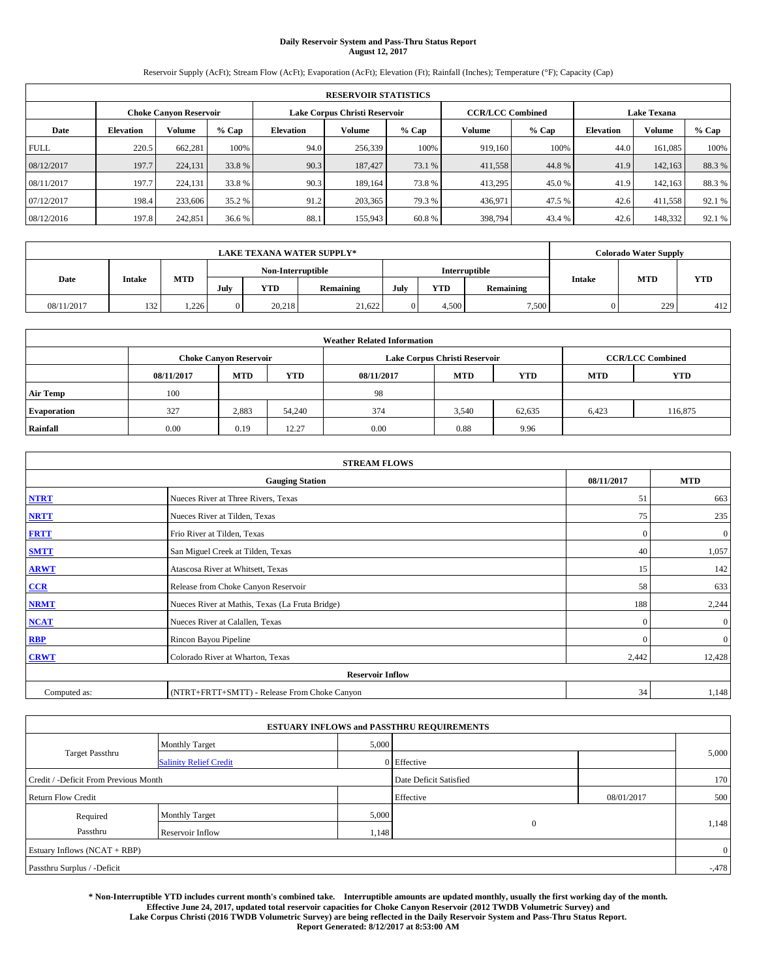# **Daily Reservoir System and Pass-Thru Status Report August 12, 2017**

Reservoir Supply (AcFt); Stream Flow (AcFt); Evaporation (AcFt); Elevation (Ft); Rainfall (Inches); Temperature (°F); Capacity (Cap)

| <b>RESERVOIR STATISTICS</b> |                  |                               |        |           |                               |         |                         |         |                    |         |        |
|-----------------------------|------------------|-------------------------------|--------|-----------|-------------------------------|---------|-------------------------|---------|--------------------|---------|--------|
|                             |                  | <b>Choke Canvon Reservoir</b> |        |           | Lake Corpus Christi Reservoir |         | <b>CCR/LCC Combined</b> |         | <b>Lake Texana</b> |         |        |
| Date                        | <b>Elevation</b> | <b>Volume</b>                 | % Cap  | Elevation | Volume                        | $%$ Cap | Volume                  | $%$ Cap | <b>Elevation</b>   | Volume  | % Cap  |
| <b>FULL</b>                 | 220.5            | 662.281                       | 100%   | 94.0      | 256,339                       | 100%    | 919.160                 | 100%    | 44.0               | 161.085 | 100%   |
| 08/12/2017                  | 197.7            | 224,131                       | 33.8%  | 90.3      | 187,427                       | 73.1 %  | 411,558                 | 44.8%   | 41.9               | 142,163 | 88.3%  |
| 08/11/2017                  | 197.7            | 224,131                       | 33.8 % | 90.3      | 189.164                       | 73.8%   | 413,295                 | 45.0 %  | 41.9               | 142.163 | 88.3%  |
| 07/12/2017                  | 198.4            | 233,606                       | 35.2 % | 91.2      | 203.365                       | 79.3 %  | 436,971                 | 47.5 %  | 42.6               | 411,558 | 92.1 % |
| 08/12/2016                  | 197.8            | 242,851                       | 36.6%  | 88.1      | 155,943                       | 60.8%   | 398,794                 | 43.4 %  | 42.6               | 148,332 | 92.1 % |

| <b>LAKE TEXANA WATER SUPPLY*</b> |        |       |                   |            |           |               |       |           | <b>Colorado Water Supply</b> |            |            |
|----------------------------------|--------|-------|-------------------|------------|-----------|---------------|-------|-----------|------------------------------|------------|------------|
|                                  |        |       | Non-Interruptible |            |           | Interruptible |       |           |                              |            |            |
| Date                             | Intake | MTD   | July              | <b>YTD</b> | Remaining | July          | YTD   | Remaining | <b>Intake</b>                | <b>MTD</b> | <b>YTD</b> |
| 08/11/2017                       | 132    | 1.226 | $\Omega$          | 20.218     | 21.622    |               | 4.500 | 7,500     |                              | 229        | 412        |

| <b>Weather Related Information</b> |            |                               |            |            |                               |                         |            |            |  |  |
|------------------------------------|------------|-------------------------------|------------|------------|-------------------------------|-------------------------|------------|------------|--|--|
|                                    |            | <b>Choke Canyon Reservoir</b> |            |            | Lake Corpus Christi Reservoir | <b>CCR/LCC Combined</b> |            |            |  |  |
|                                    | 08/11/2017 | <b>MTD</b>                    | <b>YTD</b> | 08/11/2017 | <b>MTD</b>                    | <b>YTD</b>              | <b>MTD</b> | <b>YTD</b> |  |  |
| <b>Air Temp</b>                    | 100        |                               |            | -98        |                               |                         |            |            |  |  |
| <b>Evaporation</b>                 | 327        | 2,883                         | 54,240     | 374        | 3,540                         | 62,635                  | 6.423      | 116,875    |  |  |
| Rainfall                           | 0.00       | 0.19                          | 12.27      | 0.00       | 0.88                          | 9.96                    |            |            |  |  |

| <b>STREAM FLOWS</b> |                                                 |              |              |  |  |  |  |  |  |
|---------------------|-------------------------------------------------|--------------|--------------|--|--|--|--|--|--|
|                     | <b>Gauging Station</b>                          |              |              |  |  |  |  |  |  |
| <b>NTRT</b>         | Nueces River at Three Rivers, Texas             |              |              |  |  |  |  |  |  |
| <b>NRTT</b>         | Nueces River at Tilden, Texas                   | 75           | 235          |  |  |  |  |  |  |
| <b>FRTT</b>         | Frio River at Tilden, Texas                     | $\mathbf{0}$ | $\mathbf{0}$ |  |  |  |  |  |  |
| <b>SMTT</b>         | San Miguel Creek at Tilden, Texas               | 40           | 1,057        |  |  |  |  |  |  |
| <b>ARWT</b>         | Atascosa River at Whitsett, Texas               | 15           | 142          |  |  |  |  |  |  |
| $CCR$               | Release from Choke Canyon Reservoir             | 58           | 633          |  |  |  |  |  |  |
| <b>NRMT</b>         | Nueces River at Mathis, Texas (La Fruta Bridge) | 188          | 2,244        |  |  |  |  |  |  |
| <b>NCAT</b>         | Nueces River at Calallen, Texas                 | $\mathbf{0}$ | $\mathbf{0}$ |  |  |  |  |  |  |
| RBP                 | Rincon Bayou Pipeline                           | $\Omega$     | $\mathbf{0}$ |  |  |  |  |  |  |
| <b>CRWT</b>         | Colorado River at Wharton, Texas                | 2,442        | 12,428       |  |  |  |  |  |  |
|                     | <b>Reservoir Inflow</b>                         |              |              |  |  |  |  |  |  |
| Computed as:        | (NTRT+FRTT+SMTT) - Release From Choke Canyon    | 34           | 1,148        |  |  |  |  |  |  |

|                                       |                               |       | <b>ESTUARY INFLOWS and PASSTHRU REQUIREMENTS</b> |            |                |  |
|---------------------------------------|-------------------------------|-------|--------------------------------------------------|------------|----------------|--|
|                                       | <b>Monthly Target</b>         | 5,000 |                                                  |            |                |  |
| <b>Target Passthru</b>                | <b>Salinity Relief Credit</b> |       | $0$ Effective                                    |            | 5,000          |  |
| Credit / -Deficit From Previous Month |                               |       | Date Deficit Satisfied                           |            | 170            |  |
| <b>Return Flow Credit</b>             |                               |       | Effective                                        | 08/01/2017 | 500            |  |
| Required                              | <b>Monthly Target</b>         | 5,000 |                                                  |            |                |  |
| Passthru                              | Reservoir Inflow              | 1,148 | $\overline{0}$                                   |            | 1,148          |  |
| Estuary Inflows (NCAT + RBP)          |                               |       |                                                  |            | $\overline{0}$ |  |
| Passthru Surplus / -Deficit           |                               |       |                                                  |            | $-0.478$       |  |

**\* Non-Interruptible YTD includes current month's combined take. Interruptible amounts are updated monthly, usually the first working day of the month. Effective June 24, 2017, updated total reservoir capacities for Choke Canyon Reservoir (2012 TWDB Volumetric Survey) and Lake Corpus Christi (2016 TWDB Volumetric Survey) are being reflected in the Daily Reservoir System and Pass-Thru Status Report. Report Generated: 8/12/2017 at 8:53:00 AM**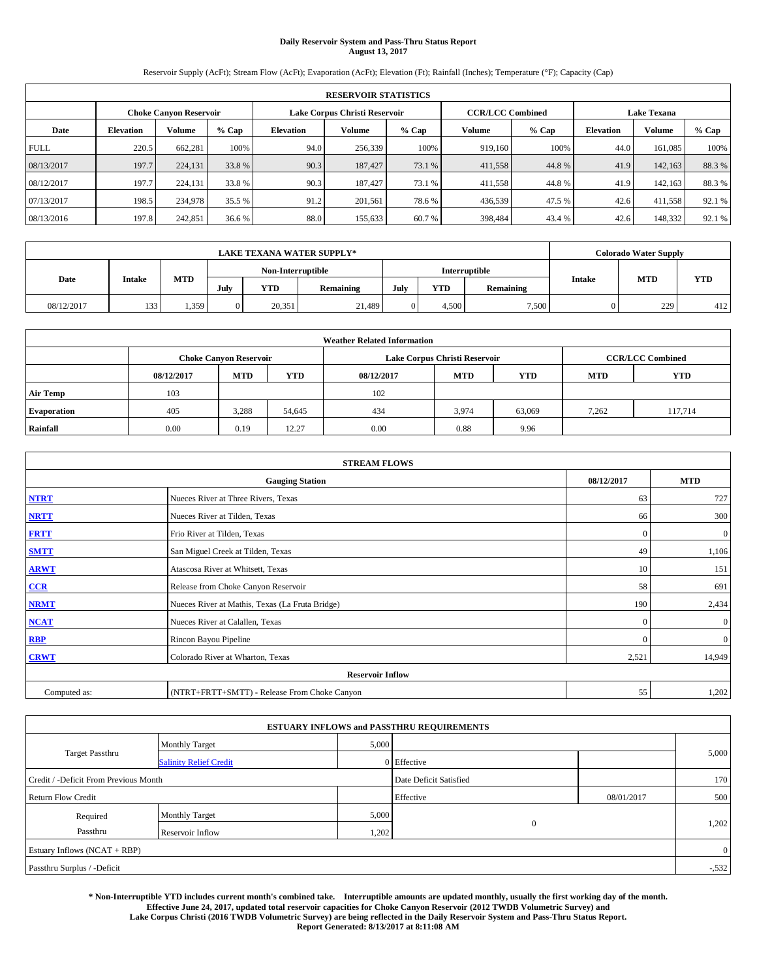# **Daily Reservoir System and Pass-Thru Status Report August 13, 2017**

Reservoir Supply (AcFt); Stream Flow (AcFt); Evaporation (AcFt); Elevation (Ft); Rainfall (Inches); Temperature (°F); Capacity (Cap)

| <b>RESERVOIR STATISTICS</b> |                  |                               |        |           |                               |         |                         |         |                    |         |        |
|-----------------------------|------------------|-------------------------------|--------|-----------|-------------------------------|---------|-------------------------|---------|--------------------|---------|--------|
|                             |                  | <b>Choke Canvon Reservoir</b> |        |           | Lake Corpus Christi Reservoir |         | <b>CCR/LCC Combined</b> |         | <b>Lake Texana</b> |         |        |
| Date                        | <b>Elevation</b> | <b>Volume</b>                 | % Cap  | Elevation | Volume                        | $%$ Cap | Volume                  | $%$ Cap | <b>Elevation</b>   | Volume  | % Cap  |
| <b>FULL</b>                 | 220.5            | 662.281                       | 100%   | 94.0      | 256,339                       | 100%    | 919.160                 | 100%    | 44.0               | 161.085 | 100%   |
| 08/13/2017                  | 197.7            | 224,131                       | 33.8%  | 90.3      | 187,427                       | 73.1 %  | 411,558                 | 44.8%   | 41.9               | 142,163 | 88.3%  |
| 08/12/2017                  | 197.7            | 224,131                       | 33.8 % | 90.3      | 187.427                       | 73.1 %  | 411,558                 | 44.8%   | 41.9               | 142.163 | 88.3%  |
| 07/13/2017                  | 198.5            | 234,978                       | 35.5 % | 91.2      | 201.561                       | 78.6%   | 436,539                 | 47.5 %  | 42.6               | 411,558 | 92.1 % |
| 08/13/2016                  | 197.8            | 242,851                       | 36.6%  | 88.0      | 155,633                       | 60.7%   | 398,484                 | 43.4 %  | 42.6               | 148,332 | 92.1 % |

|            | <b>LAKE TEXANA WATER SUPPLY*</b> |       |          |                   |           |      |            |               |               | <b>Colorado Water Supply</b> |            |  |  |
|------------|----------------------------------|-------|----------|-------------------|-----------|------|------------|---------------|---------------|------------------------------|------------|--|--|
|            |                                  |       |          | Non-Interruptible |           |      |            | Interruptible |               |                              |            |  |  |
| Date       | Intake                           | MTD   | July     | <b>YTD</b>        | Remaining | July | <b>YTD</b> | Remaining     | <b>Intake</b> | <b>MTD</b>                   | <b>YTD</b> |  |  |
| 08/12/2017 | 133                              | 1,359 | $\Omega$ | 20,351            | 21.489    |      | 4.500      | 7,500         |               | 229                          | 412        |  |  |

| <b>Weather Related Information</b>                                               |      |                               |        |      |                               |                         |            |            |  |  |
|----------------------------------------------------------------------------------|------|-------------------------------|--------|------|-------------------------------|-------------------------|------------|------------|--|--|
|                                                                                  |      | <b>Choke Canyon Reservoir</b> |        |      | Lake Corpus Christi Reservoir | <b>CCR/LCC Combined</b> |            |            |  |  |
| <b>YTD</b><br><b>MTD</b><br><b>MTD</b><br><b>YTD</b><br>08/12/2017<br>08/12/2017 |      |                               |        |      |                               |                         | <b>MTD</b> | <b>YTD</b> |  |  |
| <b>Air Temp</b>                                                                  | 103  |                               |        | 102  |                               |                         |            |            |  |  |
| <b>Evaporation</b>                                                               | 405  | 3,288                         | 54,645 | 434  | 3,974                         | 63,069                  | 7.262      | 117.714    |  |  |
| Rainfall                                                                         | 0.00 | 0.19                          | 12.27  | 0.00 | 0.88                          | 9.96                    |            |            |  |  |

| <b>STREAM FLOWS</b> |                                                 |              |              |  |  |  |  |  |  |
|---------------------|-------------------------------------------------|--------------|--------------|--|--|--|--|--|--|
|                     | <b>Gauging Station</b>                          | 08/12/2017   | <b>MTD</b>   |  |  |  |  |  |  |
| <b>NTRT</b>         | Nueces River at Three Rivers, Texas             |              |              |  |  |  |  |  |  |
| <b>NRTT</b>         | Nueces River at Tilden, Texas                   | 66           | 300          |  |  |  |  |  |  |
| <b>FRTT</b>         | Frio River at Tilden, Texas                     | $\mathbf{0}$ | $\mathbf{0}$ |  |  |  |  |  |  |
| <b>SMTT</b>         | San Miguel Creek at Tilden, Texas               | 49           | 1,106        |  |  |  |  |  |  |
| <b>ARWT</b>         | Atascosa River at Whitsett, Texas               | 10           | 151          |  |  |  |  |  |  |
| $CCR$               | Release from Choke Canyon Reservoir             | 58           | 691          |  |  |  |  |  |  |
| <b>NRMT</b>         | Nueces River at Mathis, Texas (La Fruta Bridge) | 190          | 2,434        |  |  |  |  |  |  |
| <b>NCAT</b>         | Nueces River at Calallen, Texas                 | $\Omega$     | $\mathbf{0}$ |  |  |  |  |  |  |
| RBP                 | Rincon Bayou Pipeline                           | $\mathbf{0}$ | $\mathbf{0}$ |  |  |  |  |  |  |
| <b>CRWT</b>         | Colorado River at Wharton, Texas                | 2,521        | 14,949       |  |  |  |  |  |  |
|                     | <b>Reservoir Inflow</b>                         |              |              |  |  |  |  |  |  |
| Computed as:        | (NTRT+FRTT+SMTT) - Release From Choke Canyon    |              |              |  |  |  |  |  |  |

| <b>ESTUARY INFLOWS and PASSTHRU REQUIREMENTS</b> |                               |       |                        |            |                |  |  |  |  |  |
|--------------------------------------------------|-------------------------------|-------|------------------------|------------|----------------|--|--|--|--|--|
|                                                  | <b>Monthly Target</b>         | 5,000 |                        |            |                |  |  |  |  |  |
| <b>Target Passthru</b>                           | <b>Salinity Relief Credit</b> |       | 0 Effective            |            | 5,000          |  |  |  |  |  |
| Credit / -Deficit From Previous Month            |                               |       | Date Deficit Satisfied |            | 170            |  |  |  |  |  |
| <b>Return Flow Credit</b>                        |                               |       | Effective              | 08/01/2017 | 500            |  |  |  |  |  |
| Required                                         | <b>Monthly Target</b>         | 5,000 |                        |            |                |  |  |  |  |  |
| Passthru                                         | Reservoir Inflow              | 1,202 | $\overline{0}$         |            | 1,202          |  |  |  |  |  |
| Estuary Inflows (NCAT + RBP)                     |                               |       |                        |            | $\overline{0}$ |  |  |  |  |  |
| Passthru Surplus / -Deficit                      |                               |       |                        |            | $-532$         |  |  |  |  |  |

**\* Non-Interruptible YTD includes current month's combined take. Interruptible amounts are updated monthly, usually the first working day of the month. Effective June 24, 2017, updated total reservoir capacities for Choke Canyon Reservoir (2012 TWDB Volumetric Survey) and Lake Corpus Christi (2016 TWDB Volumetric Survey) are being reflected in the Daily Reservoir System and Pass-Thru Status Report. Report Generated: 8/13/2017 at 8:11:08 AM**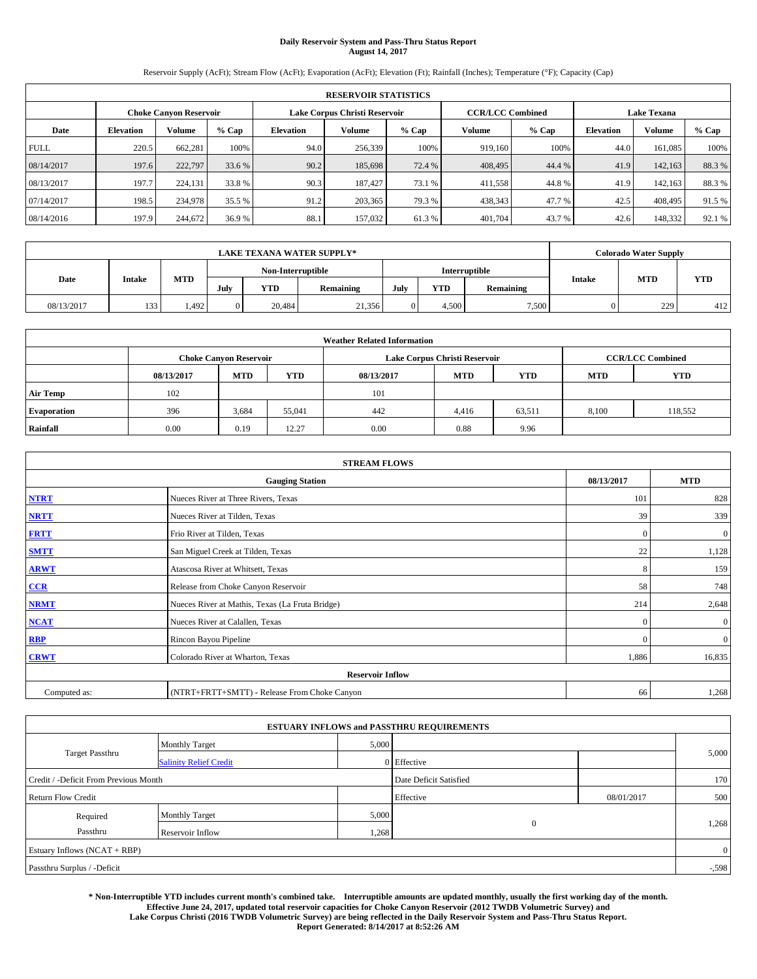# **Daily Reservoir System and Pass-Thru Status Report August 14, 2017**

Reservoir Supply (AcFt); Stream Flow (AcFt); Evaporation (AcFt); Elevation (Ft); Rainfall (Inches); Temperature (°F); Capacity (Cap)

| <b>RESERVOIR STATISTICS</b> |                  |                               |        |                               |               |                              |                         |                    |        |         |        |
|-----------------------------|------------------|-------------------------------|--------|-------------------------------|---------------|------------------------------|-------------------------|--------------------|--------|---------|--------|
|                             |                  | <b>Choke Canvon Reservoir</b> |        | Lake Corpus Christi Reservoir |               |                              | <b>CCR/LCC Combined</b> | <b>Lake Texana</b> |        |         |        |
| Date                        | <b>Elevation</b> | <b>Volume</b>                 | % Cap  | <b>Elevation</b>              | <b>Volume</b> | $%$ Cap<br>$%$ Cap<br>Volume |                         | Elevation          | Volume | % Cap   |        |
| <b>FULL</b>                 | 220.5            | 662.281                       | 100%   | 94.0                          | 256,339       | 100%                         | 919,160                 | 100%               | 44.0   | 161.085 | 100%   |
| 08/14/2017                  | 197.6            | 222,797                       | 33.6 % | 90.2                          | 185,698       | 72.4 %                       | 408,495                 | 44.4 %             | 41.9   | 142,163 | 88.3%  |
| 08/13/2017                  | 197.7            | 224,131                       | 33.8 % | 90.3                          | 187,427       | 73.1 %                       | 411,558                 | 44.8%              | 41.9   | 142.163 | 88.3%  |
| 07/14/2017                  | 198.5            | 234,978                       | 35.5 % | 91.2                          | 203.365       | 79.3 %                       | 438,343                 | 47.7 %             | 42.5   | 408,495 | 91.5 % |
| 08/14/2016                  | 197.9            | 244,672                       | 36.9%  | 88.1                          | 157,032       | 61.3%                        | 401,704                 | 43.7 %             | 42.6   | 148,332 | 92.1 % |

|            | <b>LAKE TEXANA WATER SUPPLY*</b> |            |                                    |            |           |      |            |           |               |            | <b>Colorado Water Supply</b> |  |  |  |
|------------|----------------------------------|------------|------------------------------------|------------|-----------|------|------------|-----------|---------------|------------|------------------------------|--|--|--|
|            |                                  |            | Non-Interruptible<br>Interruptible |            |           |      |            |           |               |            |                              |  |  |  |
| Date       | <b>Intake</b>                    | <b>MTD</b> | July                               | <b>YTD</b> | Remaining | July | <b>YTD</b> | Remaining | <b>Intake</b> | <b>MTD</b> | <b>YTD</b>                   |  |  |  |
| 08/13/2017 | 133                              | .492       | $\Omega$                           | 20.484     | 21,356    |      | 4,500      | 7,500     |               | 229        | 412                          |  |  |  |

| <b>Weather Related Information</b> |                                                                                                |                               |        |      |                               |                         |       |            |  |  |
|------------------------------------|------------------------------------------------------------------------------------------------|-------------------------------|--------|------|-------------------------------|-------------------------|-------|------------|--|--|
|                                    |                                                                                                | <b>Choke Canyon Reservoir</b> |        |      | Lake Corpus Christi Reservoir | <b>CCR/LCC Combined</b> |       |            |  |  |
|                                    | <b>YTD</b><br><b>MTD</b><br><b>MTD</b><br><b>YTD</b><br>08/13/2017<br>08/13/2017<br><b>MTD</b> |                               |        |      |                               |                         |       | <b>YTD</b> |  |  |
| <b>Air Temp</b>                    | 102                                                                                            |                               |        | 101  |                               |                         |       |            |  |  |
| <b>Evaporation</b>                 | 396                                                                                            | 3,684                         | 55,041 | 442  | 4,416                         | 63,511                  | 8.100 | 118,552    |  |  |
| Rainfall                           | 0.00                                                                                           | 0.19                          | 12.27  | 0.00 | 0.88                          | 9.96                    |       |            |  |  |

| <b>STREAM FLOWS</b> |                                                 |              |              |  |  |  |  |  |  |
|---------------------|-------------------------------------------------|--------------|--------------|--|--|--|--|--|--|
|                     | <b>Gauging Station</b>                          | 08/13/2017   | <b>MTD</b>   |  |  |  |  |  |  |
| <b>NTRT</b>         | Nueces River at Three Rivers, Texas             |              |              |  |  |  |  |  |  |
| <b>NRTT</b>         | Nueces River at Tilden, Texas                   | 39           | 339          |  |  |  |  |  |  |
| <b>FRTT</b>         | Frio River at Tilden, Texas                     | $\mathbf{0}$ | $\mathbf{0}$ |  |  |  |  |  |  |
| <b>SMTT</b>         | San Miguel Creek at Tilden, Texas               | 22           | 1,128        |  |  |  |  |  |  |
| <b>ARWT</b>         | Atascosa River at Whitsett, Texas               | 8            | 159          |  |  |  |  |  |  |
| $CCR$               | Release from Choke Canyon Reservoir             | 58           | 748          |  |  |  |  |  |  |
| <b>NRMT</b>         | Nueces River at Mathis, Texas (La Fruta Bridge) | 214          | 2,648        |  |  |  |  |  |  |
| <b>NCAT</b>         | Nueces River at Calallen, Texas                 | $\mathbf{0}$ | $\mathbf{0}$ |  |  |  |  |  |  |
| RBP                 | Rincon Bayou Pipeline                           | $\Omega$     | $\mathbf{0}$ |  |  |  |  |  |  |
| <b>CRWT</b>         | Colorado River at Wharton, Texas                | 1,886        | 16,835       |  |  |  |  |  |  |
|                     | <b>Reservoir Inflow</b>                         |              |              |  |  |  |  |  |  |
| Computed as:        | (NTRT+FRTT+SMTT) - Release From Choke Canyon    | 66           | 1,268        |  |  |  |  |  |  |

| <b>ESTUARY INFLOWS and PASSTHRU REQUIREMENTS</b> |                               |                        |                       |            |                |  |  |  |  |  |
|--------------------------------------------------|-------------------------------|------------------------|-----------------------|------------|----------------|--|--|--|--|--|
|                                                  | <b>Monthly Target</b>         | 5,000                  |                       |            |                |  |  |  |  |  |
| <b>Target Passthru</b>                           | <b>Salinity Relief Credit</b> |                        | 0 Effective           |            | 5,000          |  |  |  |  |  |
| Credit / -Deficit From Previous Month            |                               | Date Deficit Satisfied |                       | 170        |                |  |  |  |  |  |
| <b>Return Flow Credit</b>                        |                               |                        | Effective             | 08/01/2017 | 500            |  |  |  |  |  |
| Required                                         | <b>Monthly Target</b>         | 5,000                  |                       |            |                |  |  |  |  |  |
| Passthru<br>Reservoir Inflow                     |                               |                        | $\mathbf{0}$<br>1,268 |            | 1,268          |  |  |  |  |  |
| Estuary Inflows (NCAT + RBP)                     |                               |                        |                       |            | $\overline{0}$ |  |  |  |  |  |
| Passthru Surplus / -Deficit                      |                               |                        |                       |            | $-0.598$       |  |  |  |  |  |

**\* Non-Interruptible YTD includes current month's combined take. Interruptible amounts are updated monthly, usually the first working day of the month. Effective June 24, 2017, updated total reservoir capacities for Choke Canyon Reservoir (2012 TWDB Volumetric Survey) and Lake Corpus Christi (2016 TWDB Volumetric Survey) are being reflected in the Daily Reservoir System and Pass-Thru Status Report. Report Generated: 8/14/2017 at 8:52:26 AM**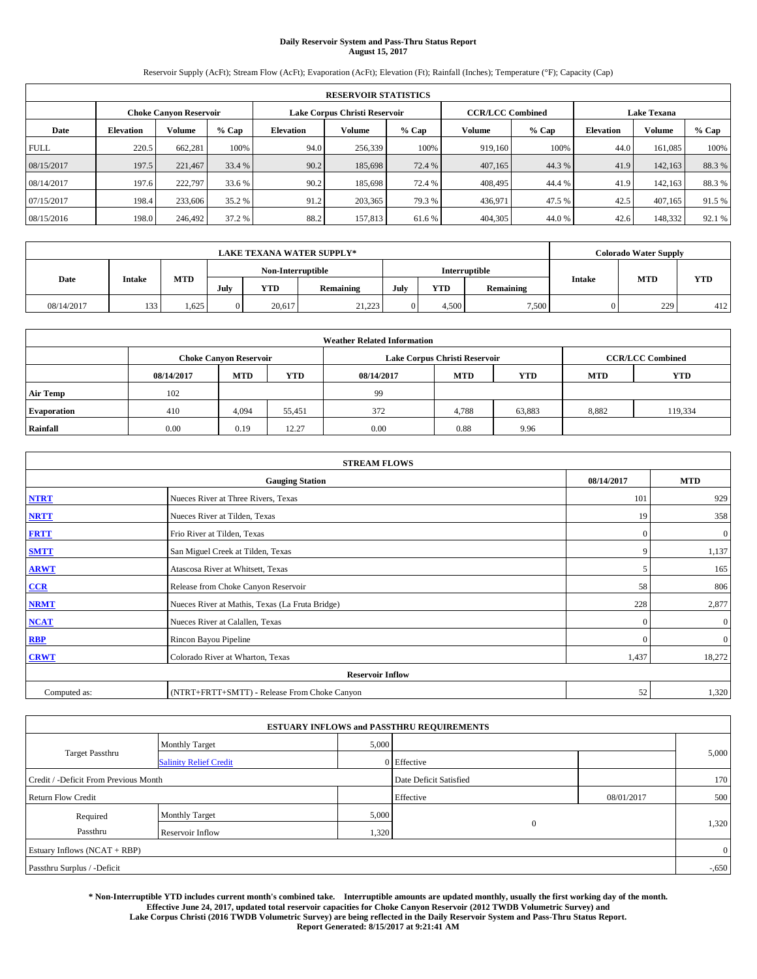# **Daily Reservoir System and Pass-Thru Status Report August 15, 2017**

Reservoir Supply (AcFt); Stream Flow (AcFt); Evaporation (AcFt); Elevation (Ft); Rainfall (Inches); Temperature (°F); Capacity (Cap)

| <b>RESERVOIR STATISTICS</b> |                  |                               |        |           |                               |         |                         |         |                    |         |        |
|-----------------------------|------------------|-------------------------------|--------|-----------|-------------------------------|---------|-------------------------|---------|--------------------|---------|--------|
|                             |                  | <b>Choke Canvon Reservoir</b> |        |           | Lake Corpus Christi Reservoir |         | <b>CCR/LCC Combined</b> |         | <b>Lake Texana</b> |         |        |
| Date                        | <b>Elevation</b> | Volume                        | % Cap  | Elevation | Volume                        | $%$ Cap | Volume                  | $%$ Cap | <b>Elevation</b>   | Volume  | % Cap  |
| <b>FULL</b>                 | 220.5            | 662.281                       | 100%   | 94.0      | 256,339                       | 100%    | 919.160                 | 100%    | 44.0               | 161.085 | 100%   |
| 08/15/2017                  | 197.5            | 221,467                       | 33.4 % | 90.2      | 185,698                       | 72.4 %  | 407,165                 | 44.3 %  | 41.9               | 142,163 | 88.3%  |
| 08/14/2017                  | 197.6            | 222,797                       | 33.6 % | 90.2      | 185,698                       | 72.4 %  | 408,495                 | 44.4 %  | 41.9               | 142.163 | 88.3%  |
| 07/15/2017                  | 198.4            | 233,606                       | 35.2 % | 91.2      | 203.365                       | 79.3 %  | 436,971                 | 47.5 %  | 42.5               | 407.165 | 91.5%  |
| 08/15/2016                  | 198.0            | 246,492                       | 37.2 % | 88.2      | 157,813                       | 61.6 %  | 404,305                 | 44.0 %  | 42.6               | 148,332 | 92.1 % |

|            | <b>LAKE TEXANA WATER SUPPLY*</b> |            |          |                   |           |      |       |               |               |            | <b>Colorado Water Supply</b> |  |  |
|------------|----------------------------------|------------|----------|-------------------|-----------|------|-------|---------------|---------------|------------|------------------------------|--|--|
|            |                                  |            |          | Non-Interruptible |           |      |       | Interruptible |               |            |                              |  |  |
| Date       | Intake                           | <b>MTD</b> | July     | <b>YTD</b>        | Remaining | July | YTD   | Remaining     | <b>Intake</b> | <b>MTD</b> | <b>YTD</b>                   |  |  |
| 08/14/2017 | 133                              | 1.625      | $\Omega$ | 20.617            | 21.223    |      | 4.500 | 7,500         |               | 229        | 412                          |  |  |

| <b>Weather Related Information</b> |            |                               |            |            |                               |                         |            |            |  |
|------------------------------------|------------|-------------------------------|------------|------------|-------------------------------|-------------------------|------------|------------|--|
|                                    |            | <b>Choke Canyon Reservoir</b> |            |            | Lake Corpus Christi Reservoir | <b>CCR/LCC Combined</b> |            |            |  |
|                                    | 08/14/2017 | <b>MTD</b>                    | <b>YTD</b> | 08/14/2017 | <b>MTD</b>                    | <b>YTD</b>              | <b>MTD</b> | <b>YTD</b> |  |
| <b>Air Temp</b>                    | 102        |                               |            | -99        |                               |                         |            |            |  |
| <b>Evaporation</b>                 | 410        | 4,094                         | 55,451     | 372        | 4,788                         | 63,883                  | 8,882      | 119.334    |  |
| Rainfall                           | 0.00       | 0.19                          | 12.27      | 0.00       | 0.88                          | 9.96                    |            |            |  |

| <b>STREAM FLOWS</b> |                                                 |              |              |  |  |  |  |  |  |
|---------------------|-------------------------------------------------|--------------|--------------|--|--|--|--|--|--|
|                     | 08/14/2017                                      | <b>MTD</b>   |              |  |  |  |  |  |  |
| <b>NTRT</b>         | Nueces River at Three Rivers, Texas             | 101          | 929          |  |  |  |  |  |  |
| <b>NRTT</b>         | Nueces River at Tilden, Texas                   | 19           | 358          |  |  |  |  |  |  |
| <b>FRTT</b>         | Frio River at Tilden, Texas                     | $\mathbf{0}$ | $\mathbf{0}$ |  |  |  |  |  |  |
| <b>SMTT</b>         | San Miguel Creek at Tilden, Texas               | 9            | 1,137        |  |  |  |  |  |  |
| <b>ARWT</b>         | Atascosa River at Whitsett, Texas               |              | 165          |  |  |  |  |  |  |
| $CCR$               | Release from Choke Canyon Reservoir             | 58           | 806          |  |  |  |  |  |  |
| <b>NRMT</b>         | Nueces River at Mathis, Texas (La Fruta Bridge) | 228          | 2,877        |  |  |  |  |  |  |
| <b>NCAT</b>         | Nueces River at Calallen, Texas                 | $\Omega$     | $\mathbf{0}$ |  |  |  |  |  |  |
| RBP                 | Rincon Bayou Pipeline                           | $\mathbf{0}$ | $\mathbf{0}$ |  |  |  |  |  |  |
| <b>CRWT</b>         | Colorado River at Wharton, Texas                | 1,437        | 18,272       |  |  |  |  |  |  |
|                     | <b>Reservoir Inflow</b>                         |              |              |  |  |  |  |  |  |
| Computed as:        | 52                                              | 1,320        |              |  |  |  |  |  |  |

|                                       |                               |       | <b>ESTUARY INFLOWS and PASSTHRU REQUIREMENTS</b> |            |                |
|---------------------------------------|-------------------------------|-------|--------------------------------------------------|------------|----------------|
|                                       | <b>Monthly Target</b>         | 5,000 |                                                  |            |                |
| <b>Target Passthru</b>                | <b>Salinity Relief Credit</b> |       | 0 Effective                                      |            | 5,000          |
| Credit / -Deficit From Previous Month |                               |       | Date Deficit Satisfied                           |            | 170            |
| <b>Return Flow Credit</b>             |                               |       | Effective                                        | 08/01/2017 | 500            |
| Required                              | <b>Monthly Target</b>         | 5,000 |                                                  |            |                |
| Passthru                              | Reservoir Inflow              | 1,320 | $\overline{0}$                                   |            | 1,320          |
| Estuary Inflows (NCAT + RBP)          |                               |       |                                                  |            | $\overline{0}$ |
| Passthru Surplus / -Deficit           |                               |       |                                                  |            | $-0.650$       |

**\* Non-Interruptible YTD includes current month's combined take. Interruptible amounts are updated monthly, usually the first working day of the month. Effective June 24, 2017, updated total reservoir capacities for Choke Canyon Reservoir (2012 TWDB Volumetric Survey) and Lake Corpus Christi (2016 TWDB Volumetric Survey) are being reflected in the Daily Reservoir System and Pass-Thru Status Report. Report Generated: 8/15/2017 at 9:21:41 AM**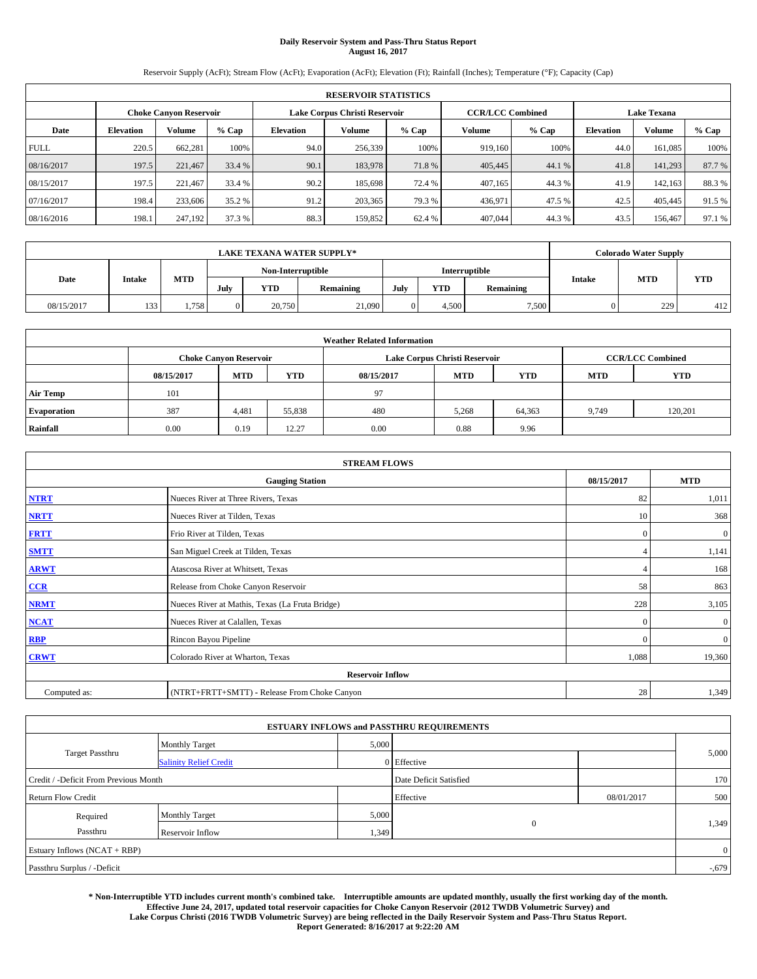# **Daily Reservoir System and Pass-Thru Status Report August 16, 2017**

Reservoir Supply (AcFt); Stream Flow (AcFt); Evaporation (AcFt); Elevation (Ft); Rainfall (Inches); Temperature (°F); Capacity (Cap)

| <b>RESERVOIR STATISTICS</b> |                  |                               |        |           |                               |         |                         |         |                    |         |        |
|-----------------------------|------------------|-------------------------------|--------|-----------|-------------------------------|---------|-------------------------|---------|--------------------|---------|--------|
|                             |                  | <b>Choke Canvon Reservoir</b> |        |           | Lake Corpus Christi Reservoir |         | <b>CCR/LCC Combined</b> |         | <b>Lake Texana</b> |         |        |
| Date                        | <b>Elevation</b> | Volume                        | % Cap  | Elevation | Volume                        | $%$ Cap | Volume                  | $%$ Cap | <b>Elevation</b>   | Volume  | % Cap  |
| <b>FULL</b>                 | 220.5            | 662.281                       | 100%   | 94.0      | 256,339                       | 100%    | 919.160                 | 100%    | 44.0               | 161.085 | 100%   |
| 08/16/2017                  | 197.5            | 221,467                       | 33.4 % | 90.1      | 183,978                       | 71.8%   | 405,445                 | 44.1 %  | 41.8               | 141.293 | 87.7%  |
| 08/15/2017                  | 197.5            | 221.467                       | 33.4 % | 90.2      | 185,698                       | 72.4 %  | 407.165                 | 44.3 %  | 41.9               | 142.163 | 88.3%  |
| 07/16/2017                  | 198.4            | 233,606                       | 35.2 % | 91.2      | 203,365                       | 79.3 %  | 436,971                 | 47.5 %  | 42.5               | 405,445 | 91.5%  |
| 08/16/2016                  | 198.1            | 247,192                       | 37.3 % | 88.3      | 159,852                       | 62.4 %  | 407,044                 | 44.3 %  | 43.5               | 156,467 | 97.1 % |

| <b>LAKE TEXANA WATER SUPPLY*</b> |                   |            |          |            |               |      |       |           |                             | <b>Colorado Water Supply</b> |            |
|----------------------------------|-------------------|------------|----------|------------|---------------|------|-------|-----------|-----------------------------|------------------------------|------------|
|                                  | Non-Interruptible |            |          |            | Interruptible |      |       |           |                             |                              |            |
| Date                             | Intake            | <b>MTD</b> | July     | <b>YTD</b> | Remaining     | July | YTD   | Remaining | <b>MTD</b><br><b>Intake</b> |                              | <b>YTD</b> |
| 08/15/2017                       | 133               | 1,758      | $\Omega$ | 20,750     | 21,090        |      | 4.500 | 7,500     |                             | 229                          | 412        |

| <b>Weather Related Information</b> |            |                               |            |            |                               |                         |            |            |  |
|------------------------------------|------------|-------------------------------|------------|------------|-------------------------------|-------------------------|------------|------------|--|
|                                    |            | <b>Choke Canyon Reservoir</b> |            |            | Lake Corpus Christi Reservoir | <b>CCR/LCC Combined</b> |            |            |  |
|                                    | 08/15/2017 | <b>MTD</b>                    | <b>YTD</b> | 08/15/2017 | <b>MTD</b>                    | <b>YTD</b>              | <b>MTD</b> | <b>YTD</b> |  |
| <b>Air Temp</b>                    | 101        |                               |            | 97         |                               |                         |            |            |  |
| <b>Evaporation</b>                 | 387        | 4,481                         | 55,838     | 480        | 5,268                         | 64,363                  | 9,749      | 120,201    |  |
| Rainfall                           | 0.00       | 0.19                          | 12.27      | 0.00       | 0.88                          | 9.96                    |            |            |  |

| <b>STREAM FLOWS</b> |                                                 |              |              |  |  |  |  |  |  |
|---------------------|-------------------------------------------------|--------------|--------------|--|--|--|--|--|--|
|                     | 08/15/2017                                      | <b>MTD</b>   |              |  |  |  |  |  |  |
| <b>NTRT</b>         | Nueces River at Three Rivers, Texas             | 82           | 1,011        |  |  |  |  |  |  |
| <b>NRTT</b>         | Nueces River at Tilden, Texas                   | 10           | 368          |  |  |  |  |  |  |
| <b>FRTT</b>         | Frio River at Tilden, Texas                     | $\mathbf{0}$ | $\mathbf{0}$ |  |  |  |  |  |  |
| <b>SMTT</b>         | San Miguel Creek at Tilden, Texas               |              | 1,141        |  |  |  |  |  |  |
| <b>ARWT</b>         | Atascosa River at Whitsett, Texas               |              | 168          |  |  |  |  |  |  |
| $CCR$               | Release from Choke Canyon Reservoir             | 58           | 863          |  |  |  |  |  |  |
| <b>NRMT</b>         | Nueces River at Mathis, Texas (La Fruta Bridge) | 228          | 3,105        |  |  |  |  |  |  |
| <b>NCAT</b>         | Nueces River at Calallen, Texas                 | $\Omega$     | $\mathbf{0}$ |  |  |  |  |  |  |
| RBP                 | Rincon Bayou Pipeline                           | $\mathbf{0}$ | $\mathbf{0}$ |  |  |  |  |  |  |
| <b>CRWT</b>         | Colorado River at Wharton, Texas                | 1,088        | 19,360       |  |  |  |  |  |  |
|                     | <b>Reservoir Inflow</b>                         |              |              |  |  |  |  |  |  |
| Computed as:        | (NTRT+FRTT+SMTT) - Release From Choke Canyon    | 28           | 1,349        |  |  |  |  |  |  |

|                                       |                               |       | <b>ESTUARY INFLOWS and PASSTHRU REQUIREMENTS</b> |            |                |
|---------------------------------------|-------------------------------|-------|--------------------------------------------------|------------|----------------|
|                                       | <b>Monthly Target</b>         | 5,000 |                                                  |            |                |
| <b>Target Passthru</b>                | <b>Salinity Relief Credit</b> |       | 0 Effective                                      |            | 5,000          |
| Credit / -Deficit From Previous Month |                               |       | Date Deficit Satisfied                           |            | 170            |
| <b>Return Flow Credit</b>             |                               |       | Effective                                        | 08/01/2017 | 500            |
| Required                              | <b>Monthly Target</b>         | 5,000 |                                                  |            |                |
| Passthru                              | Reservoir Inflow              | 1,349 | $\theta$                                         |            | 1,349          |
| Estuary Inflows (NCAT + RBP)          |                               |       |                                                  |            | $\overline{0}$ |
| Passthru Surplus / -Deficit           |                               |       |                                                  |            | $-.679$        |

**\* Non-Interruptible YTD includes current month's combined take. Interruptible amounts are updated monthly, usually the first working day of the month. Effective June 24, 2017, updated total reservoir capacities for Choke Canyon Reservoir (2012 TWDB Volumetric Survey) and Lake Corpus Christi (2016 TWDB Volumetric Survey) are being reflected in the Daily Reservoir System and Pass-Thru Status Report. Report Generated: 8/16/2017 at 9:22:20 AM**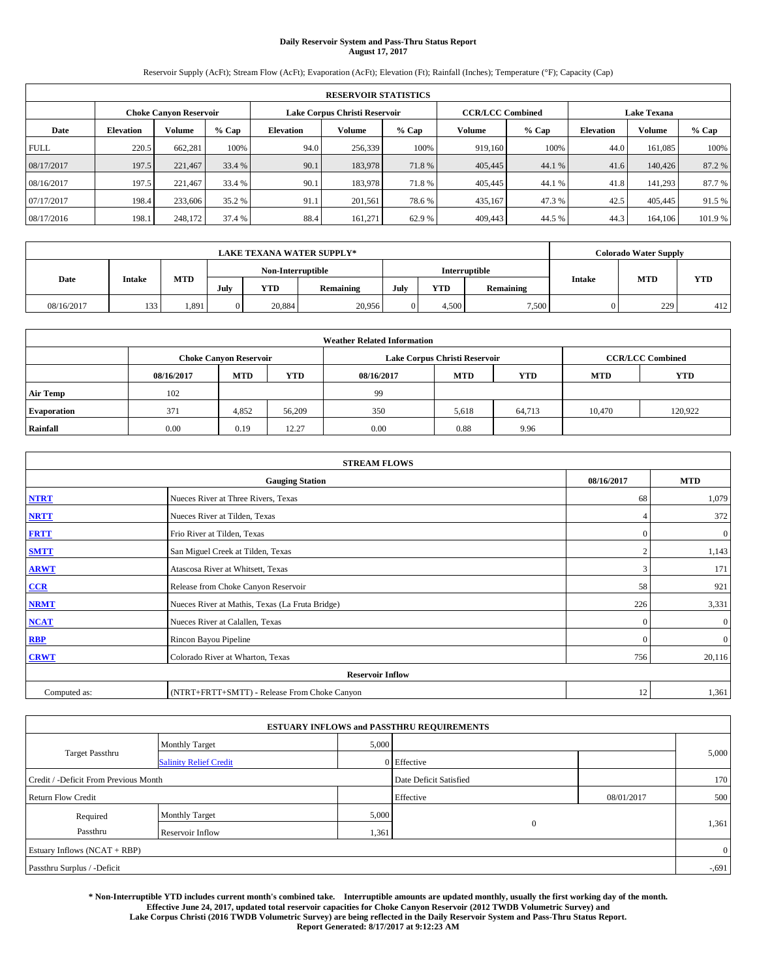# **Daily Reservoir System and Pass-Thru Status Report August 17, 2017**

Reservoir Supply (AcFt); Stream Flow (AcFt); Evaporation (AcFt); Elevation (Ft); Rainfall (Inches); Temperature (°F); Capacity (Cap)

|             | <b>RESERVOIR STATISTICS</b> |                               |         |                  |                               |         |                         |         |                  |                    |         |  |
|-------------|-----------------------------|-------------------------------|---------|------------------|-------------------------------|---------|-------------------------|---------|------------------|--------------------|---------|--|
|             |                             | <b>Choke Canyon Reservoir</b> |         |                  | Lake Corpus Christi Reservoir |         | <b>CCR/LCC Combined</b> |         |                  | <b>Lake Texana</b> |         |  |
| Date        | <b>Elevation</b>            | Volume                        | $%$ Cap | <b>Elevation</b> | Volume                        | $%$ Cap | Volume                  | $%$ Cap | <b>Elevation</b> | <b>Volume</b>      | $%$ Cap |  |
| <b>FULL</b> | 220.5                       | 662,281                       | 100%    | 94.0             | 256,339                       | 100%    | 919.160                 | 100%    | 44.0             | 161.085            | 100%    |  |
| 08/17/2017  | 197.5                       | 221,467                       | 33.4 %  | 90.1             | 183,978                       | 71.8%   | 405,445                 | 44.1 %  | 41.6             | 140,426            | 87.2%   |  |
| 08/16/2017  | 197.5                       | 221.467                       | 33.4 %  | 90.1             | 183,978                       | 71.8%   | 405,445                 | 44.1 %  | 41.8             | 141.293            | 87.7 %  |  |
| 07/17/2017  | 198.4                       | 233,606                       | 35.2 %  | 91.1             | 201.561                       | 78.6%   | 435,167                 | 47.3%   | 42.5             | 405,445            | 91.5 %  |  |
| 08/17/2016  | 198.1                       | 248,172                       | 37.4 %  | 88.4             | 161.271                       | 62.9%   | 409,443                 | 44.5 %  | 44.3             | 164,106            | 101.9 % |  |

| <b>LAKE TEXANA WATER SUPPLY*</b> |        |                   |      |            |           |               |       |           |                             | <b>Colorado Water Supply</b> |            |
|----------------------------------|--------|-------------------|------|------------|-----------|---------------|-------|-----------|-----------------------------|------------------------------|------------|
|                                  |        | Non-Interruptible |      |            |           | Interruptible |       |           |                             |                              |            |
| Date                             | Intake | <b>MTD</b>        | July | <b>YTD</b> | Remaining | July          | YTD   | Remaining | <b>MTD</b><br><b>Intake</b> |                              | <b>YTD</b> |
| 08/16/2017                       | 133    | 1,891             |      | 20,884     | 20,956    |               | 4.500 | 7,500     |                             | 229                          | 412        |

| <b>Weather Related Information</b> |            |                               |            |            |                               |                         |            |            |  |
|------------------------------------|------------|-------------------------------|------------|------------|-------------------------------|-------------------------|------------|------------|--|
|                                    |            | <b>Choke Canyon Reservoir</b> |            |            | Lake Corpus Christi Reservoir | <b>CCR/LCC Combined</b> |            |            |  |
|                                    | 08/16/2017 | <b>MTD</b>                    | <b>YTD</b> | 08/16/2017 | <b>MTD</b>                    | <b>YTD</b>              | <b>MTD</b> | <b>YTD</b> |  |
| <b>Air Temp</b>                    | 102        |                               |            | 99         |                               |                         |            |            |  |
| <b>Evaporation</b>                 | 371        | 4,852                         | 56,209     | 350        | 5,618                         | 64,713                  | 10,470     | 120.922    |  |
| Rainfall                           | 0.00       | 0.19                          | 12.27      | 0.00       | 0.88                          | 9.96                    |            |            |  |

| <b>STREAM FLOWS</b> |                                                 |              |              |  |  |  |  |  |  |
|---------------------|-------------------------------------------------|--------------|--------------|--|--|--|--|--|--|
|                     | 08/16/2017                                      | <b>MTD</b>   |              |  |  |  |  |  |  |
| <b>NTRT</b>         | Nueces River at Three Rivers, Texas             | 68           | 1,079        |  |  |  |  |  |  |
| <b>NRTT</b>         | Nueces River at Tilden, Texas                   | 4            | 372          |  |  |  |  |  |  |
| <b>FRTT</b>         | Frio River at Tilden, Texas                     | $\mathbf{0}$ | $\mathbf{0}$ |  |  |  |  |  |  |
| <b>SMTT</b>         | San Miguel Creek at Tilden, Texas               |              | 1,143        |  |  |  |  |  |  |
| <b>ARWT</b>         | Atascosa River at Whitsett, Texas               | 3            | 171          |  |  |  |  |  |  |
| $CCR$               | Release from Choke Canyon Reservoir             | 58           | 921          |  |  |  |  |  |  |
| <b>NRMT</b>         | Nueces River at Mathis, Texas (La Fruta Bridge) | 226          | 3,331        |  |  |  |  |  |  |
| <b>NCAT</b>         | Nueces River at Calallen, Texas                 | $\Omega$     | $\mathbf{0}$ |  |  |  |  |  |  |
| RBP                 | Rincon Bayou Pipeline                           | $\mathbf{0}$ | $\mathbf{0}$ |  |  |  |  |  |  |
| <b>CRWT</b>         | Colorado River at Wharton, Texas                | 756          | 20,116       |  |  |  |  |  |  |
|                     | <b>Reservoir Inflow</b>                         |              |              |  |  |  |  |  |  |
| Computed as:        | (NTRT+FRTT+SMTT) - Release From Choke Canyon    | 12           | 1,361        |  |  |  |  |  |  |

| <b>ESTUARY INFLOWS and PASSTHRU REQUIREMENTS</b> |                               |       |                        |            |       |  |  |  |  |  |
|--------------------------------------------------|-------------------------------|-------|------------------------|------------|-------|--|--|--|--|--|
|                                                  | <b>Monthly Target</b>         | 5,000 |                        |            |       |  |  |  |  |  |
| <b>Target Passthru</b>                           | <b>Salinity Relief Credit</b> |       | $0$ Effective          |            | 5,000 |  |  |  |  |  |
| Credit / -Deficit From Previous Month            |                               |       | Date Deficit Satisfied |            | 170   |  |  |  |  |  |
| <b>Return Flow Credit</b>                        |                               |       | Effective              | 08/01/2017 | 500   |  |  |  |  |  |
| Required                                         | <b>Monthly Target</b>         | 5,000 |                        |            |       |  |  |  |  |  |
| Passthru                                         | Reservoir Inflow              | 1,361 | $\mathbf{0}$           |            | 1,361 |  |  |  |  |  |
| Estuary Inflows (NCAT + RBP)                     |                               |       |                        |            |       |  |  |  |  |  |
| Passthru Surplus / -Deficit                      |                               |       |                        |            |       |  |  |  |  |  |

**\* Non-Interruptible YTD includes current month's combined take. Interruptible amounts are updated monthly, usually the first working day of the month. Effective June 24, 2017, updated total reservoir capacities for Choke Canyon Reservoir (2012 TWDB Volumetric Survey) and Lake Corpus Christi (2016 TWDB Volumetric Survey) are being reflected in the Daily Reservoir System and Pass-Thru Status Report. Report Generated: 8/17/2017 at 9:12:23 AM**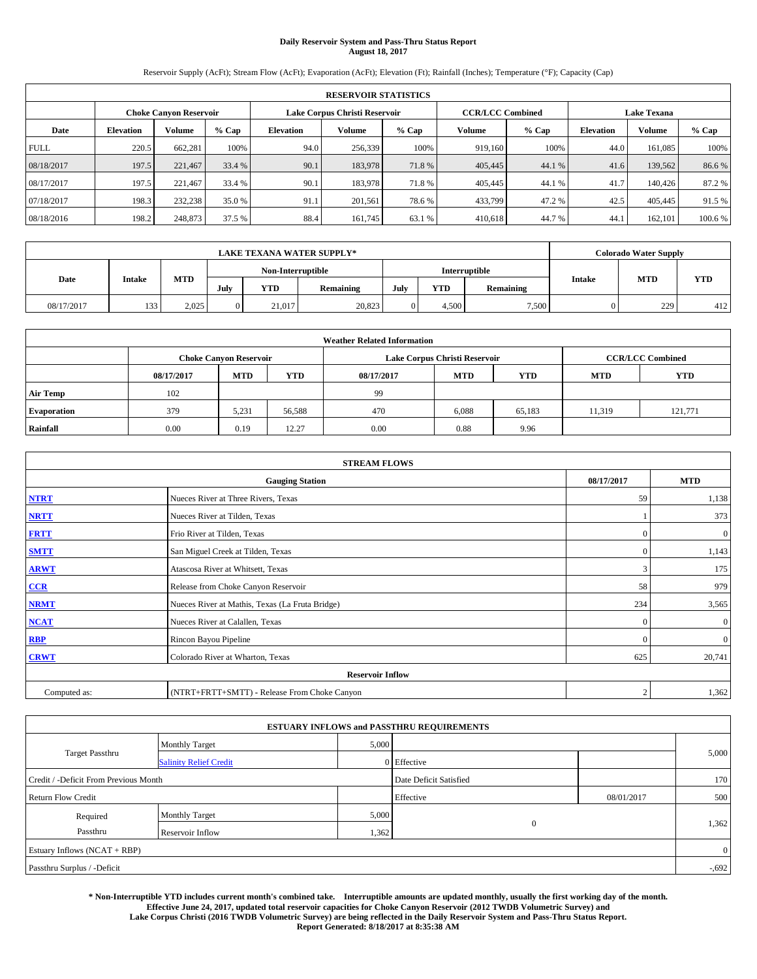# **Daily Reservoir System and Pass-Thru Status Report August 18, 2017**

Reservoir Supply (AcFt); Stream Flow (AcFt); Evaporation (AcFt); Elevation (Ft); Rainfall (Inches); Temperature (°F); Capacity (Cap)

|             | <b>RESERVOIR STATISTICS</b> |                        |         |                  |                               |         |                                               |         |                  |               |        |
|-------------|-----------------------------|------------------------|---------|------------------|-------------------------------|---------|-----------------------------------------------|---------|------------------|---------------|--------|
|             |                             | Choke Canvon Reservoir |         |                  | Lake Corpus Christi Reservoir |         | <b>CCR/LCC Combined</b><br><b>Lake Texana</b> |         |                  |               |        |
| Date        | <b>Elevation</b>            | Volume                 | $%$ Cap | <b>Elevation</b> | <b>Volume</b>                 | $%$ Cap | Volume                                        | $%$ Cap | <b>Elevation</b> | <b>Volume</b> | % Cap  |
| <b>FULL</b> | 220.5                       | 662,281                | 100%    | 94.0             | 256,339                       | 100%    | 919.160                                       | 100%    | 44.0             | 161.085       | 100%   |
| 08/18/2017  | 197.5                       | 221,467                | 33.4 %  | 90.1             | 183,978                       | 71.8%   | 405,445                                       | 44.1 %  | 41.6             | 139.562       | 86.6%  |
| 08/17/2017  | 197.5                       | 221,467                | 33.4 %  | 90.1             | 183,978                       | 71.8%   | 405,445                                       | 44.1 %  | 41.7             | 140,426       | 87.2 % |
| 07/18/2017  | 198.3                       | 232,238                | 35.0 %  | 91.1             | 201,561                       | 78.6%   | 433,799                                       | 47.2 %  | 42.5             | 405,445       | 91.5 % |
| 08/18/2016  | 198.2                       | 248,873                | 37.5 %  | 88.4             | 161,745                       | 63.1 %  | 410.618                                       | 44.7 %  | 44.              | 162,101       | 100.6% |

|            | LAKE TEXANA WATER SUPPLY* |            |                   |            |           |               |            |           | <b>Colorado Water Supply</b> |                             |            |
|------------|---------------------------|------------|-------------------|------------|-----------|---------------|------------|-----------|------------------------------|-----------------------------|------------|
|            |                           |            | Non-Interruptible |            |           | Interruptible |            |           |                              |                             | <b>YTD</b> |
| Date       | <b>Intake</b>             | <b>MTD</b> | July              | <b>YTD</b> | Remaining | July          | <b>YTD</b> | Remaining |                              | <b>MTD</b><br><b>Intake</b> |            |
| 08/17/2017 | 133                       | 2.025      |                   | 21,017     | 20,823    |               | 4.500      | 7,500     |                              | 229                         | 412        |

| <b>Weather Related Information</b> |            |                               |                                                                    |      |                               |                         |        |         |  |  |
|------------------------------------|------------|-------------------------------|--------------------------------------------------------------------|------|-------------------------------|-------------------------|--------|---------|--|--|
|                                    |            | <b>Choke Canyon Reservoir</b> |                                                                    |      | Lake Corpus Christi Reservoir | <b>CCR/LCC Combined</b> |        |         |  |  |
|                                    | 08/17/2017 | <b>MTD</b>                    | <b>YTD</b><br><b>MTD</b><br><b>YTD</b><br><b>MTD</b><br>08/17/2017 |      |                               |                         |        |         |  |  |
| <b>Air Temp</b>                    | 102        |                               |                                                                    | 99   |                               |                         |        |         |  |  |
| <b>Evaporation</b>                 | 379        | 5,231                         | 56,588                                                             | 470  | 6,088                         | 65,183                  | 11,319 | 121,771 |  |  |
| Rainfall                           | 0.00       | 0.19                          | 12.27                                                              | 0.00 | 0.88                          | 9.96                    |        |         |  |  |

| <b>STREAM FLOWS</b> |                                                 |              |              |  |  |  |  |  |  |
|---------------------|-------------------------------------------------|--------------|--------------|--|--|--|--|--|--|
|                     | <b>Gauging Station</b>                          | 08/17/2017   | <b>MTD</b>   |  |  |  |  |  |  |
| <b>NTRT</b>         | Nueces River at Three Rivers, Texas             | 59           | 1,138        |  |  |  |  |  |  |
| <b>NRTT</b>         | Nueces River at Tilden, Texas                   |              | 373          |  |  |  |  |  |  |
| <b>FRTT</b>         | Frio River at Tilden, Texas                     | $\mathbf{0}$ | $\mathbf{0}$ |  |  |  |  |  |  |
| <b>SMTT</b>         | San Miguel Creek at Tilden, Texas               | $\Omega$     | 1,143        |  |  |  |  |  |  |
| <b>ARWT</b>         | Atascosa River at Whitsett, Texas               | 3            | 175          |  |  |  |  |  |  |
| $CCR$               | Release from Choke Canyon Reservoir             | 58           | 979          |  |  |  |  |  |  |
| <b>NRMT</b>         | Nueces River at Mathis, Texas (La Fruta Bridge) | 234          | 3,565        |  |  |  |  |  |  |
| <b>NCAT</b>         | Nueces River at Calallen, Texas                 | $\Omega$     | $\mathbf{0}$ |  |  |  |  |  |  |
| RBP                 | Rincon Bayou Pipeline                           | $\mathbf{0}$ | $\mathbf{0}$ |  |  |  |  |  |  |
| <b>CRWT</b>         | Colorado River at Wharton, Texas                | 625          | 20,741       |  |  |  |  |  |  |
|                     | <b>Reservoir Inflow</b>                         |              |              |  |  |  |  |  |  |
| Computed as:        | (NTRT+FRTT+SMTT) - Release From Choke Canyon    |              |              |  |  |  |  |  |  |

|                                       |                               |       | <b>ESTUARY INFLOWS and PASSTHRU REQUIREMENTS</b> |            |                |
|---------------------------------------|-------------------------------|-------|--------------------------------------------------|------------|----------------|
|                                       | <b>Monthly Target</b>         | 5,000 |                                                  |            |                |
| <b>Target Passthru</b>                | <b>Salinity Relief Credit</b> |       | 0 Effective                                      |            | 5,000          |
| Credit / -Deficit From Previous Month |                               |       | Date Deficit Satisfied                           |            | 170            |
| <b>Return Flow Credit</b>             |                               |       | Effective                                        | 08/01/2017 | 500            |
| Required                              | <b>Monthly Target</b>         | 5,000 |                                                  |            |                |
| Passthru                              | Reservoir Inflow              | 1,362 | $\overline{0}$                                   |            | 1,362          |
| Estuary Inflows (NCAT + RBP)          |                               |       |                                                  |            | $\overline{0}$ |
| Passthru Surplus / -Deficit           |                               |       |                                                  |            | $-0.692$       |

**\* Non-Interruptible YTD includes current month's combined take. Interruptible amounts are updated monthly, usually the first working day of the month. Effective June 24, 2017, updated total reservoir capacities for Choke Canyon Reservoir (2012 TWDB Volumetric Survey) and Lake Corpus Christi (2016 TWDB Volumetric Survey) are being reflected in the Daily Reservoir System and Pass-Thru Status Report. Report Generated: 8/18/2017 at 8:35:38 AM**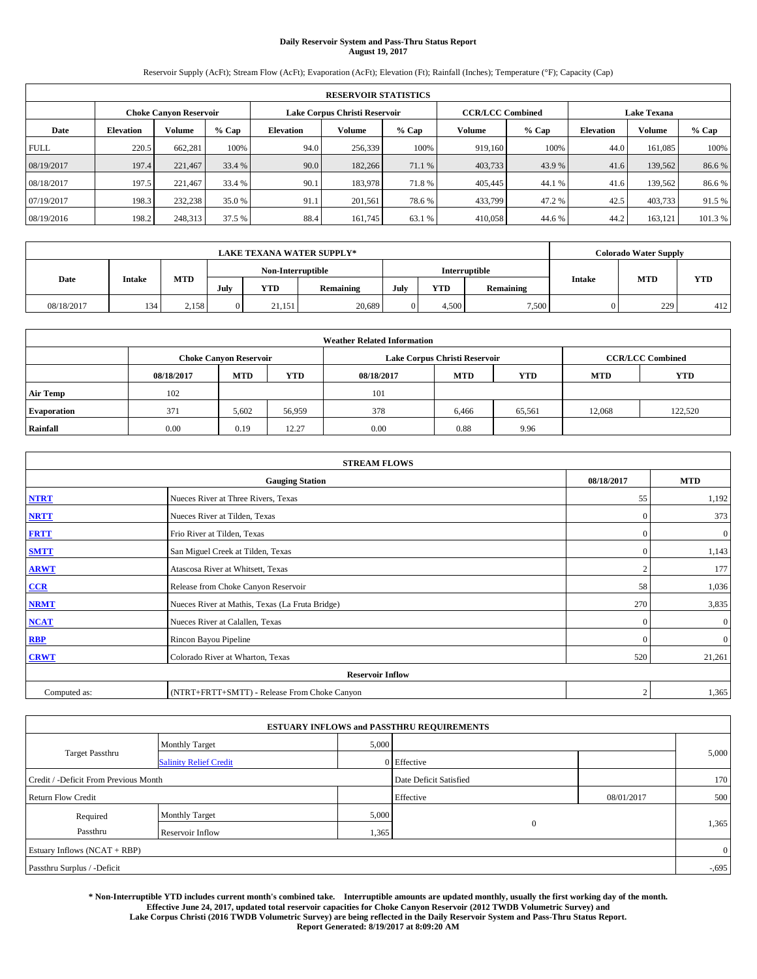# **Daily Reservoir System and Pass-Thru Status Report August 19, 2017**

Reservoir Supply (AcFt); Stream Flow (AcFt); Evaporation (AcFt); Elevation (Ft); Rainfall (Inches); Temperature (°F); Capacity (Cap)

|             | <b>RESERVOIR STATISTICS</b> |                        |         |                  |                               |         |                                               |         |                  |               |        |
|-------------|-----------------------------|------------------------|---------|------------------|-------------------------------|---------|-----------------------------------------------|---------|------------------|---------------|--------|
|             |                             | Choke Canvon Reservoir |         |                  | Lake Corpus Christi Reservoir |         | <b>CCR/LCC Combined</b><br><b>Lake Texana</b> |         |                  |               |        |
| Date        | <b>Elevation</b>            | Volume                 | $%$ Cap | <b>Elevation</b> | <b>Volume</b>                 | $%$ Cap | Volume                                        | $%$ Cap | <b>Elevation</b> | <b>Volume</b> | % Cap  |
| <b>FULL</b> | 220.5                       | 662,281                | 100%    | 94.0             | 256,339                       | 100%    | 919.160                                       | 100%    | 44.0             | 161.085       | 100%   |
| 08/19/2017  | 197.4                       | 221,467                | 33.4 %  | 90.0             | 182,266                       | 71.1 %  | 403,733                                       | 43.9%   | 41.6             | 139.562       | 86.6%  |
| 08/18/2017  | 197.5                       | 221,467                | 33.4 %  | 90.1             | 183,978                       | 71.8%   | 405,445                                       | 44.1 %  | 41.6             | 139.562       | 86.6%  |
| 07/19/2017  | 198.3                       | 232,238                | 35.0 %  | 91.1             | 201,561                       | 78.6%   | 433,799                                       | 47.2 %  | 42.5             | 403,733       | 91.5 % |
| 08/19/2016  | 198.2                       | 248,313                | 37.5 %  | 88.4             | 161,745                       | 63.1 %  | 410,058                                       | 44.6 %  | 44.2             | 163,121       | 101.3% |

|            | <b>LAKE TEXANA WATER SUPPLY*</b>                                                     |       |                   |               |            |               |       |       | <b>Colorado Water Supply</b> |     |     |
|------------|--------------------------------------------------------------------------------------|-------|-------------------|---------------|------------|---------------|-------|-------|------------------------------|-----|-----|
|            |                                                                                      |       | Non-Interruptible |               |            | Interruptible |       |       |                              |     |     |
| Date       | <b>MTD</b><br><b>Intake</b><br><b>YTD</b><br><b>YTD</b><br>July<br>July<br>Remaining |       | Remaining         | <b>Intake</b> | <b>MTD</b> | <b>YTD</b>    |       |       |                              |     |     |
| 08/18/2017 | 134                                                                                  | 2,158 |                   | 21,151        | 20,689     |               | 4.500 | 7,500 |                              | 229 | 412 |

| <b>Weather Related Information</b> |            |                               |            |                                                      |                               |        |                         |         |  |  |
|------------------------------------|------------|-------------------------------|------------|------------------------------------------------------|-------------------------------|--------|-------------------------|---------|--|--|
|                                    |            | <b>Choke Canvon Reservoir</b> |            |                                                      | Lake Corpus Christi Reservoir |        | <b>CCR/LCC Combined</b> |         |  |  |
|                                    | 08/18/2017 | <b>MTD</b>                    | <b>YTD</b> | <b>MTD</b><br><b>YTD</b><br><b>MTD</b><br>08/18/2017 |                               |        |                         |         |  |  |
| <b>Air Temp</b>                    | 102        |                               |            | 101                                                  |                               |        |                         |         |  |  |
| <b>Evaporation</b>                 | 371        | 5,602                         | 56,959     | 378                                                  | 6,466                         | 65,561 | 12.068                  | 122,520 |  |  |
| Rainfall                           | 0.00       | 0.19                          | 12.27      | 0.00                                                 | 0.88                          | 9.96   |                         |         |  |  |

| <b>STREAM FLOWS</b>     |                                                 |                |                  |  |  |  |  |  |  |
|-------------------------|-------------------------------------------------|----------------|------------------|--|--|--|--|--|--|
|                         | <b>Gauging Station</b>                          | 08/18/2017     | <b>MTD</b>       |  |  |  |  |  |  |
| <b>NTRT</b>             | Nueces River at Three Rivers, Texas             | 55             | 1,192            |  |  |  |  |  |  |
| <b>NRTT</b>             | Nueces River at Tilden, Texas                   | $\mathbf{0}$   | 373              |  |  |  |  |  |  |
| <b>FRTT</b>             | Frio River at Tilden, Texas                     | $\mathbf{0}$   | $\boldsymbol{0}$ |  |  |  |  |  |  |
| <b>SMTT</b>             | San Miguel Creek at Tilden, Texas               | $\mathbf{0}$   | 1,143            |  |  |  |  |  |  |
| <b>ARWT</b>             | Atascosa River at Whitsett, Texas               | $\overline{2}$ | 177              |  |  |  |  |  |  |
| $CCR$                   | Release from Choke Canyon Reservoir             | 58             | 1,036            |  |  |  |  |  |  |
| <b>NRMT</b>             | Nueces River at Mathis, Texas (La Fruta Bridge) | 270            | 3,835            |  |  |  |  |  |  |
| <b>NCAT</b>             | Nueces River at Calallen, Texas                 | $\mathbf{0}$   | $\overline{0}$   |  |  |  |  |  |  |
| RBP                     | Rincon Bayou Pipeline                           | $\Omega$       | $\mathbf{0}$     |  |  |  |  |  |  |
| <b>CRWT</b>             | Colorado River at Wharton, Texas                | 520            | 21,261           |  |  |  |  |  |  |
| <b>Reservoir Inflow</b> |                                                 |                |                  |  |  |  |  |  |  |
| Computed as:            | (NTRT+FRTT+SMTT) - Release From Choke Canyon    |                |                  |  |  |  |  |  |  |

| <b>ESTUARY INFLOWS and PASSTHRU REQUIREMENTS</b> |                               |       |                        |            |                |  |  |  |  |  |
|--------------------------------------------------|-------------------------------|-------|------------------------|------------|----------------|--|--|--|--|--|
|                                                  | <b>Monthly Target</b>         | 5,000 |                        |            |                |  |  |  |  |  |
| <b>Target Passthru</b>                           | <b>Salinity Relief Credit</b> |       | $0$ Effective          |            | 5,000          |  |  |  |  |  |
| Credit / -Deficit From Previous Month            |                               |       | Date Deficit Satisfied |            | 170            |  |  |  |  |  |
| <b>Return Flow Credit</b>                        |                               |       | Effective              | 08/01/2017 | 500            |  |  |  |  |  |
| Required                                         | <b>Monthly Target</b>         | 5,000 |                        |            |                |  |  |  |  |  |
| Passthru                                         | Reservoir Inflow              | 1,365 | $\overline{0}$         |            | 1,365          |  |  |  |  |  |
| Estuary Inflows (NCAT + RBP)                     |                               |       |                        |            | $\overline{0}$ |  |  |  |  |  |
| Passthru Surplus / -Deficit                      |                               |       |                        |            | $-0.695$       |  |  |  |  |  |

**\* Non-Interruptible YTD includes current month's combined take. Interruptible amounts are updated monthly, usually the first working day of the month. Effective June 24, 2017, updated total reservoir capacities for Choke Canyon Reservoir (2012 TWDB Volumetric Survey) and Lake Corpus Christi (2016 TWDB Volumetric Survey) are being reflected in the Daily Reservoir System and Pass-Thru Status Report. Report Generated: 8/19/2017 at 8:09:20 AM**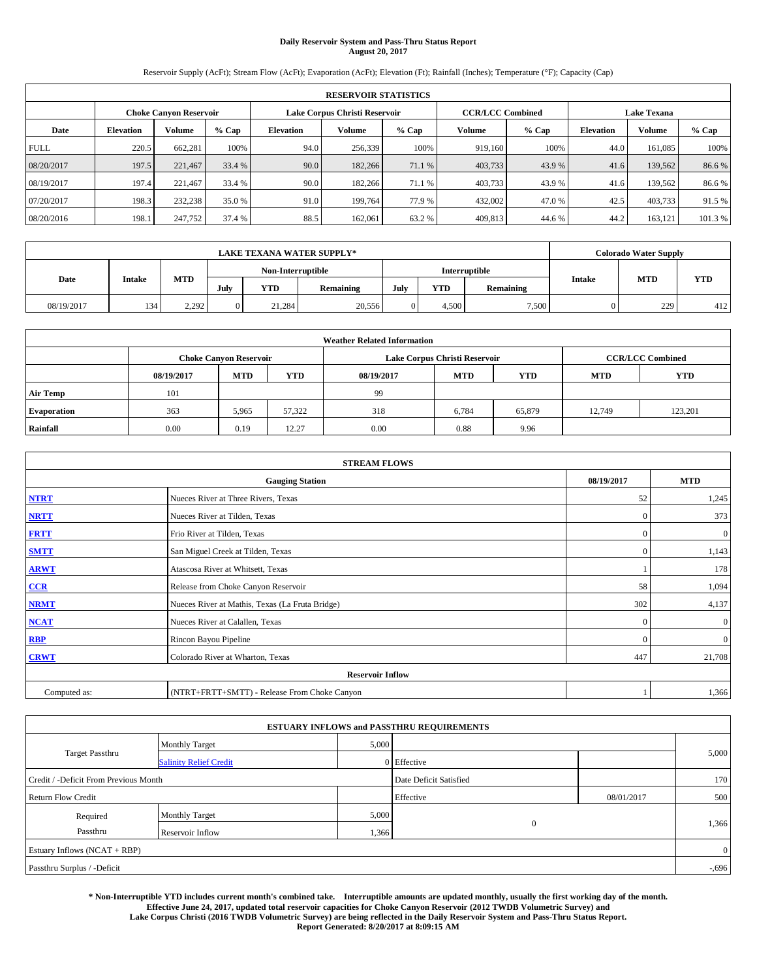# **Daily Reservoir System and Pass-Thru Status Report August 20, 2017**

Reservoir Supply (AcFt); Stream Flow (AcFt); Evaporation (AcFt); Elevation (Ft); Rainfall (Inches); Temperature (°F); Capacity (Cap)

|                                                                | <b>RESERVOIR STATISTICS</b> |         |         |           |         |         |                                               |         |                  |               |         |
|----------------------------------------------------------------|-----------------------------|---------|---------|-----------|---------|---------|-----------------------------------------------|---------|------------------|---------------|---------|
| Lake Corpus Christi Reservoir<br><b>Choke Canyon Reservoir</b> |                             |         |         |           |         |         | <b>CCR/LCC Combined</b><br><b>Lake Texana</b> |         |                  |               |         |
| Date                                                           | <b>Elevation</b>            | Volume  | $%$ Cap | Elevation | Volume  | $%$ Cap | Volume                                        | $%$ Cap | <b>Elevation</b> | <b>Volume</b> | % Cap   |
| <b>FULL</b>                                                    | 220.5                       | 662.281 | 100%    | 94.0      | 256,339 | 100%    | 919.160                                       | 100%    | 44.0             | 161.085       | 100%    |
| 08/20/2017                                                     | 197.5                       | 221,467 | 33.4 %  | 90.0      | 182,266 | 71.1 %  | 403,733                                       | 43.9 %  | 41.6             | 139.562       | 86.6%   |
| 08/19/2017                                                     | 197.4                       | 221.467 | 33.4 %  | 90.0      | 182,266 | 71.1 %  | 403,733                                       | 43.9 %  | 41.6             | 139.562       | 86.6%   |
| 07/20/2017                                                     | 198.3                       | 232,238 | 35.0 %  | 91.0      | 199.764 | 77.9 %  | 432,002                                       | 47.0 %  | 42.5             | 403,733       | 91.5 %  |
| 08/20/2016                                                     | 198.1                       | 247,752 | 37.4 %  | 88.5      | 162,061 | 63.2 %  | 409,813                                       | 44.6 %  | 44.2             | 163,121       | 101.3 % |

|            | <b>LAKE TEXANA WATER SUPPLY*</b> |       |                   |            |               |      |       |           |               | <b>Colorado Water Supply</b> |            |
|------------|----------------------------------|-------|-------------------|------------|---------------|------|-------|-----------|---------------|------------------------------|------------|
|            |                                  |       | Non-Interruptible |            | Interruptible |      |       |           |               |                              |            |
| Date       | <b>Intake</b>                    | MTD   | July              | <b>YTD</b> | Remaining     | July | YTD   | Remaining | <b>Intake</b> | <b>MTD</b>                   | <b>YTD</b> |
| 08/19/2017 | 134                              | 2,292 |                   | 21,284     | 20,556        |      | 4,500 | 7,500     |               | 229                          | 412        |

|                    | <b>Weather Related Information</b> |                               |            |            |                               |                         |        |         |  |  |  |  |
|--------------------|------------------------------------|-------------------------------|------------|------------|-------------------------------|-------------------------|--------|---------|--|--|--|--|
|                    |                                    | <b>Choke Canyon Reservoir</b> |            |            | Lake Corpus Christi Reservoir | <b>CCR/LCC Combined</b> |        |         |  |  |  |  |
|                    | 08/19/2017                         | <b>MTD</b>                    | <b>YTD</b> | 08/19/2017 | <b>MTD</b>                    | <b>YTD</b>              |        |         |  |  |  |  |
| <b>Air Temp</b>    | 101                                |                               |            | 99         |                               |                         |        |         |  |  |  |  |
| <b>Evaporation</b> | 363                                | 5,965                         | 57,322     | 318        | 6,784                         | 65,879                  | 12.749 | 123.201 |  |  |  |  |
| Rainfall           | 0.00                               | 0.19                          | 12.27      | 0.00       | 0.88                          | 9.96                    |        |         |  |  |  |  |

| <b>STREAM FLOWS</b> |                                                 |              |                |  |  |  |  |  |
|---------------------|-------------------------------------------------|--------------|----------------|--|--|--|--|--|
|                     | <b>Gauging Station</b>                          | 08/19/2017   | <b>MTD</b>     |  |  |  |  |  |
| <b>NTRT</b>         | Nueces River at Three Rivers, Texas             | 52           | 1,245          |  |  |  |  |  |
| <b>NRTT</b>         | Nueces River at Tilden, Texas                   | $\mathbf{0}$ | 373            |  |  |  |  |  |
| <b>FRTT</b>         | Frio River at Tilden, Texas                     | $\mathbf{0}$ | $\mathbf{0}$   |  |  |  |  |  |
| <b>SMTT</b>         | San Miguel Creek at Tilden, Texas               | $\mathbf{0}$ | 1,143          |  |  |  |  |  |
| <b>ARWT</b>         | Atascosa River at Whitsett, Texas               |              | 178            |  |  |  |  |  |
| $CCR$               | Release from Choke Canyon Reservoir             | 58           | 1,094          |  |  |  |  |  |
| <b>NRMT</b>         | Nueces River at Mathis, Texas (La Fruta Bridge) | 302          | 4,137          |  |  |  |  |  |
| <b>NCAT</b>         | Nueces River at Calallen, Texas                 | $\theta$     | $\overline{0}$ |  |  |  |  |  |
| RBP                 | Rincon Bayou Pipeline                           | $\mathbf{0}$ | $\mathbf{0}$   |  |  |  |  |  |
| <b>CRWT</b>         | Colorado River at Wharton, Texas                | 447          | 21,708         |  |  |  |  |  |
|                     | <b>Reservoir Inflow</b>                         |              |                |  |  |  |  |  |
| Computed as:        | (NTRT+FRTT+SMTT) - Release From Choke Canyon    |              | 1,366          |  |  |  |  |  |

|                                       |                               |       | <b>ESTUARY INFLOWS and PASSTHRU REQUIREMENTS</b> |            |                |
|---------------------------------------|-------------------------------|-------|--------------------------------------------------|------------|----------------|
|                                       | <b>Monthly Target</b>         | 5,000 |                                                  |            |                |
| <b>Target Passthru</b>                | <b>Salinity Relief Credit</b> |       | 0 Effective                                      |            | 5,000          |
| Credit / -Deficit From Previous Month |                               |       | Date Deficit Satisfied                           |            | 170            |
| <b>Return Flow Credit</b>             |                               |       | Effective                                        | 08/01/2017 | 500            |
| Required                              | <b>Monthly Target</b>         | 5,000 |                                                  |            |                |
| Passthru                              | Reservoir Inflow              | 1,366 | $\overline{0}$                                   |            | 1,366          |
| Estuary Inflows (NCAT + RBP)          |                               |       |                                                  |            | $\overline{0}$ |
| Passthru Surplus / -Deficit           |                               |       |                                                  |            | $-0.696$       |

**\* Non-Interruptible YTD includes current month's combined take. Interruptible amounts are updated monthly, usually the first working day of the month. Effective June 24, 2017, updated total reservoir capacities for Choke Canyon Reservoir (2012 TWDB Volumetric Survey) and Lake Corpus Christi (2016 TWDB Volumetric Survey) are being reflected in the Daily Reservoir System and Pass-Thru Status Report. Report Generated: 8/20/2017 at 8:09:15 AM**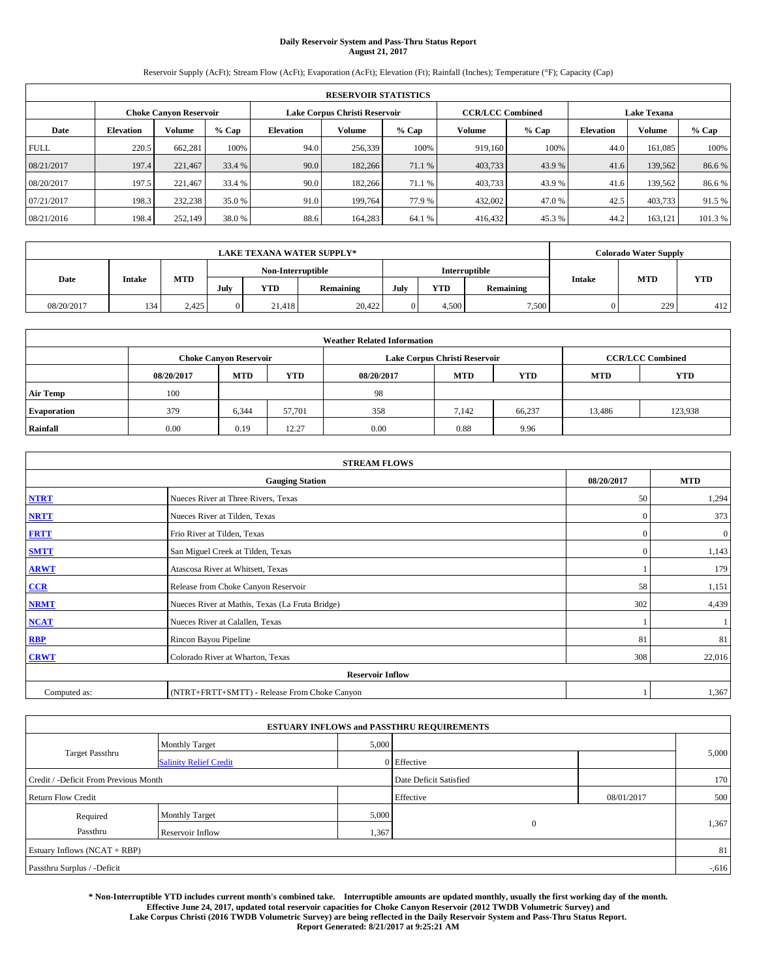# **Daily Reservoir System and Pass-Thru Status Report August 21, 2017**

Reservoir Supply (AcFt); Stream Flow (AcFt); Evaporation (AcFt); Elevation (Ft); Rainfall (Inches); Temperature (°F); Capacity (Cap)

|             | <b>RESERVOIR STATISTICS</b>                                    |         |         |           |         |         |                         |         |                    |               |         |  |  |
|-------------|----------------------------------------------------------------|---------|---------|-----------|---------|---------|-------------------------|---------|--------------------|---------------|---------|--|--|
|             | Lake Corpus Christi Reservoir<br><b>Choke Canyon Reservoir</b> |         |         |           |         |         | <b>CCR/LCC Combined</b> |         | <b>Lake Texana</b> |               |         |  |  |
| Date        | <b>Elevation</b>                                               | Volume  | $%$ Cap | Elevation | Volume  | $%$ Cap | Volume                  | $%$ Cap | <b>Elevation</b>   | <b>Volume</b> | % Cap   |  |  |
| <b>FULL</b> | 220.5                                                          | 662,281 | 100%    | 94.0      | 256,339 | 100%    | 919.160                 | 100%    | 44.0               | 161.085       | 100%    |  |  |
| 08/21/2017  | 197.4                                                          | 221,467 | 33.4 %  | 90.0      | 182,266 | 71.1 %  | 403,733                 | 43.9 %  | 41.6               | 139.562       | 86.6%   |  |  |
| 08/20/2017  | 197.5                                                          | 221.467 | 33.4 %  | 90.0      | 182,266 | 71.1 %  | 403,733                 | 43.9 %  | 41.6               | 139.562       | 86.6%   |  |  |
| 07/21/2017  | 198.3                                                          | 232,238 | 35.0 %  | 91.0      | 199.764 | 77.9 %  | 432,002                 | 47.0 %  | 42.5               | 403,733       | 91.5 %  |  |  |
| 08/21/2016  | 198.4                                                          | 252,149 | 38.0 %  | 88.6      | 164,283 | 64.1 %  | 416,432                 | 45.3%   | 44.2               | 163,121       | 101.3 % |  |  |

|            | <b>LAKE TEXANA WATER SUPPLY*</b> |            |                   |            |           |               |       |           |               | <b>Colorado Water Supply</b> |            |
|------------|----------------------------------|------------|-------------------|------------|-----------|---------------|-------|-----------|---------------|------------------------------|------------|
|            |                                  |            | Non-Interruptible |            |           | Interruptible |       |           |               |                              |            |
| Date       | Intake                           | <b>MTD</b> | July              | <b>YTD</b> | Remaining | July          | YTD   | Remaining | <b>Intake</b> | <b>MTD</b>                   | <b>YTD</b> |
| 08/20/2017 | 134                              | 2.425      |                   | 21.418     | 20,422    |               | 4.500 | 7,500     |               | 229                          | 412        |

|                    | <b>Weather Related Information</b> |                               |            |            |                               |                         |        |         |  |  |  |  |
|--------------------|------------------------------------|-------------------------------|------------|------------|-------------------------------|-------------------------|--------|---------|--|--|--|--|
|                    |                                    | <b>Choke Canyon Reservoir</b> |            |            | Lake Corpus Christi Reservoir | <b>CCR/LCC Combined</b> |        |         |  |  |  |  |
|                    | 08/20/2017                         | <b>MTD</b>                    | <b>YTD</b> | 08/20/2017 | <b>MTD</b>                    | <b>YTD</b>              |        |         |  |  |  |  |
| <b>Air Temp</b>    | 100                                |                               |            | 98         |                               |                         |        |         |  |  |  |  |
| <b>Evaporation</b> | 379                                | 6,344                         | 57,701     | 358        | 7,142                         | 66.237                  | 13,486 | 123.938 |  |  |  |  |
| Rainfall           | 0.00                               | 0.19                          | 12.27      | 0.00       | 0.88                          | 9.96                    |        |         |  |  |  |  |

| <b>STREAM FLOWS</b> |                                                 |              |              |  |  |  |  |  |
|---------------------|-------------------------------------------------|--------------|--------------|--|--|--|--|--|
|                     | <b>Gauging Station</b>                          | 08/20/2017   | <b>MTD</b>   |  |  |  |  |  |
| <b>NTRT</b>         | Nueces River at Three Rivers, Texas             | 50           | 1,294        |  |  |  |  |  |
| <b>NRTT</b>         | Nueces River at Tilden, Texas                   | $\mathbf{0}$ | 373          |  |  |  |  |  |
| <b>FRTT</b>         | Frio River at Tilden, Texas                     | $\mathbf{0}$ | $\mathbf{0}$ |  |  |  |  |  |
| <b>SMTT</b>         | San Miguel Creek at Tilden, Texas               | $\mathbf{0}$ | 1,143        |  |  |  |  |  |
| <b>ARWT</b>         | Atascosa River at Whitsett, Texas               |              | 179          |  |  |  |  |  |
| $CCR$               | Release from Choke Canyon Reservoir             | 58           | 1,151        |  |  |  |  |  |
| <b>NRMT</b>         | Nueces River at Mathis, Texas (La Fruta Bridge) | 302          | 4,439        |  |  |  |  |  |
| <b>NCAT</b>         | Nueces River at Calallen, Texas                 |              |              |  |  |  |  |  |
| RBP                 | Rincon Bayou Pipeline                           | 81           | 81           |  |  |  |  |  |
| <b>CRWT</b>         | Colorado River at Wharton, Texas                | 308          | 22,016       |  |  |  |  |  |
|                     | <b>Reservoir Inflow</b>                         |              |              |  |  |  |  |  |
| Computed as:        | (NTRT+FRTT+SMTT) - Release From Choke Canyon    |              | 1,367        |  |  |  |  |  |

|                                       |                               |       | <b>ESTUARY INFLOWS and PASSTHRU REQUIREMENTS</b> |            |          |
|---------------------------------------|-------------------------------|-------|--------------------------------------------------|------------|----------|
|                                       | <b>Monthly Target</b>         | 5,000 |                                                  |            |          |
| <b>Target Passthru</b>                | <b>Salinity Relief Credit</b> |       | 0 Effective                                      |            | 5,000    |
| Credit / -Deficit From Previous Month |                               |       | Date Deficit Satisfied                           |            | 170      |
| <b>Return Flow Credit</b>             |                               |       | Effective                                        | 08/01/2017 | 500      |
| Required                              | <b>Monthly Target</b>         | 5,000 |                                                  |            |          |
| Passthru                              | Reservoir Inflow              | 1,367 | $\overline{0}$                                   |            | 1,367    |
| Estuary Inflows (NCAT + RBP)          |                               |       |                                                  |            | 81       |
| Passthru Surplus / -Deficit           |                               |       |                                                  |            | $-0.616$ |

**\* Non-Interruptible YTD includes current month's combined take. Interruptible amounts are updated monthly, usually the first working day of the month. Effective June 24, 2017, updated total reservoir capacities for Choke Canyon Reservoir (2012 TWDB Volumetric Survey) and Lake Corpus Christi (2016 TWDB Volumetric Survey) are being reflected in the Daily Reservoir System and Pass-Thru Status Report. Report Generated: 8/21/2017 at 9:25:21 AM**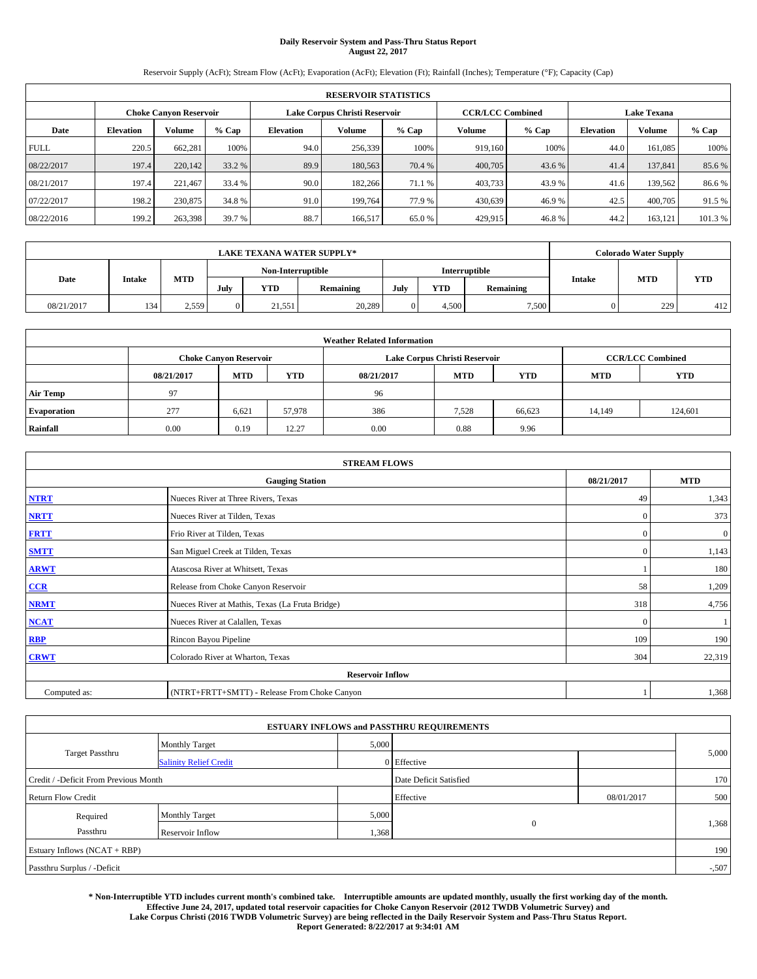# **Daily Reservoir System and Pass-Thru Status Report August 22, 2017**

Reservoir Supply (AcFt); Stream Flow (AcFt); Evaporation (AcFt); Elevation (Ft); Rainfall (Inches); Temperature (°F); Capacity (Cap)

|             | <b>RESERVOIR STATISTICS</b>                                    |         |         |           |         |         |                         |         |                    |               |         |  |  |
|-------------|----------------------------------------------------------------|---------|---------|-----------|---------|---------|-------------------------|---------|--------------------|---------------|---------|--|--|
|             | Lake Corpus Christi Reservoir<br><b>Choke Canyon Reservoir</b> |         |         |           |         |         | <b>CCR/LCC Combined</b> |         | <b>Lake Texana</b> |               |         |  |  |
| Date        | <b>Elevation</b>                                               | Volume  | $%$ Cap | Elevation | Volume  | $%$ Cap | Volume                  | $%$ Cap | <b>Elevation</b>   | <b>Volume</b> | % Cap   |  |  |
| <b>FULL</b> | 220.5                                                          | 662,281 | 100%    | 94.0      | 256,339 | 100%    | 919.160                 | 100%    | 44.0               | 161.085       | 100%    |  |  |
| 08/22/2017  | 197.4                                                          | 220,142 | 33.2 %  | 89.9      | 180,563 | 70.4 %  | 400,705                 | 43.6 %  | 41.4               | 137,841       | 85.6%   |  |  |
| 08/21/2017  | 197.4                                                          | 221.467 | 33.4 %  | 90.0      | 182,266 | 71.1 %  | 403,733                 | 43.9 %  | 41.6               | 139.562       | 86.6%   |  |  |
| 07/22/2017  | 198.2                                                          | 230,875 | 34.8 %  | 91.0      | 199.764 | 77.9 %  | 430,639                 | 46.9%   | 42.5               | 400,705       | 91.5 %  |  |  |
| 08/22/2016  | 199.2                                                          | 263,398 | 39.7 %  | 88.7      | 166,517 | 65.0%   | 429,915                 | 46.8%   | 44.2               | 163,121       | 101.3 % |  |  |

|            | <b>LAKE TEXANA WATER SUPPLY*</b> |            |                   |            |           |               |       |           |               | <b>Colorado Water Supply</b> |            |
|------------|----------------------------------|------------|-------------------|------------|-----------|---------------|-------|-----------|---------------|------------------------------|------------|
|            |                                  |            | Non-Interruptible |            |           | Interruptible |       |           |               |                              |            |
| Date       | Intake                           | <b>MTD</b> | July              | <b>YTD</b> | Remaining | July          | YTD   | Remaining | <b>Intake</b> | <b>MTD</b>                   | <b>YTD</b> |
| 08/21/2017 | 134                              | 2,559      |                   | 21,551     | 20,289    |               | 4.500 | 7,500     |               | 229                          | 412        |

|                    | <b>Weather Related Information</b> |                               |            |            |                               |                         |        |         |  |  |  |  |
|--------------------|------------------------------------|-------------------------------|------------|------------|-------------------------------|-------------------------|--------|---------|--|--|--|--|
|                    |                                    | <b>Choke Canyon Reservoir</b> |            |            | Lake Corpus Christi Reservoir | <b>CCR/LCC Combined</b> |        |         |  |  |  |  |
|                    | 08/21/2017                         | <b>MTD</b>                    | <b>YTD</b> | 08/21/2017 | <b>MTD</b>                    | <b>YTD</b>              |        |         |  |  |  |  |
| <b>Air Temp</b>    | 97                                 |                               |            | 96         |                               |                         |        |         |  |  |  |  |
| <b>Evaporation</b> | 277                                | 6,621                         | 57,978     | 386        | 7,528                         | 66,623                  | 14,149 | 124,601 |  |  |  |  |
| Rainfall           | 0.00                               | 0.19                          | 12.27      | 0.00       | 0.88                          | 9.96                    |        |         |  |  |  |  |

| <b>STREAM FLOWS</b> |                                                 |              |                  |  |  |  |  |  |  |
|---------------------|-------------------------------------------------|--------------|------------------|--|--|--|--|--|--|
|                     | <b>Gauging Station</b>                          |              |                  |  |  |  |  |  |  |
| <b>NTRT</b>         | Nueces River at Three Rivers, Texas             | 49           | 1,343            |  |  |  |  |  |  |
| <b>NRTT</b>         | Nueces River at Tilden, Texas                   | $\mathbf{0}$ | 373              |  |  |  |  |  |  |
| <b>FRTT</b>         | Frio River at Tilden, Texas                     | $\mathbf{0}$ | $\boldsymbol{0}$ |  |  |  |  |  |  |
| <b>SMTT</b>         | San Miguel Creek at Tilden, Texas               | $\mathbf{0}$ | 1,143            |  |  |  |  |  |  |
| <b>ARWT</b>         | Atascosa River at Whitsett, Texas               |              | 180              |  |  |  |  |  |  |
| $CCR$               | Release from Choke Canyon Reservoir             | 58           | 1,209            |  |  |  |  |  |  |
| <b>NRMT</b>         | Nueces River at Mathis, Texas (La Fruta Bridge) | 318          | 4,756            |  |  |  |  |  |  |
| <b>NCAT</b>         | Nueces River at Calallen, Texas                 | $\mathbf{0}$ |                  |  |  |  |  |  |  |
| RBP                 | Rincon Bayou Pipeline                           | 109          | 190              |  |  |  |  |  |  |
| <b>CRWT</b>         | Colorado River at Wharton, Texas                | 304          | 22,319           |  |  |  |  |  |  |
|                     | <b>Reservoir Inflow</b>                         |              |                  |  |  |  |  |  |  |
| Computed as:        | (NTRT+FRTT+SMTT) - Release From Choke Canyon    |              | 1,368            |  |  |  |  |  |  |

| <b>ESTUARY INFLOWS and PASSTHRU REQUIREMENTS</b> |                               |       |                        |            |         |  |  |  |  |  |
|--------------------------------------------------|-------------------------------|-------|------------------------|------------|---------|--|--|--|--|--|
|                                                  | <b>Monthly Target</b>         | 5,000 |                        |            |         |  |  |  |  |  |
| <b>Target Passthru</b>                           | <b>Salinity Relief Credit</b> |       | $0$ Effective          |            | 5,000   |  |  |  |  |  |
| Credit / -Deficit From Previous Month            |                               |       | Date Deficit Satisfied |            | 170     |  |  |  |  |  |
| <b>Return Flow Credit</b>                        |                               |       | Effective              | 08/01/2017 | 500     |  |  |  |  |  |
| Required                                         | <b>Monthly Target</b>         | 5,000 |                        |            |         |  |  |  |  |  |
| Passthru                                         | Reservoir Inflow              | 1,368 | $\overline{0}$         |            | 1,368   |  |  |  |  |  |
| Estuary Inflows (NCAT + RBP)                     |                               |       |                        |            | 190     |  |  |  |  |  |
| Passthru Surplus / -Deficit                      |                               |       |                        |            | $-.507$ |  |  |  |  |  |

**\* Non-Interruptible YTD includes current month's combined take. Interruptible amounts are updated monthly, usually the first working day of the month. Effective June 24, 2017, updated total reservoir capacities for Choke Canyon Reservoir (2012 TWDB Volumetric Survey) and Lake Corpus Christi (2016 TWDB Volumetric Survey) are being reflected in the Daily Reservoir System and Pass-Thru Status Report.** 

**Report Generated: 8/22/2017 at 9:34:01 AM**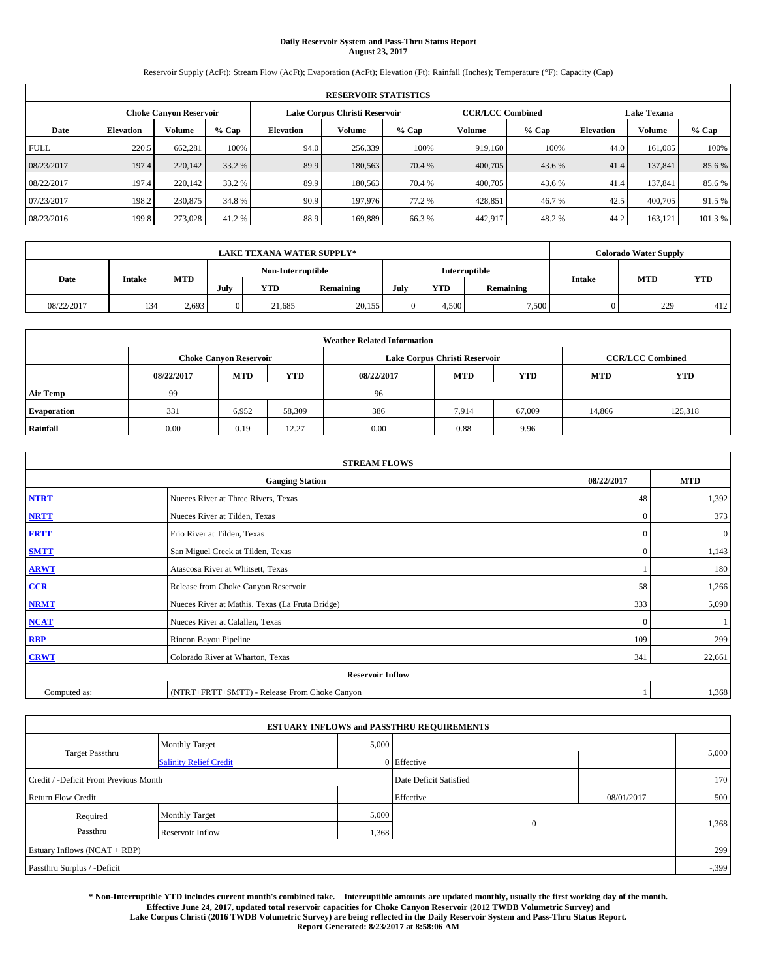# **Daily Reservoir System and Pass-Thru Status Report August 23, 2017**

Reservoir Supply (AcFt); Stream Flow (AcFt); Evaporation (AcFt); Elevation (Ft); Rainfall (Inches); Temperature (°F); Capacity (Cap)

|             | <b>RESERVOIR STATISTICS</b> |                               |         |           |                               |         |                         |         |                  |                    |         |  |
|-------------|-----------------------------|-------------------------------|---------|-----------|-------------------------------|---------|-------------------------|---------|------------------|--------------------|---------|--|
|             |                             | <b>Choke Canyon Reservoir</b> |         |           | Lake Corpus Christi Reservoir |         | <b>CCR/LCC Combined</b> |         |                  | <b>Lake Texana</b> |         |  |
| Date        | <b>Elevation</b>            | Volume                        | $%$ Cap | Elevation | Volume                        | $%$ Cap | Volume                  | $%$ Cap | <b>Elevation</b> | <b>Volume</b>      | % Cap   |  |
| <b>FULL</b> | 220.5                       | 662,281                       | 100%    | 94.0      | 256,339                       | 100%    | 919.160                 | 100%    | 44.0             | 161.085            | 100%    |  |
| 08/23/2017  | 197.4                       | 220,142                       | 33.2 %  | 89.9      | 180,563                       | 70.4 %  | 400,705                 | 43.6 %  | 41.4             | 137,841            | 85.6%   |  |
| 08/22/2017  | 197.4                       | 220,142                       | 33.2 %  | 89.9      | 180,563                       | 70.4 %  | 400,705                 | 43.6 %  | 41.4             | 137,841            | 85.6 %  |  |
| 07/23/2017  | 198.2                       | 230,875                       | 34.8 %  | 90.9      | 197,976                       | 77.2 %  | 428.851                 | 46.7 %  | 42.5             | 400,705            | 91.5 %  |  |
| 08/23/2016  | 199.8                       | 273,028                       | 41.2 %  | 88.9      | 169,889                       | 66.3%   | 442,917                 | 48.2%   | 44.2             | 163,121            | 101.3 % |  |

| <b>LAKE TEXANA WATER SUPPLY*</b> |                   |       |            |        |               |           |       | <b>Colorado Water Supply</b> |           |               |            |            |
|----------------------------------|-------------------|-------|------------|--------|---------------|-----------|-------|------------------------------|-----------|---------------|------------|------------|
|                                  | Non-Interruptible |       |            |        | Interruptible |           |       |                              |           |               |            |            |
| Date                             | Intake            |       | <b>MTD</b> | July   | <b>YTD</b>    | Remaining | July  | YTD                          | Remaining | <b>Intake</b> | <b>MTD</b> | <b>YTD</b> |
| 08/22/2017                       | 134               | 2,693 |            | 21.685 | 20,155        |           | 4.500 | 7,500                        |           | 229           | 412        |            |

| <b>Weather Related Information</b> |            |                               |            |            |                               |                         |            |            |  |  |
|------------------------------------|------------|-------------------------------|------------|------------|-------------------------------|-------------------------|------------|------------|--|--|
|                                    |            | <b>Choke Canyon Reservoir</b> |            |            | Lake Corpus Christi Reservoir | <b>CCR/LCC Combined</b> |            |            |  |  |
|                                    | 08/22/2017 | <b>MTD</b>                    | <b>YTD</b> | 08/22/2017 | <b>MTD</b>                    | <b>YTD</b>              | <b>MTD</b> | <b>YTD</b> |  |  |
| <b>Air Temp</b>                    | 99         |                               |            | 96         |                               |                         |            |            |  |  |
| <b>Evaporation</b>                 | 331        | 6,952                         | 58,309     | 386        | 7,914                         | 67,009                  | 14,866     | 125,318    |  |  |
| Rainfall                           | 0.00       | 0.19                          | 12.27      | 0.00       | 0.88                          | 9.96                    |            |            |  |  |

| <b>STREAM FLOWS</b> |                                                 |              |              |  |  |  |  |  |  |  |
|---------------------|-------------------------------------------------|--------------|--------------|--|--|--|--|--|--|--|
|                     | <b>Gauging Station</b>                          |              |              |  |  |  |  |  |  |  |
| <b>NTRT</b>         | Nueces River at Three Rivers, Texas             | 48           | 1,392        |  |  |  |  |  |  |  |
| <b>NRTT</b>         | Nueces River at Tilden, Texas                   | $\mathbf{0}$ | 373          |  |  |  |  |  |  |  |
| <b>FRTT</b>         | Frio River at Tilden, Texas                     | $\mathbf{0}$ | $\mathbf{0}$ |  |  |  |  |  |  |  |
| <b>SMTT</b>         | San Miguel Creek at Tilden, Texas               | $\mathbf{0}$ | 1,143        |  |  |  |  |  |  |  |
| <b>ARWT</b>         | Atascosa River at Whitsett, Texas               |              | 180          |  |  |  |  |  |  |  |
| $CCR$               | Release from Choke Canyon Reservoir             | 58           | 1,266        |  |  |  |  |  |  |  |
| <b>NRMT</b>         | Nueces River at Mathis, Texas (La Fruta Bridge) | 333          | 5,090        |  |  |  |  |  |  |  |
| <b>NCAT</b>         | Nueces River at Calallen, Texas                 | $\Omega$     |              |  |  |  |  |  |  |  |
| RBP                 | Rincon Bayou Pipeline                           | 109          | 299          |  |  |  |  |  |  |  |
| <b>CRWT</b>         | Colorado River at Wharton, Texas                | 341          | 22,661       |  |  |  |  |  |  |  |
|                     | <b>Reservoir Inflow</b>                         |              |              |  |  |  |  |  |  |  |
| Computed as:        | (NTRT+FRTT+SMTT) - Release From Choke Canyon    |              | 1,368        |  |  |  |  |  |  |  |

| <b>ESTUARY INFLOWS and PASSTHRU REQUIREMENTS</b> |                               |                        |              |            |          |  |  |  |  |  |
|--------------------------------------------------|-------------------------------|------------------------|--------------|------------|----------|--|--|--|--|--|
|                                                  | <b>Monthly Target</b>         | 5,000                  |              |            |          |  |  |  |  |  |
| <b>Target Passthru</b>                           | <b>Salinity Relief Credit</b> |                        | 0 Effective  |            | 5,000    |  |  |  |  |  |
| Credit / -Deficit From Previous Month            |                               | Date Deficit Satisfied |              | 170        |          |  |  |  |  |  |
| <b>Return Flow Credit</b>                        |                               |                        | Effective    | 08/01/2017 | 500      |  |  |  |  |  |
| Required                                         | <b>Monthly Target</b>         | 5,000                  |              |            |          |  |  |  |  |  |
| Passthru                                         | Reservoir Inflow              | 1,368                  | $\mathbf{0}$ |            | 1,368    |  |  |  |  |  |
| Estuary Inflows (NCAT + RBP)                     |                               |                        |              |            | 299      |  |  |  |  |  |
| Passthru Surplus / -Deficit                      |                               |                        |              |            | $-0.399$ |  |  |  |  |  |

**\* Non-Interruptible YTD includes current month's combined take. Interruptible amounts are updated monthly, usually the first working day of the month. Effective June 24, 2017, updated total reservoir capacities for Choke Canyon Reservoir (2012 TWDB Volumetric Survey) and Lake Corpus Christi (2016 TWDB Volumetric Survey) are being reflected in the Daily Reservoir System and Pass-Thru Status Report. Report Generated: 8/23/2017 at 8:58:06 AM**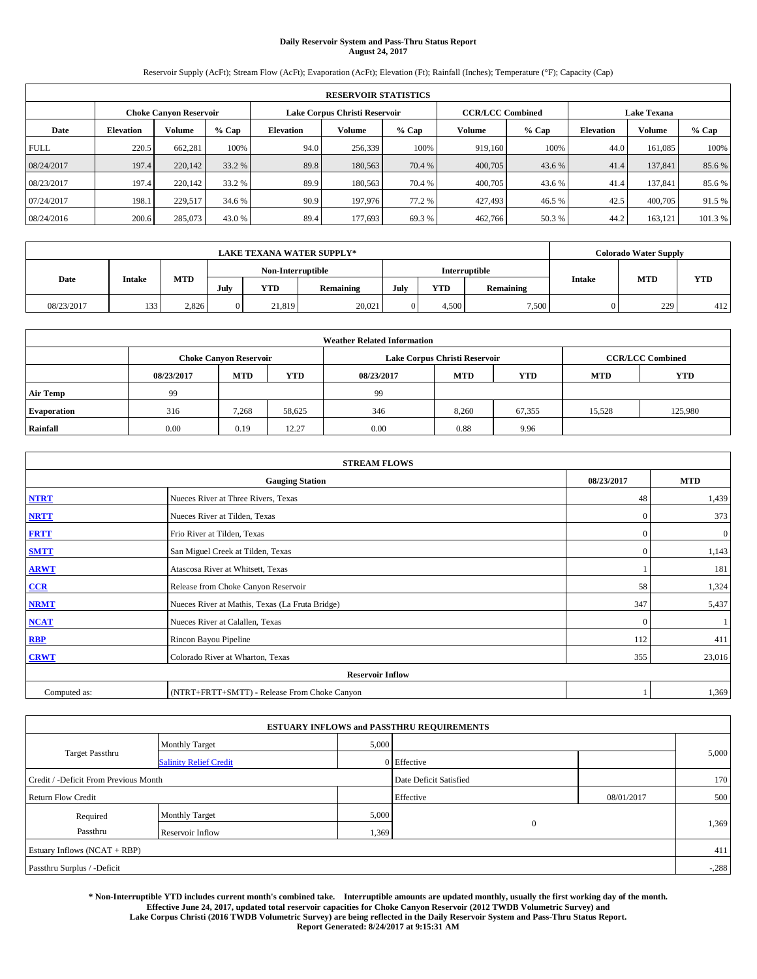# **Daily Reservoir System and Pass-Thru Status Report August 24, 2017**

Reservoir Supply (AcFt); Stream Flow (AcFt); Evaporation (AcFt); Elevation (Ft); Rainfall (Inches); Temperature (°F); Capacity (Cap)

|             | <b>RESERVOIR STATISTICS</b> |                        |        |                  |                               |         |                         |         |                  |                    |        |  |
|-------------|-----------------------------|------------------------|--------|------------------|-------------------------------|---------|-------------------------|---------|------------------|--------------------|--------|--|
|             |                             | Choke Canvon Reservoir |        |                  | Lake Corpus Christi Reservoir |         | <b>CCR/LCC Combined</b> |         |                  | <b>Lake Texana</b> |        |  |
| Date        | <b>Elevation</b>            | Volume                 | % Cap  | <b>Elevation</b> | <b>Volume</b>                 | $%$ Cap | Volume                  | $%$ Cap | <b>Elevation</b> | <b>Volume</b>      | % Cap  |  |
| <b>FULL</b> | 220.5                       | 662,281                | 100%   | 94.0             | 256,339                       | 100%    | 919.160                 | 100%    | 44.0             | 161.085            | 100%   |  |
| 08/24/2017  | 197.4                       | 220,142                | 33.2 % | 89.8             | 180,563                       | 70.4 %  | 400,705                 | 43.6 %  | 41.4             | 137,841            | 85.6%  |  |
| 08/23/2017  | 197.4                       | 220,142                | 33.2 % | 89.9             | 180,563                       | 70.4 %  | 400,705                 | 43.6 %  | 41.4             | 137.841            | 85.6%  |  |
| 07/24/2017  | 198.1                       | 229.517                | 34.6 % | 90.9             | 197,976                       | 77.2 %  | 427,493                 | 46.5 %  | 42.5             | 400,705            | 91.5%  |  |
| 08/24/2016  | 200.6                       | 285,073                | 43.0 % | 89.4             | 177,693                       | 69.3%   | 462,766                 | 50.3%   | 44.2             | 163,121            | 101.3% |  |

| LAKE TEXANA WATER SUPPLY* |               |       |  |                   |        |            |           | <b>Colorado Water Supply</b> |            |           |               |            |            |
|---------------------------|---------------|-------|--|-------------------|--------|------------|-----------|------------------------------|------------|-----------|---------------|------------|------------|
|                           |               |       |  | Non-Interruptible |        |            |           | Interruptible                |            |           |               |            |            |
| Date                      | <b>Intake</b> |       |  | <b>MTD</b>        | July   | <b>YTD</b> | Remaining | July                         | <b>YTD</b> | Remaining | <b>Intake</b> | <b>MTD</b> | <b>YTD</b> |
| 08/23/2017                | 133           | 2.826 |  | 21.819            | 20,021 |            | 4.500     | 7,500                        |            | 229       | 412           |            |            |

| <b>Weather Related Information</b> |            |                               |            |            |                               |                         |            |            |  |  |
|------------------------------------|------------|-------------------------------|------------|------------|-------------------------------|-------------------------|------------|------------|--|--|
|                                    |            | <b>Choke Canyon Reservoir</b> |            |            | Lake Corpus Christi Reservoir | <b>CCR/LCC Combined</b> |            |            |  |  |
|                                    | 08/23/2017 | <b>MTD</b>                    | <b>YTD</b> | 08/23/2017 | <b>MTD</b>                    | <b>YTD</b>              | <b>MTD</b> | <b>YTD</b> |  |  |
| <b>Air Temp</b>                    | -99        |                               |            | 99         |                               |                         |            |            |  |  |
| <b>Evaporation</b>                 | 316        | 7.268                         | 58,625     | 346        | 8,260                         | 67,355                  | 15,528     | 125,980    |  |  |
| Rainfall                           | 0.00       | 0.19                          | 12.27      | 0.00       | 0.88                          | 9.96                    |            |            |  |  |

| <b>STREAM FLOWS</b> |                                                 |              |                  |  |  |  |  |  |  |
|---------------------|-------------------------------------------------|--------------|------------------|--|--|--|--|--|--|
|                     | <b>Gauging Station</b>                          |              |                  |  |  |  |  |  |  |
| <b>NTRT</b>         | Nueces River at Three Rivers, Texas             | 48           | 1,439            |  |  |  |  |  |  |
| <b>NRTT</b>         | Nueces River at Tilden, Texas                   | $\mathbf{0}$ | 373              |  |  |  |  |  |  |
| <b>FRTT</b>         | Frio River at Tilden, Texas                     | $\mathbf{0}$ | $\boldsymbol{0}$ |  |  |  |  |  |  |
| <b>SMTT</b>         | San Miguel Creek at Tilden, Texas               | $\mathbf{0}$ | 1,143            |  |  |  |  |  |  |
| <b>ARWT</b>         | Atascosa River at Whitsett, Texas               |              | 181              |  |  |  |  |  |  |
| CCR                 | Release from Choke Canyon Reservoir             | 58           | 1,324            |  |  |  |  |  |  |
| <b>NRMT</b>         | Nueces River at Mathis, Texas (La Fruta Bridge) | 347          | 5,437            |  |  |  |  |  |  |
| <b>NCAT</b>         | Nueces River at Calallen, Texas                 | $\mathbf{0}$ |                  |  |  |  |  |  |  |
| <b>RBP</b>          | Rincon Bayou Pipeline                           | 112          | 411              |  |  |  |  |  |  |
| <b>CRWT</b>         | Colorado River at Wharton, Texas                | 355          | 23,016           |  |  |  |  |  |  |
|                     | <b>Reservoir Inflow</b>                         |              |                  |  |  |  |  |  |  |
| Computed as:        | (NTRT+FRTT+SMTT) - Release From Choke Canyon    |              | 1,369            |  |  |  |  |  |  |

| <b>ESTUARY INFLOWS and PASSTHRU REQUIREMENTS</b> |                               |                        |              |            |         |  |  |  |  |  |
|--------------------------------------------------|-------------------------------|------------------------|--------------|------------|---------|--|--|--|--|--|
|                                                  | <b>Monthly Target</b>         | 5,000                  |              |            |         |  |  |  |  |  |
| <b>Target Passthru</b>                           | <b>Salinity Relief Credit</b> |                        | 0 Effective  |            | 5,000   |  |  |  |  |  |
| Credit / -Deficit From Previous Month            |                               | Date Deficit Satisfied |              | 170        |         |  |  |  |  |  |
| <b>Return Flow Credit</b>                        |                               |                        | Effective    | 08/01/2017 | 500     |  |  |  |  |  |
| Required                                         | <b>Monthly Target</b>         | 5,000                  |              |            |         |  |  |  |  |  |
| Passthru                                         | Reservoir Inflow              | 1,369                  | $\mathbf{0}$ |            | 1,369   |  |  |  |  |  |
| Estuary Inflows (NCAT + RBP)                     |                               |                        |              |            | 411     |  |  |  |  |  |
| Passthru Surplus / -Deficit                      |                               |                        |              |            | $-.288$ |  |  |  |  |  |

**\* Non-Interruptible YTD includes current month's combined take. Interruptible amounts are updated monthly, usually the first working day of the month. Effective June 24, 2017, updated total reservoir capacities for Choke Canyon Reservoir (2012 TWDB Volumetric Survey) and Lake Corpus Christi (2016 TWDB Volumetric Survey) are being reflected in the Daily Reservoir System and Pass-Thru Status Report. Report Generated: 8/24/2017 at 9:15:31 AM**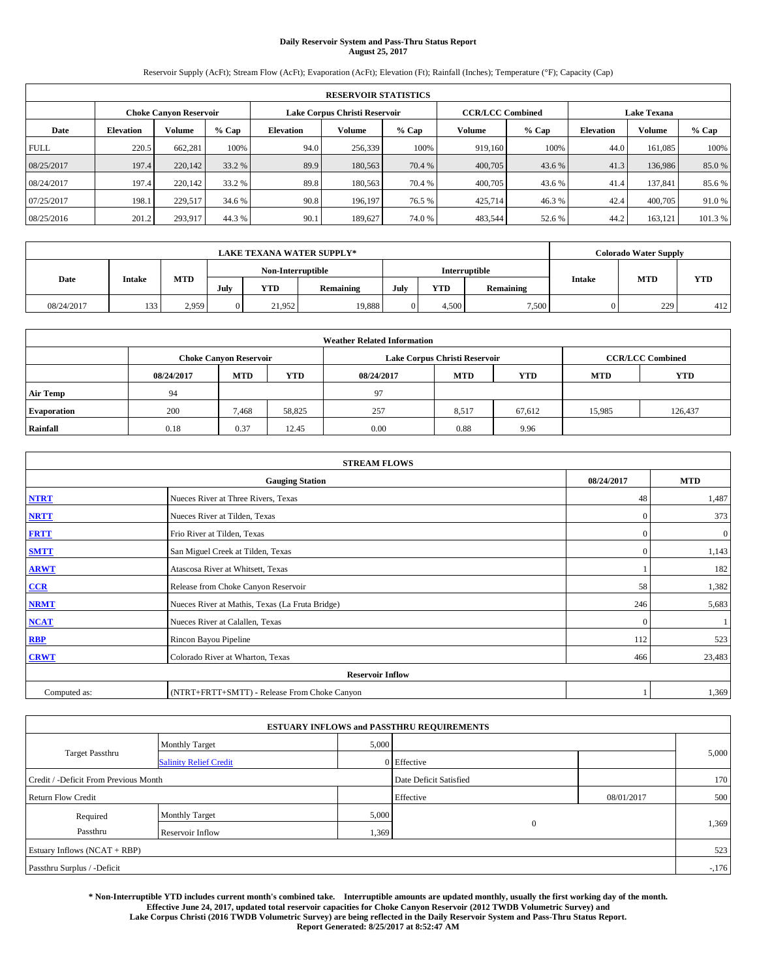# **Daily Reservoir System and Pass-Thru Status Report August 25, 2017**

Reservoir Supply (AcFt); Stream Flow (AcFt); Evaporation (AcFt); Elevation (Ft); Rainfall (Inches); Temperature (°F); Capacity (Cap)

|             | <b>RESERVOIR STATISTICS</b>   |         |         |           |                               |         |         |                         |                    |               |         |
|-------------|-------------------------------|---------|---------|-----------|-------------------------------|---------|---------|-------------------------|--------------------|---------------|---------|
|             | <b>Choke Canyon Reservoir</b> |         |         |           | Lake Corpus Christi Reservoir |         |         | <b>CCR/LCC Combined</b> | <b>Lake Texana</b> |               |         |
| Date        | <b>Elevation</b>              | Volume  | $%$ Cap | Elevation | Volume                        | $%$ Cap | Volume  | $%$ Cap                 | <b>Elevation</b>   | <b>Volume</b> | % Cap   |
| <b>FULL</b> | 220.5                         | 662,281 | 100%    | 94.0      | 256,339                       | 100%    | 919.160 | 100%                    | 44.0               | 161.085       | 100%    |
| 08/25/2017  | 197.4                         | 220,142 | 33.2 %  | 89.9      | 180,563                       | 70.4 %  | 400,705 | 43.6 %                  | 41.3               | 136,986       | 85.0%   |
| 08/24/2017  | 197.4                         | 220,142 | 33.2 %  | 89.8      | 180,563                       | 70.4 %  | 400,705 | 43.6 %                  | 41.4               | 137,841       | 85.6 %  |
| 07/25/2017  | 198.1                         | 229.517 | 34.6 %  | 90.8      | 196.197                       | 76.5 %  | 425,714 | 46.3%                   | 42.4               | 400,705       | 91.0%   |
| 08/25/2016  | 201.2                         | 293,917 | 44.3 %  | 90.1      | 189,627                       | 74.0%   | 483,544 | 52.6 %                  | 44.2               | 163,121       | 101.3 % |

|            | <b>LAKE TEXANA WATER SUPPLY*</b> |            |      |                   |           |      |       |               |               |            | <b>Colorado Water Supply</b> |  |  |
|------------|----------------------------------|------------|------|-------------------|-----------|------|-------|---------------|---------------|------------|------------------------------|--|--|
|            |                                  |            |      | Non-Interruptible |           |      |       | Interruptible |               |            |                              |  |  |
| Date       | Intake                           | <b>MTD</b> | July | <b>YTD</b>        | Remaining | July | YTD   | Remaining     | <b>Intake</b> | <b>MTD</b> | <b>YTD</b>                   |  |  |
| 08/24/2017 | 133                              | 2,959      |      | 21.952            | 19,888    |      | 4.500 | 7,500         |               | 229        | 412                          |  |  |

| <b>Weather Related Information</b> |                                                                                                |                               |        |      |                               |                         |        |            |  |  |
|------------------------------------|------------------------------------------------------------------------------------------------|-------------------------------|--------|------|-------------------------------|-------------------------|--------|------------|--|--|
|                                    |                                                                                                | <b>Choke Canyon Reservoir</b> |        |      | Lake Corpus Christi Reservoir | <b>CCR/LCC Combined</b> |        |            |  |  |
|                                    | <b>YTD</b><br><b>MTD</b><br><b>MTD</b><br><b>YTD</b><br><b>MTD</b><br>08/24/2017<br>08/24/2017 |                               |        |      |                               |                         |        | <b>YTD</b> |  |  |
| <b>Air Temp</b>                    | 94                                                                                             |                               |        | 97   |                               |                         |        |            |  |  |
| <b>Evaporation</b>                 | 200                                                                                            | 7,468                         | 58,825 | 257  | 8,517                         | 67,612                  | 15,985 | 126,437    |  |  |
| Rainfall                           | 0.18                                                                                           | 0.37                          | 12.45  | 0.00 | 0.88                          | 9.96                    |        |            |  |  |

| <b>STREAM FLOWS</b> |                                                 |              |              |  |  |  |  |  |  |
|---------------------|-------------------------------------------------|--------------|--------------|--|--|--|--|--|--|
|                     | <b>Gauging Station</b>                          |              |              |  |  |  |  |  |  |
| <b>NTRT</b>         | Nueces River at Three Rivers, Texas             |              |              |  |  |  |  |  |  |
| <b>NRTT</b>         | Nueces River at Tilden, Texas                   | $\mathbf{0}$ | 373          |  |  |  |  |  |  |
| <b>FRTT</b>         | Frio River at Tilden, Texas                     | $\mathbf{0}$ | $\mathbf{0}$ |  |  |  |  |  |  |
| <b>SMTT</b>         | San Miguel Creek at Tilden, Texas               | $\mathbf{0}$ | 1,143        |  |  |  |  |  |  |
| <b>ARWT</b>         | Atascosa River at Whitsett, Texas               |              | 182          |  |  |  |  |  |  |
| $CCR$               | Release from Choke Canyon Reservoir             | 58           | 1,382        |  |  |  |  |  |  |
| <b>NRMT</b>         | Nueces River at Mathis, Texas (La Fruta Bridge) | 246          | 5,683        |  |  |  |  |  |  |
| <b>NCAT</b>         | Nueces River at Calallen, Texas                 | $\Omega$     |              |  |  |  |  |  |  |
| RBP                 | Rincon Bayou Pipeline                           | 112          | 523          |  |  |  |  |  |  |
| <b>CRWT</b>         | Colorado River at Wharton, Texas                | 466          | 23,483       |  |  |  |  |  |  |
|                     | <b>Reservoir Inflow</b>                         |              |              |  |  |  |  |  |  |
| Computed as:        | (NTRT+FRTT+SMTT) - Release From Choke Canyon    |              |              |  |  |  |  |  |  |

| <b>ESTUARY INFLOWS and PASSTHRU REQUIREMENTS</b> |                               |                        |              |            |        |  |  |  |  |  |
|--------------------------------------------------|-------------------------------|------------------------|--------------|------------|--------|--|--|--|--|--|
|                                                  | <b>Monthly Target</b>         | 5,000                  |              |            |        |  |  |  |  |  |
| <b>Target Passthru</b>                           | <b>Salinity Relief Credit</b> |                        | 0 Effective  |            | 5,000  |  |  |  |  |  |
| Credit / -Deficit From Previous Month            |                               | Date Deficit Satisfied |              | 170        |        |  |  |  |  |  |
| <b>Return Flow Credit</b>                        |                               |                        | Effective    | 08/01/2017 | 500    |  |  |  |  |  |
| Required                                         | <b>Monthly Target</b>         | 5,000                  |              |            |        |  |  |  |  |  |
| Passthru                                         | Reservoir Inflow              | 1,369                  | $\mathbf{0}$ |            | 1,369  |  |  |  |  |  |
| Estuary Inflows (NCAT + RBP)                     |                               |                        |              |            | 523    |  |  |  |  |  |
| Passthru Surplus / -Deficit                      |                               |                        |              |            | $-176$ |  |  |  |  |  |

**\* Non-Interruptible YTD includes current month's combined take. Interruptible amounts are updated monthly, usually the first working day of the month. Effective June 24, 2017, updated total reservoir capacities for Choke Canyon Reservoir (2012 TWDB Volumetric Survey) and Lake Corpus Christi (2016 TWDB Volumetric Survey) are being reflected in the Daily Reservoir System and Pass-Thru Status Report. Report Generated: 8/25/2017 at 8:52:47 AM**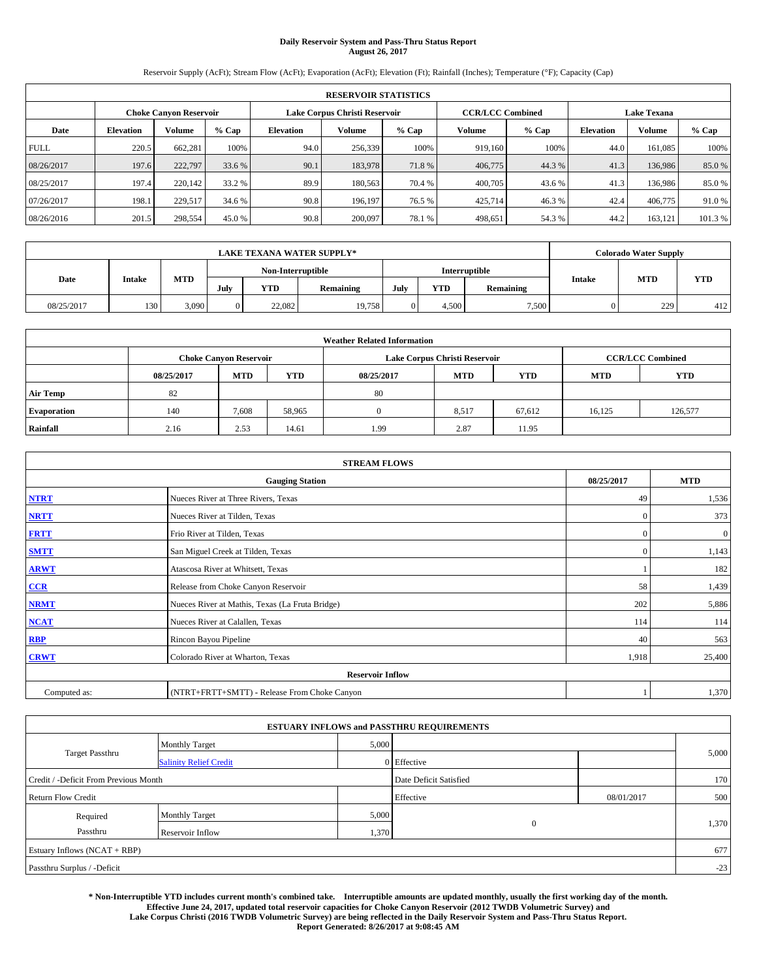# **Daily Reservoir System and Pass-Thru Status Report August 26, 2017**

Reservoir Supply (AcFt); Stream Flow (AcFt); Evaporation (AcFt); Elevation (Ft); Rainfall (Inches); Temperature (°F); Capacity (Cap)

|             | <b>RESERVOIR STATISTICS</b>   |         |         |           |                               |         |         |                         |                    |               |         |
|-------------|-------------------------------|---------|---------|-----------|-------------------------------|---------|---------|-------------------------|--------------------|---------------|---------|
|             | <b>Choke Canyon Reservoir</b> |         |         |           | Lake Corpus Christi Reservoir |         |         | <b>CCR/LCC Combined</b> | <b>Lake Texana</b> |               |         |
| Date        | <b>Elevation</b>              | Volume  | $%$ Cap | Elevation | Volume                        | $%$ Cap | Volume  | $%$ Cap                 | <b>Elevation</b>   | <b>Volume</b> | % Cap   |
| <b>FULL</b> | 220.5                         | 662,281 | 100%    | 94.0      | 256,339                       | 100%    | 919.160 | 100%                    | 44.0               | 161.085       | 100%    |
| 08/26/2017  | 197.6                         | 222,797 | 33.6 %  | 90.1      | 183,978                       | 71.8%   | 406,775 | 44.3 %                  | 41.3               | 136,986       | 85.0%   |
| 08/25/2017  | 197.4                         | 220,142 | 33.2 %  | 89.9      | 180,563                       | 70.4 %  | 400,705 | 43.6 %                  | 41.3               | 136,986       | 85.0%   |
| 07/26/2017  | 198.1                         | 229.517 | 34.6 %  | 90.8      | 196.197                       | 76.5 %  | 425,714 | 46.3%                   | 42.4               | 406,775       | 91.0%   |
| 08/26/2016  | 201.5                         | 298,554 | 45.0 %  | 90.8      | 200,097                       | 78.1 %  | 498,651 | 54.3 %                  | 44.2               | 163,121       | 101.3 % |

|            | <b>LAKE TEXANA WATER SUPPLY*</b> |            |      |                   |           |      |       |               |               |            | <b>Colorado Water Supply</b> |  |  |
|------------|----------------------------------|------------|------|-------------------|-----------|------|-------|---------------|---------------|------------|------------------------------|--|--|
|            |                                  |            |      | Non-Interruptible |           |      |       | Interruptible |               |            |                              |  |  |
| Date       | Intake                           | <b>MTD</b> | July | <b>YTD</b>        | Remaining | July | YTD   | Remaining     | <b>Intake</b> | <b>MTD</b> | <b>YTD</b>                   |  |  |
| 08/25/2017 | 130                              | 3,090      |      | 22.082            | 19,758    |      | 4.500 | 7,500         |               | 229        | 412                          |  |  |

| <b>Weather Related Information</b> |                                                                                                |                               |        |      |                               |                         |        |            |  |  |
|------------------------------------|------------------------------------------------------------------------------------------------|-------------------------------|--------|------|-------------------------------|-------------------------|--------|------------|--|--|
|                                    |                                                                                                | <b>Choke Canyon Reservoir</b> |        |      | Lake Corpus Christi Reservoir | <b>CCR/LCC Combined</b> |        |            |  |  |
|                                    | <b>YTD</b><br><b>MTD</b><br><b>MTD</b><br><b>YTD</b><br><b>MTD</b><br>08/25/2017<br>08/25/2017 |                               |        |      |                               |                         |        | <b>YTD</b> |  |  |
| <b>Air Temp</b>                    | 82                                                                                             |                               |        | 80   |                               |                         |        |            |  |  |
| <b>Evaporation</b>                 | 140                                                                                            | 7,608                         | 58,965 |      | 8,517                         | 67,612                  | 16.125 | 126,577    |  |  |
| Rainfall                           | 2.16                                                                                           | 2.53                          | 14.61  | 1.99 | 2.87                          | 11.95                   |        |            |  |  |

| <b>STREAM FLOWS</b> |                                                 |              |              |  |  |  |  |  |  |
|---------------------|-------------------------------------------------|--------------|--------------|--|--|--|--|--|--|
|                     | <b>Gauging Station</b>                          |              |              |  |  |  |  |  |  |
| <b>NTRT</b>         | Nueces River at Three Rivers, Texas             |              |              |  |  |  |  |  |  |
| <b>NRTT</b>         | Nueces River at Tilden, Texas                   | $\mathbf{0}$ | 373          |  |  |  |  |  |  |
| <b>FRTT</b>         | Frio River at Tilden, Texas                     | $\mathbf{0}$ | $\mathbf{0}$ |  |  |  |  |  |  |
| <b>SMTT</b>         | San Miguel Creek at Tilden, Texas               | $\mathbf{0}$ | 1,143        |  |  |  |  |  |  |
| <b>ARWT</b>         | Atascosa River at Whitsett, Texas               |              | 182          |  |  |  |  |  |  |
| $CCR$               | Release from Choke Canyon Reservoir             | 58           | 1,439        |  |  |  |  |  |  |
| <b>NRMT</b>         | Nueces River at Mathis, Texas (La Fruta Bridge) | 202          | 5,886        |  |  |  |  |  |  |
| <b>NCAT</b>         | Nueces River at Calallen, Texas                 | 114          | 114          |  |  |  |  |  |  |
| RBP                 | Rincon Bayou Pipeline                           | 40           | 563          |  |  |  |  |  |  |
| <b>CRWT</b>         | Colorado River at Wharton, Texas                | 1,918        | 25,400       |  |  |  |  |  |  |
|                     | <b>Reservoir Inflow</b>                         |              |              |  |  |  |  |  |  |
| Computed as:        | (NTRT+FRTT+SMTT) - Release From Choke Canyon    |              |              |  |  |  |  |  |  |

|                                       |                               |       | <b>ESTUARY INFLOWS and PASSTHRU REQUIREMENTS</b> |            |       |
|---------------------------------------|-------------------------------|-------|--------------------------------------------------|------------|-------|
|                                       | <b>Monthly Target</b>         | 5,000 |                                                  |            |       |
| <b>Target Passthru</b>                | <b>Salinity Relief Credit</b> |       | 0 Effective                                      |            | 5,000 |
| Credit / -Deficit From Previous Month |                               |       | Date Deficit Satisfied                           |            | 170   |
| <b>Return Flow Credit</b>             |                               |       | Effective                                        | 08/01/2017 | 500   |
| Required                              | <b>Monthly Target</b>         | 5,000 |                                                  |            |       |
| Passthru                              | Reservoir Inflow              | 1,370 | $\mathbf{0}$                                     |            | 1,370 |
| Estuary Inflows (NCAT + RBP)          |                               |       |                                                  |            | 677   |
| Passthru Surplus / -Deficit           |                               |       |                                                  |            | $-23$ |

**\* Non-Interruptible YTD includes current month's combined take. Interruptible amounts are updated monthly, usually the first working day of the month. Effective June 24, 2017, updated total reservoir capacities for Choke Canyon Reservoir (2012 TWDB Volumetric Survey) and Lake Corpus Christi (2016 TWDB Volumetric Survey) are being reflected in the Daily Reservoir System and Pass-Thru Status Report.** 

**Report Generated: 8/26/2017 at 9:08:45 AM**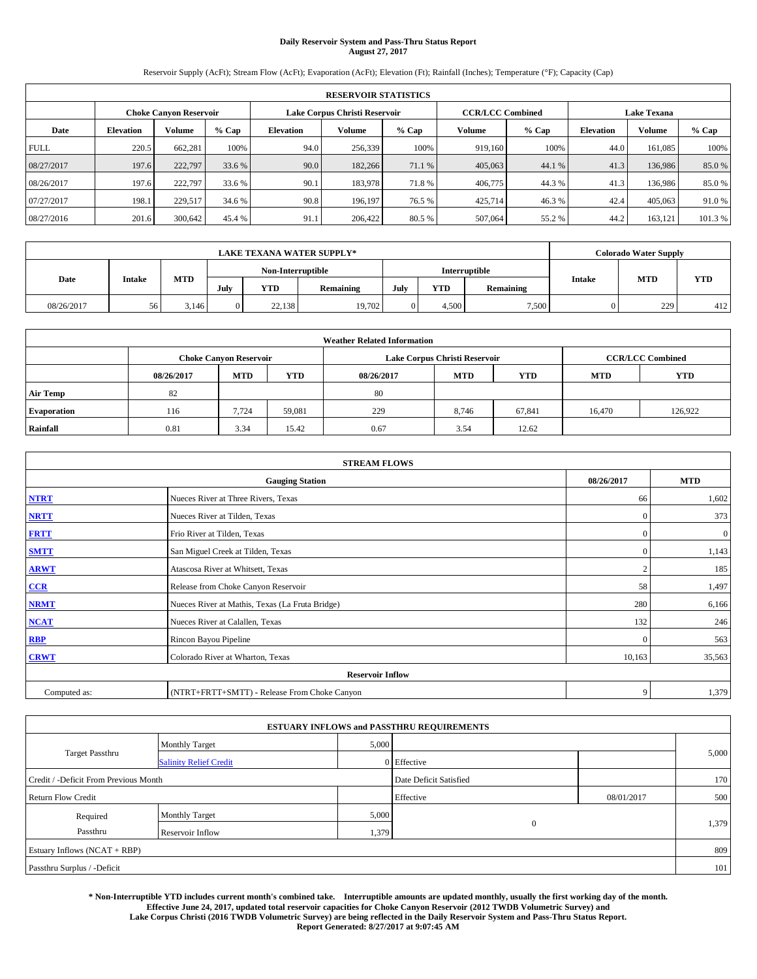# **Daily Reservoir System and Pass-Thru Status Report August 27, 2017**

Reservoir Supply (AcFt); Stream Flow (AcFt); Evaporation (AcFt); Elevation (Ft); Rainfall (Inches); Temperature (°F); Capacity (Cap)

|             | <b>RESERVOIR STATISTICS</b>   |         |         |           |                               |         |                         |         |                    |               |         |
|-------------|-------------------------------|---------|---------|-----------|-------------------------------|---------|-------------------------|---------|--------------------|---------------|---------|
|             | <b>Choke Canyon Reservoir</b> |         |         |           | Lake Corpus Christi Reservoir |         | <b>CCR/LCC Combined</b> |         | <b>Lake Texana</b> |               |         |
| Date        | <b>Elevation</b>              | Volume  | $%$ Cap | Elevation | Volume                        | $%$ Cap | Volume                  | $%$ Cap | <b>Elevation</b>   | <b>Volume</b> | % Cap   |
| <b>FULL</b> | 220.5                         | 662,281 | 100%    | 94.0      | 256,339                       | 100%    | 919.160                 | 100%    | 44.0               | 161.085       | 100%    |
| 08/27/2017  | 197.6                         | 222,797 | 33.6 %  | 90.0      | 182,266                       | 71.1 %  | 405,063                 | 44.1 %  | 41.3               | 136,986       | 85.0%   |
| 08/26/2017  | 197.6                         | 222,797 | 33.6 %  | 90.1      | 183,978                       | 71.8%   | 406,775                 | 44.3%   | 41.3               | 136,986       | 85.0%   |
| 07/27/2017  | 198.1                         | 229.517 | 34.6 %  | 90.8      | 196.197                       | 76.5 %  | 425,714                 | 46.3%   | 42.4               | 405,063       | 91.0%   |
| 08/27/2016  | 201.6                         | 300,642 | 45.4 %  | 91.1      | 206,422                       | 80.5 %  | 507,064                 | 55.2 %  | 44.2               | 163,121       | 101.3 % |

|            | <b>LAKE TEXANA WATER SUPPLY*</b> |            |      |                   |           |      |       |               |               |            | <b>Colorado Water Supply</b> |  |  |
|------------|----------------------------------|------------|------|-------------------|-----------|------|-------|---------------|---------------|------------|------------------------------|--|--|
|            |                                  |            |      | Non-Interruptible |           |      |       | Interruptible |               |            |                              |  |  |
| Date       | Intake                           | <b>MTD</b> | July | <b>YTD</b>        | Remaining | July | YTD   | Remaining     | <b>Intake</b> | <b>MTD</b> | <b>YTD</b>                   |  |  |
| 08/26/2017 | 56                               | 3.146      |      | 22,138            | 19,702    |      | 4.500 | 7,500         |               | 229        | 412                          |  |  |

| <b>Weather Related Information</b> |            |                               |            |            |                               |                         |            |         |  |
|------------------------------------|------------|-------------------------------|------------|------------|-------------------------------|-------------------------|------------|---------|--|
|                                    |            | <b>Choke Canyon Reservoir</b> |            |            | Lake Corpus Christi Reservoir | <b>CCR/LCC Combined</b> |            |         |  |
|                                    | 08/26/2017 | <b>MTD</b>                    | <b>YTD</b> | 08/26/2017 | <b>MTD</b>                    | <b>MTD</b>              | <b>YTD</b> |         |  |
| <b>Air Temp</b>                    | 82         |                               |            | 80         |                               |                         |            |         |  |
| <b>Evaporation</b>                 | 116        | 7.724                         | 59.081     | 229        | 8,746                         | 67,841                  | 16.470     | 126.922 |  |
| Rainfall                           | 0.81       | 3.34                          | 15.42      | 0.67       | 3.54                          | 12.62                   |            |         |  |

| <b>STREAM FLOWS</b> |                                                 |               |          |  |  |  |  |  |  |
|---------------------|-------------------------------------------------|---------------|----------|--|--|--|--|--|--|
|                     | 08/26/2017                                      | <b>MTD</b>    |          |  |  |  |  |  |  |
| <b>NTRT</b>         | Nueces River at Three Rivers, Texas             | 66            | 1,602    |  |  |  |  |  |  |
| <b>NRTT</b>         | Nueces River at Tilden, Texas                   | $\mathbf{0}$  | 373      |  |  |  |  |  |  |
| <b>FRTT</b>         | Frio River at Tilden, Texas                     | $\mathbf{0}$  | $\bf{0}$ |  |  |  |  |  |  |
| <b>SMTT</b>         | San Miguel Creek at Tilden, Texas               | $\mathbf{0}$  | 1,143    |  |  |  |  |  |  |
| <b>ARWT</b>         | Atascosa River at Whitsett, Texas               | $\mathcal{L}$ | 185      |  |  |  |  |  |  |
| $CCR$               | Release from Choke Canyon Reservoir             | 58            | 1,497    |  |  |  |  |  |  |
| <b>NRMT</b>         | Nueces River at Mathis, Texas (La Fruta Bridge) | 280           | 6,166    |  |  |  |  |  |  |
| <b>NCAT</b>         | Nueces River at Calallen, Texas                 | 132           | 246      |  |  |  |  |  |  |
| RBP                 | Rincon Bayou Pipeline                           | $\mathbf{0}$  | 563      |  |  |  |  |  |  |
| <b>CRWT</b>         | Colorado River at Wharton, Texas                | 10,163        | 35,563   |  |  |  |  |  |  |
|                     | <b>Reservoir Inflow</b>                         |               |          |  |  |  |  |  |  |
| Computed as:        | (NTRT+FRTT+SMTT) - Release From Choke Canyon    | 9             | 1,379    |  |  |  |  |  |  |

|                                       |                               |                        | <b>ESTUARY INFLOWS and PASSTHRU REQUIREMENTS</b> |            |       |
|---------------------------------------|-------------------------------|------------------------|--------------------------------------------------|------------|-------|
|                                       | <b>Monthly Target</b>         | 5,000                  |                                                  |            |       |
| <b>Target Passthru</b>                | <b>Salinity Relief Credit</b> |                        | 0 Effective                                      |            | 5,000 |
| Credit / -Deficit From Previous Month |                               | Date Deficit Satisfied |                                                  | 170        |       |
| <b>Return Flow Credit</b>             |                               |                        | Effective                                        | 08/01/2017 | 500   |
| Required                              | <b>Monthly Target</b>         | 5,000                  |                                                  |            |       |
| Passthru                              | Reservoir Inflow              | 1,379                  | $\mathbf{0}$                                     |            | 1,379 |
| Estuary Inflows (NCAT + RBP)          |                               |                        |                                                  |            | 809   |
| Passthru Surplus / -Deficit           |                               |                        |                                                  |            | 101   |

**\* Non-Interruptible YTD includes current month's combined take. Interruptible amounts are updated monthly, usually the first working day of the month. Effective June 24, 2017, updated total reservoir capacities for Choke Canyon Reservoir (2012 TWDB Volumetric Survey) and Lake Corpus Christi (2016 TWDB Volumetric Survey) are being reflected in the Daily Reservoir System and Pass-Thru Status Report. Report Generated: 8/27/2017 at 9:07:45 AM**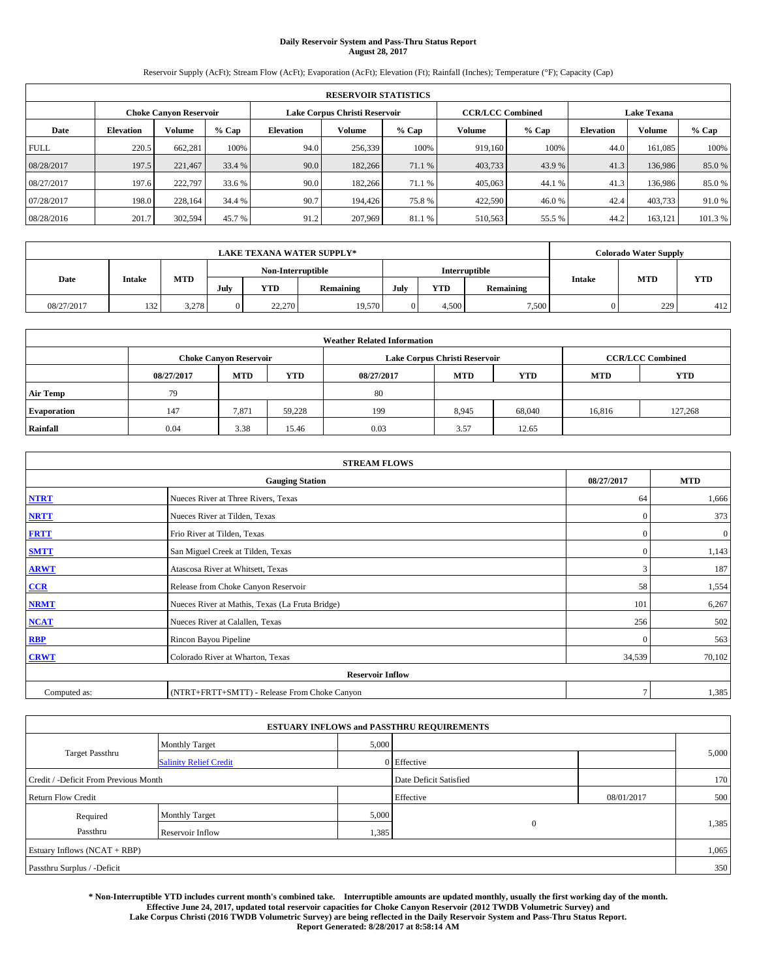# **Daily Reservoir System and Pass-Thru Status Report August 28, 2017**

Reservoir Supply (AcFt); Stream Flow (AcFt); Evaporation (AcFt); Elevation (Ft); Rainfall (Inches); Temperature (°F); Capacity (Cap)

|             | <b>RESERVOIR STATISTICS</b> |                               |         |           |                               |         |                         |         |                  |                    |         |  |
|-------------|-----------------------------|-------------------------------|---------|-----------|-------------------------------|---------|-------------------------|---------|------------------|--------------------|---------|--|
|             |                             | <b>Choke Canyon Reservoir</b> |         |           | Lake Corpus Christi Reservoir |         | <b>CCR/LCC Combined</b> |         |                  | <b>Lake Texana</b> |         |  |
| Date        | <b>Elevation</b>            | Volume                        | $%$ Cap | Elevation | Volume                        | $%$ Cap | Volume                  | $%$ Cap | <b>Elevation</b> | <b>Volume</b>      | % Cap   |  |
| <b>FULL</b> | 220.5                       | 662,281                       | 100%    | 94.0      | 256,339                       | 100%    | 919.160                 | 100%    | 44.0             | 161.085            | 100%    |  |
| 08/28/2017  | 197.5                       | 221,467                       | 33.4 %  | 90.0      | 182,266                       | 71.1 %  | 403,733                 | 43.9 %  | 41.3             | 136,986            | 85.0%   |  |
| 08/27/2017  | 197.6                       | 222,797                       | 33.6 %  | 90.0      | 182,266                       | 71.1 %  | 405,063                 | 44.1 %  | 41.3             | 136,986            | 85.0%   |  |
| 07/28/2017  | 198.0                       | 228.164                       | 34.4 %  | 90.7      | 194.426                       | 75.8%   | 422,590                 | 46.0%   | 42.4             | 403,733            | 91.0%   |  |
| 08/28/2016  | 201.7                       | 302,594                       | 45.7 %  | 91.2      | 207,969                       | 81.1 %  | 510,563                 | 55.5 %  | 44.2             | 163,121            | 101.3 % |  |

| <b>LAKE TEXANA WATER SUPPLY*</b> |        |            |      |                   |           |      |       |               |               | <b>Colorado Water Supply</b> |            |
|----------------------------------|--------|------------|------|-------------------|-----------|------|-------|---------------|---------------|------------------------------|------------|
|                                  |        |            |      | Non-Interruptible |           |      |       | Interruptible |               |                              |            |
| Date                             | Intake | <b>MTD</b> | July | <b>YTD</b>        | Remaining | July | YTD   | Remaining     | <b>Intake</b> | <b>MTD</b>                   | <b>YTD</b> |
| 08/27/2017                       | 132    | 3.278      |      | 22,270            | 19,570    |      | 4.500 | 7,500         |               | 229                          | 412        |

| <b>Weather Related Information</b> |            |                               |            |            |                               |                         |            |         |  |
|------------------------------------|------------|-------------------------------|------------|------------|-------------------------------|-------------------------|------------|---------|--|
|                                    |            | <b>Choke Canyon Reservoir</b> |            |            | Lake Corpus Christi Reservoir | <b>CCR/LCC Combined</b> |            |         |  |
|                                    | 08/27/2017 | <b>MTD</b>                    | <b>YTD</b> | 08/27/2017 | <b>MTD</b>                    | <b>MTD</b>              | <b>YTD</b> |         |  |
| <b>Air Temp</b>                    | 79         |                               |            | 80         |                               |                         |            |         |  |
| <b>Evaporation</b>                 | 147        | 7,871                         | 59.228     | 199        | 8,945                         | 68,040                  | 16,816     | 127.268 |  |
| Rainfall                           | 0.04       | 3.38                          | 15.46      | 0.03       | 3.57                          | 12.65                   |            |         |  |

| <b>STREAM FLOWS</b> |                                                 |              |          |  |  |  |  |  |  |
|---------------------|-------------------------------------------------|--------------|----------|--|--|--|--|--|--|
|                     | 08/27/2017                                      | <b>MTD</b>   |          |  |  |  |  |  |  |
| <b>NTRT</b>         | Nueces River at Three Rivers, Texas             | 64           | 1,666    |  |  |  |  |  |  |
| <b>NRTT</b>         | Nueces River at Tilden, Texas                   | $\mathbf{0}$ | 373      |  |  |  |  |  |  |
| <b>FRTT</b>         | Frio River at Tilden, Texas                     | $\mathbf{0}$ | $\bf{0}$ |  |  |  |  |  |  |
| <b>SMTT</b>         | San Miguel Creek at Tilden, Texas               | $\mathbf{0}$ | 1,143    |  |  |  |  |  |  |
| <b>ARWT</b>         | Atascosa River at Whitsett, Texas               | 3            | 187      |  |  |  |  |  |  |
| $CCR$               | Release from Choke Canyon Reservoir             | 58           | 1,554    |  |  |  |  |  |  |
| <b>NRMT</b>         | Nueces River at Mathis, Texas (La Fruta Bridge) | 101          | 6,267    |  |  |  |  |  |  |
| <b>NCAT</b>         | Nueces River at Calallen, Texas                 | 256          | 502      |  |  |  |  |  |  |
| RBP                 | Rincon Bayou Pipeline                           | $\mathbf{0}$ | 563      |  |  |  |  |  |  |
| <b>CRWT</b>         | Colorado River at Wharton, Texas                | 34,539       | 70,102   |  |  |  |  |  |  |
|                     | <b>Reservoir Inflow</b>                         |              |          |  |  |  |  |  |  |
| Computed as:        | (NTRT+FRTT+SMTT) - Release From Choke Canyon    | $\tau$       | 1,385    |  |  |  |  |  |  |

|                                       |                               |                        | <b>ESTUARY INFLOWS and PASSTHRU REQUIREMENTS</b> |            |       |
|---------------------------------------|-------------------------------|------------------------|--------------------------------------------------|------------|-------|
|                                       | <b>Monthly Target</b>         | 5,000                  |                                                  |            |       |
| <b>Target Passthru</b>                | <b>Salinity Relief Credit</b> |                        | 0 Effective                                      |            | 5,000 |
| Credit / -Deficit From Previous Month |                               | Date Deficit Satisfied |                                                  | 170        |       |
| <b>Return Flow Credit</b>             |                               |                        | Effective                                        | 08/01/2017 | 500   |
| Required                              | <b>Monthly Target</b>         | 5,000                  |                                                  |            |       |
| Passthru                              | Reservoir Inflow              | 1,385                  | $\theta$                                         |            | 1,385 |
| Estuary Inflows (NCAT + RBP)          |                               |                        |                                                  |            | 1,065 |
| Passthru Surplus / -Deficit           |                               |                        |                                                  |            | 350   |

**\* Non-Interruptible YTD includes current month's combined take. Interruptible amounts are updated monthly, usually the first working day of the month. Effective June 24, 2017, updated total reservoir capacities for Choke Canyon Reservoir (2012 TWDB Volumetric Survey) and Lake Corpus Christi (2016 TWDB Volumetric Survey) are being reflected in the Daily Reservoir System and Pass-Thru Status Report. Report Generated: 8/28/2017 at 8:58:14 AM**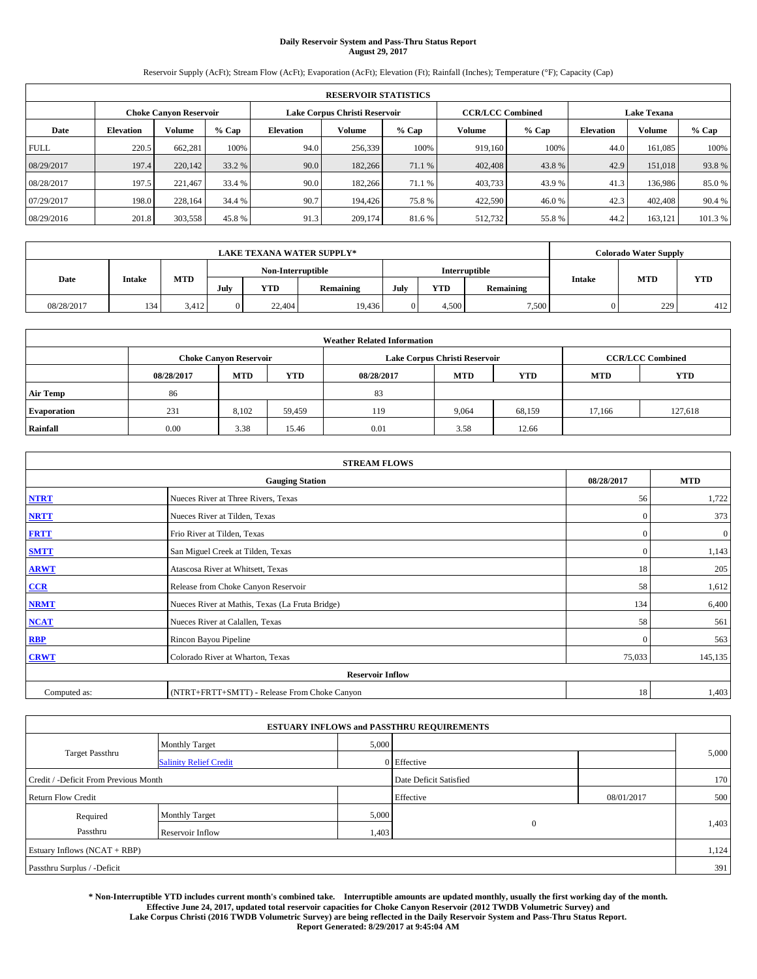# **Daily Reservoir System and Pass-Thru Status Report August 29, 2017**

Reservoir Supply (AcFt); Stream Flow (AcFt); Evaporation (AcFt); Elevation (Ft); Rainfall (Inches); Temperature (°F); Capacity (Cap)

| <b>RESERVOIR STATISTICS</b> |                  |                        |        |                  |                               |         |                         |         |                  |                    |        |  |
|-----------------------------|------------------|------------------------|--------|------------------|-------------------------------|---------|-------------------------|---------|------------------|--------------------|--------|--|
|                             |                  | Choke Canvon Reservoir |        |                  | Lake Corpus Christi Reservoir |         | <b>CCR/LCC Combined</b> |         |                  | <b>Lake Texana</b> |        |  |
| Date                        | <b>Elevation</b> | Volume                 | % Cap  | <b>Elevation</b> | <b>Volume</b>                 | $%$ Cap | Volume                  | $%$ Cap | <b>Elevation</b> | <b>Volume</b>      | % Cap  |  |
| <b>FULL</b>                 | 220.5            | 662,281                | 100%   | 94.0             | 256,339                       | 100%    | 919.160                 | 100%    | 44.0             | 161.085            | 100%   |  |
| 08/29/2017                  | 197.4            | 220,142                | 33.2 % | 90.0             | 182,266                       | 71.1 %  | 402,408                 | 43.8%   | 42.9             | 151,018            | 93.8%  |  |
| 08/28/2017                  | 197.5            | 221,467                | 33.4 % | 90.0             | 182,266                       | 71.1 %  | 403,733                 | 43.9 %  | 41.3             | 136,986            | 85.0%  |  |
| 07/29/2017                  | 198.0            | 228,164                | 34.4 % | 90.7             | 194,426                       | 75.8%   | 422,590                 | 46.0%   | 42.3             | 402,408            | 90.4 % |  |
| 08/29/2016                  | 201.8            | 303,558                | 45.8%  | 91.3             | 209,174                       | 81.6%   | 512,732                 | 55.8%   | 44.2             | 163,121            | 101.3% |  |

| LAKE TEXANA WATER SUPPLY* |               |            |                   |            |           |      |            |               |               | <b>Colorado Water Supply</b> |            |
|---------------------------|---------------|------------|-------------------|------------|-----------|------|------------|---------------|---------------|------------------------------|------------|
|                           |               |            | Non-Interruptible |            |           |      |            | Interruptible |               |                              |            |
| Date                      | <b>Intake</b> | <b>MTD</b> | July              | <b>YTD</b> | Remaining | July | <b>YTD</b> | Remaining     | <b>Intake</b> | <b>MTD</b>                   | <b>YTD</b> |
| 08/28/2017                | 134           | 3.412      |                   | 22,404     | 19,436    |      | 4.500      | 7,500         |               | 229                          | 412        |

| <b>Weather Related Information</b> |            |                               |            |            |                                                      |                         |        |         |  |  |  |
|------------------------------------|------------|-------------------------------|------------|------------|------------------------------------------------------|-------------------------|--------|---------|--|--|--|
|                                    |            | <b>Choke Canyon Reservoir</b> |            |            | Lake Corpus Christi Reservoir                        | <b>CCR/LCC Combined</b> |        |         |  |  |  |
|                                    | 08/28/2017 | <b>MTD</b>                    | <b>YTD</b> | 08/28/2017 | <b>YTD</b><br><b>MTD</b><br><b>YTD</b><br><b>MTD</b> |                         |        |         |  |  |  |
| <b>Air Temp</b>                    | 86         |                               |            | 83         |                                                      |                         |        |         |  |  |  |
| <b>Evaporation</b>                 | 231        | 8.102                         | 59,459     | 119        | 9,064                                                | 68,159                  | 17.166 | 127.618 |  |  |  |
| Rainfall                           | 0.00       | 3.38                          | 15.46      | 0.01       | 3.58                                                 | 12.66                   |        |         |  |  |  |

| <b>STREAM FLOWS</b> |                                                 |              |                  |  |  |  |  |  |  |
|---------------------|-------------------------------------------------|--------------|------------------|--|--|--|--|--|--|
|                     | 08/28/2017                                      | <b>MTD</b>   |                  |  |  |  |  |  |  |
| <b>NTRT</b>         | Nueces River at Three Rivers, Texas             | 56           | 1,722            |  |  |  |  |  |  |
| <b>NRTT</b>         | Nueces River at Tilden, Texas                   | $\mathbf{0}$ | 373              |  |  |  |  |  |  |
| <b>FRTT</b>         | Frio River at Tilden, Texas                     | $\mathbf{0}$ | $\boldsymbol{0}$ |  |  |  |  |  |  |
| <b>SMTT</b>         | San Miguel Creek at Tilden, Texas               | $\mathbf{0}$ | 1,143            |  |  |  |  |  |  |
| <b>ARWT</b>         | Atascosa River at Whitsett, Texas               | 18           | 205              |  |  |  |  |  |  |
| CCR                 | Release from Choke Canyon Reservoir             | 58           | 1,612            |  |  |  |  |  |  |
| <b>NRMT</b>         | Nueces River at Mathis, Texas (La Fruta Bridge) | 134          | 6,400            |  |  |  |  |  |  |
| <b>NCAT</b>         | Nueces River at Calallen, Texas                 | 58           | 561              |  |  |  |  |  |  |
| <b>RBP</b>          | Rincon Bayou Pipeline                           | $\Omega$     | 563              |  |  |  |  |  |  |
| <b>CRWT</b>         | Colorado River at Wharton, Texas                | 75,033       | 145,135          |  |  |  |  |  |  |
|                     | <b>Reservoir Inflow</b>                         |              |                  |  |  |  |  |  |  |
| Computed as:        | (NTRT+FRTT+SMTT) - Release From Choke Canyon    | 18           | 1,403            |  |  |  |  |  |  |

| <b>ESTUARY INFLOWS and PASSTHRU REQUIREMENTS</b> |                               |                        |              |            |       |  |  |  |  |  |
|--------------------------------------------------|-------------------------------|------------------------|--------------|------------|-------|--|--|--|--|--|
|                                                  | <b>Monthly Target</b>         | 5,000                  |              |            | 5,000 |  |  |  |  |  |
| <b>Target Passthru</b>                           | <b>Salinity Relief Credit</b> |                        | 0 Effective  |            |       |  |  |  |  |  |
| Credit / -Deficit From Previous Month            |                               | Date Deficit Satisfied |              | 170        |       |  |  |  |  |  |
| <b>Return Flow Credit</b>                        |                               |                        | Effective    | 08/01/2017 | 500   |  |  |  |  |  |
| Required                                         | <b>Monthly Target</b>         | 5,000                  |              |            |       |  |  |  |  |  |
| Passthru                                         | Reservoir Inflow              | 1,403                  | $\mathbf{0}$ |            | 1,403 |  |  |  |  |  |
| Estuary Inflows (NCAT + RBP)                     |                               |                        |              |            |       |  |  |  |  |  |
| Passthru Surplus / -Deficit                      |                               |                        |              |            |       |  |  |  |  |  |

**\* Non-Interruptible YTD includes current month's combined take. Interruptible amounts are updated monthly, usually the first working day of the month. Effective June 24, 2017, updated total reservoir capacities for Choke Canyon Reservoir (2012 TWDB Volumetric Survey) and Lake Corpus Christi (2016 TWDB Volumetric Survey) are being reflected in the Daily Reservoir System and Pass-Thru Status Report. Report Generated: 8/29/2017 at 9:45:04 AM**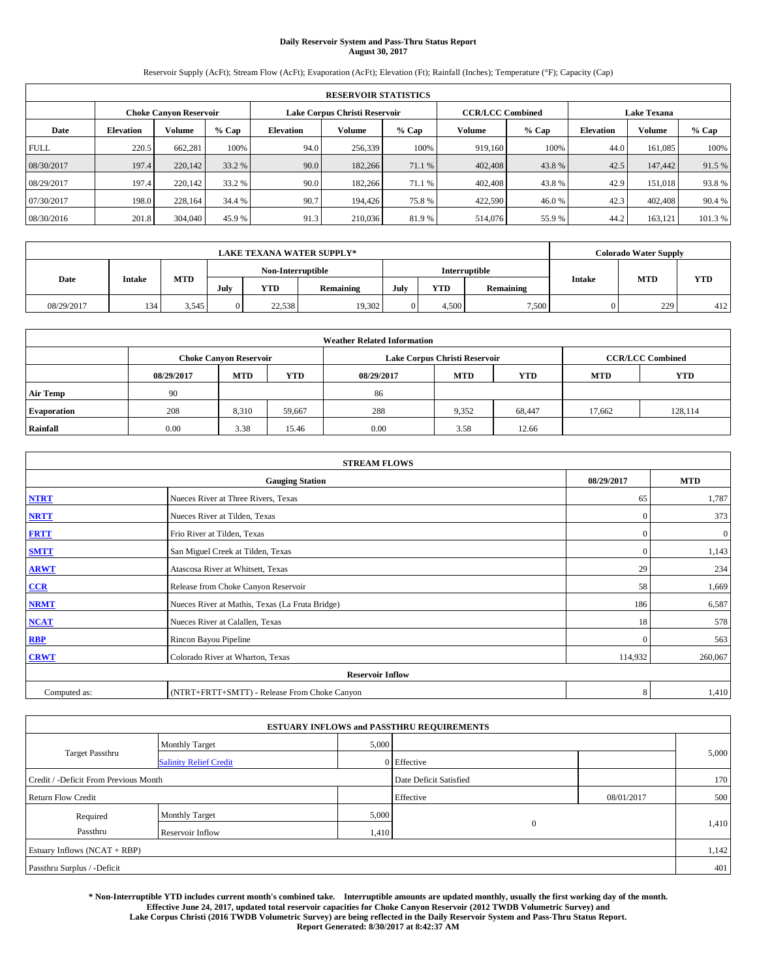# **Daily Reservoir System and Pass-Thru Status Report August 30, 2017**

Reservoir Supply (AcFt); Stream Flow (AcFt); Evaporation (AcFt); Elevation (Ft); Rainfall (Inches); Temperature (°F); Capacity (Cap)

| <b>RESERVOIR STATISTICS</b> |                  |                        |        |                  |                               |         |                         |         |                    |               |        |
|-----------------------------|------------------|------------------------|--------|------------------|-------------------------------|---------|-------------------------|---------|--------------------|---------------|--------|
|                             |                  | Choke Canvon Reservoir |        |                  | Lake Corpus Christi Reservoir |         | <b>CCR/LCC Combined</b> |         | <b>Lake Texana</b> |               |        |
| Date                        | <b>Elevation</b> | Volume                 | % Cap  | <b>Elevation</b> | <b>Volume</b>                 | $%$ Cap | Volume                  | $%$ Cap | <b>Elevation</b>   | <b>Volume</b> | % Cap  |
| <b>FULL</b>                 | 220.5            | 662,281                | 100%   | 94.0             | 256,339                       | 100%    | 919.160                 | 100%    | 44.0               | 161.085       | 100%   |
| 08/30/2017                  | 197.4            | 220,142                | 33.2 % | 90.0             | 182,266                       | 71.1 %  | 402,408                 | 43.8%   | 42.5               | 147,442       | 91.5 % |
| 08/29/2017                  | 197.4            | 220,142                | 33.2 % | 90.0             | 182,266                       | 71.1 %  | 402,408                 | 43.8%   | 42.9               | 151.018       | 93.8%  |
| 07/30/2017                  | 198.0            | 228,164                | 34.4 % | 90.7             | 194,426                       | 75.8%   | 422,590                 | 46.0%   | 42.3               | 402,408       | 90.4 % |
| 08/30/2016                  | 201.8            | 304,040                | 45.9 % | 91.3             | 210,036                       | 81.9%   | 514,076                 | 55.9%   | 44.2               | 163,121       | 101.3% |

| <b>LAKE TEXANA WATER SUPPLY*</b> |        |       |          |            |                   |      | <b>Colorado Water Supply</b> |           |               |            |            |
|----------------------------------|--------|-------|----------|------------|-------------------|------|------------------------------|-----------|---------------|------------|------------|
|                                  |        |       |          |            | Non-Interruptible |      | Interruptible                |           |               |            |            |
| Date                             | Intake | MTD   | July     | <b>YTD</b> | Remaining         | July | YTD                          | Remaining | <b>Intake</b> | <b>MTD</b> | <b>YTD</b> |
| 08/29/2017                       | 134    | 3.545 | $\Omega$ | 22.538     | 19,302            |      | 4.500                        | 7,500     |               | 229        | 412        |

| <b>Weather Related Information</b> |            |                               |            |            |                               |                         |            |            |  |  |
|------------------------------------|------------|-------------------------------|------------|------------|-------------------------------|-------------------------|------------|------------|--|--|
|                                    |            | <b>Choke Canyon Reservoir</b> |            |            | Lake Corpus Christi Reservoir | <b>CCR/LCC Combined</b> |            |            |  |  |
|                                    | 08/29/2017 | <b>MTD</b>                    | <b>YTD</b> | 08/29/2017 | <b>MTD</b>                    | <b>YTD</b>              | <b>MTD</b> | <b>YTD</b> |  |  |
| <b>Air Temp</b>                    | 90         |                               |            | 86         |                               |                         |            |            |  |  |
| <b>Evaporation</b>                 | 208        | 8,310                         | 59,667     | 288        | 9,352                         | 68,447                  | 17.662     | 128.114    |  |  |
| Rainfall                           | 0.00       | 3.38                          | 15.46      | 0.00       | 3.58                          | 12.66                   |            |            |  |  |

| <b>STREAM FLOWS</b> |                                                 |              |          |  |  |  |  |  |  |  |
|---------------------|-------------------------------------------------|--------------|----------|--|--|--|--|--|--|--|
|                     | 08/29/2017                                      | <b>MTD</b>   |          |  |  |  |  |  |  |  |
| <b>NTRT</b>         | Nueces River at Three Rivers, Texas             | 65           | 1,787    |  |  |  |  |  |  |  |
| <b>NRTT</b>         | Nueces River at Tilden, Texas                   | $\mathbf{0}$ | 373      |  |  |  |  |  |  |  |
| <b>FRTT</b>         | Frio River at Tilden, Texas                     | $\mathbf{0}$ | $\bf{0}$ |  |  |  |  |  |  |  |
| <b>SMTT</b>         | San Miguel Creek at Tilden, Texas               | $\mathbf{0}$ | 1,143    |  |  |  |  |  |  |  |
| <b>ARWT</b>         | Atascosa River at Whitsett, Texas               | 29           | 234      |  |  |  |  |  |  |  |
| $CCR$               | Release from Choke Canyon Reservoir             | 58           | 1,669    |  |  |  |  |  |  |  |
| <b>NRMT</b>         | Nueces River at Mathis, Texas (La Fruta Bridge) | 186          | 6,587    |  |  |  |  |  |  |  |
| <b>NCAT</b>         | Nueces River at Calallen, Texas                 | 18           | 578      |  |  |  |  |  |  |  |
| RBP                 | Rincon Bayou Pipeline                           | $\mathbf{0}$ | 563      |  |  |  |  |  |  |  |
| <b>CRWT</b>         | Colorado River at Wharton, Texas                | 114,932      | 260,067  |  |  |  |  |  |  |  |
|                     | <b>Reservoir Inflow</b>                         |              |          |  |  |  |  |  |  |  |
| Computed as:        | (NTRT+FRTT+SMTT) - Release From Choke Canyon    |              |          |  |  |  |  |  |  |  |

| <b>ESTUARY INFLOWS and PASSTHRU REQUIREMENTS</b> |                               |       |                        |            |       |  |  |  |  |  |
|--------------------------------------------------|-------------------------------|-------|------------------------|------------|-------|--|--|--|--|--|
|                                                  | <b>Monthly Target</b>         | 5,000 |                        |            |       |  |  |  |  |  |
| <b>Target Passthru</b>                           | <b>Salinity Relief Credit</b> |       | 0 Effective            |            | 5,000 |  |  |  |  |  |
| Credit / -Deficit From Previous Month            |                               |       | Date Deficit Satisfied |            | 170   |  |  |  |  |  |
| <b>Return Flow Credit</b>                        |                               |       | Effective              | 08/01/2017 | 500   |  |  |  |  |  |
| Required                                         | <b>Monthly Target</b>         | 5,000 |                        |            |       |  |  |  |  |  |
| Passthru                                         | Reservoir Inflow              | 1,410 | $\theta$               |            | 1,410 |  |  |  |  |  |
| Estuary Inflows (NCAT + RBP)                     |                               |       |                        |            | 1,142 |  |  |  |  |  |
| Passthru Surplus / -Deficit                      |                               |       |                        |            | 401   |  |  |  |  |  |

**\* Non-Interruptible YTD includes current month's combined take. Interruptible amounts are updated monthly, usually the first working day of the month. Effective June 24, 2017, updated total reservoir capacities for Choke Canyon Reservoir (2012 TWDB Volumetric Survey) and Lake Corpus Christi (2016 TWDB Volumetric Survey) are being reflected in the Daily Reservoir System and Pass-Thru Status Report. Report Generated: 8/30/2017 at 8:42:37 AM**